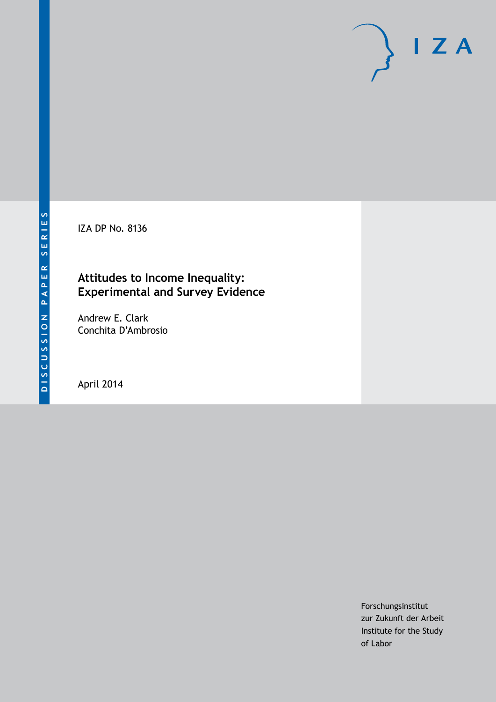IZA DP No. 8136

### **Attitudes to Income Inequality: Experimental and Survey Evidence**

Andrew E. Clark Conchita D'Ambrosio

April 2014

Forschungsinstitut zur Zukunft der Arbeit Institute for the Study of Labor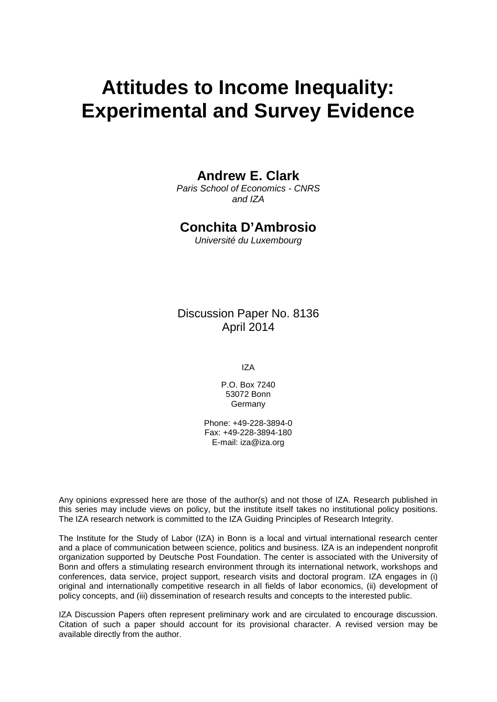# **Attitudes to Income Inequality: Experimental and Survey Evidence**

### **Andrew E. Clark**

*Paris School of Economics - CNRS and IZA*

### **Conchita D'Ambrosio**

*Université du Luxembourg*

Discussion Paper No. 8136 April 2014

IZA

P.O. Box 7240 53072 Bonn Germany

Phone: +49-228-3894-0 Fax: +49-228-3894-180 E-mail: [iza@iza.org](mailto:iza@iza.org)

Any opinions expressed here are those of the author(s) and not those of IZA. Research published in this series may include views on policy, but the institute itself takes no institutional policy positions. The IZA research network is committed to the IZA Guiding Principles of Research Integrity.

The Institute for the Study of Labor (IZA) in Bonn is a local and virtual international research center and a place of communication between science, politics and business. IZA is an independent nonprofit organization supported by Deutsche Post Foundation. The center is associated with the University of Bonn and offers a stimulating research environment through its international network, workshops and conferences, data service, project support, research visits and doctoral program. IZA engages in (i) original and internationally competitive research in all fields of labor economics, (ii) development of policy concepts, and (iii) dissemination of research results and concepts to the interested public.

<span id="page-1-0"></span>IZA Discussion Papers often represent preliminary work and are circulated to encourage discussion. Citation of such a paper should account for its provisional character. A revised version may be available directly from the author.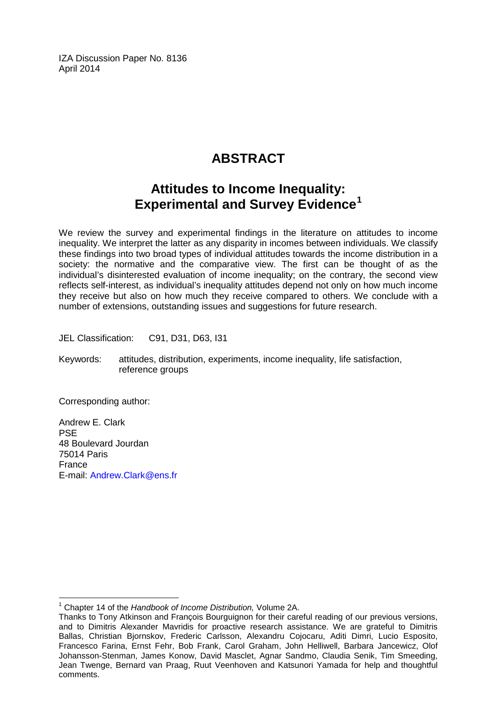IZA Discussion Paper No. 8136 April 2014

### **ABSTRACT**

### **Attitudes to Income Inequality: Experimental and Survey Evidence[1](#page-1-0)**

We review the survey and experimental findings in the literature on attitudes to income inequality. We interpret the latter as any disparity in incomes between individuals. We classify these findings into two broad types of individual attitudes towards the income distribution in a society: the normative and the comparative view. The first can be thought of as the individual's disinterested evaluation of income inequality; on the contrary, the second view reflects self-interest, as individual's inequality attitudes depend not only on how much income they receive but also on how much they receive compared to others. We conclude with a number of extensions, outstanding issues and suggestions for future research.

JEL Classification: C91, D31, D63, I31

Keywords: attitudes, distribution, experiments, income inequality, life satisfaction, reference groups

Corresponding author:

Andrew E. Clark **PSE** 48 Boulevard Jourdan 75014 Paris France E-mail: [Andrew.Clark@ens.fr](mailto:Andrew.Clark@ens.fr)

<sup>1</sup> Chapter 14 of the *Handbook of Income Distribution,* Volume 2A.

Thanks to Tony Atkinson and François Bourguignon for their careful reading of our previous versions, and to Dimitris Alexander Mavridis for proactive research assistance. We are grateful to Dimitris Ballas, Christian Bjornskov, Frederic Carlsson, Alexandru Cojocaru, Aditi Dimri, Lucio Esposito, Francesco Farina, Ernst Fehr, Bob Frank, Carol Graham, John Helliwell, Barbara Jancewicz, Olof Johansson-Stenman, James Konow, David Masclet, Agnar Sandmo, Claudia Senik, Tim Smeeding, Jean Twenge, Bernard van Praag, Ruut Veenhoven and Katsunori Yamada for help and thoughtful comments.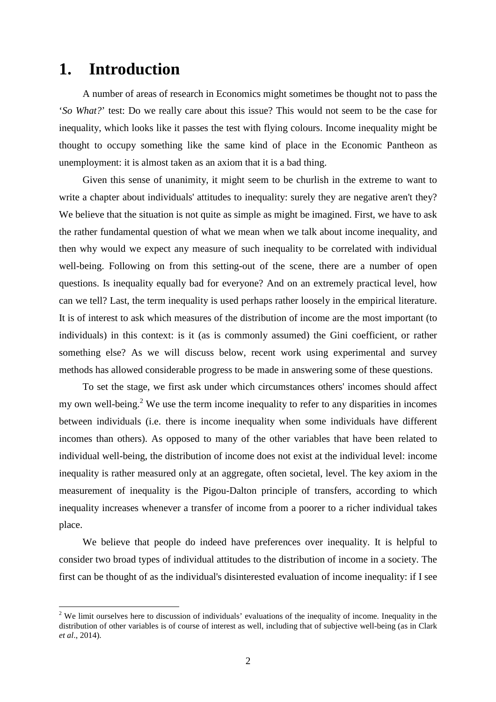# **1. Introduction**

A number of areas of research in Economics might sometimes be thought not to pass the '*So What?*' test: Do we really care about this issue? This would not seem to be the case for inequality, which looks like it passes the test with flying colours. Income inequality might be thought to occupy something like the same kind of place in the Economic Pantheon as unemployment: it is almost taken as an axiom that it is a bad thing.

Given this sense of unanimity, it might seem to be churlish in the extreme to want to write a chapter about individuals' attitudes to inequality: surely they are negative aren't they? We believe that the situation is not quite as simple as might be imagined. First, we have to ask the rather fundamental question of what we mean when we talk about income inequality, and then why would we expect any measure of such inequality to be correlated with individual well-being. Following on from this setting-out of the scene, there are a number of open questions. Is inequality equally bad for everyone? And on an extremely practical level, how can we tell? Last, the term inequality is used perhaps rather loosely in the empirical literature. It is of interest to ask which measures of the distribution of income are the most important (to individuals) in this context: is it (as is commonly assumed) the Gini coefficient, or rather something else? As we will discuss below, recent work using experimental and survey methods has allowed considerable progress to be made in answering some of these questions.

To set the stage, we first ask under which circumstances others' incomes should affect my own well-being.<sup>2</sup> We use the term income inequality to refer to any disparities in incomes between individuals (i.e. there is income inequality when some individuals have different incomes than others). As opposed to many of the other variables that have been related to individual well-being, the distribution of income does not exist at the individual level: income inequality is rather measured only at an aggregate, often societal, level. The key axiom in the measurement of inequality is the Pigou-Dalton principle of transfers, according to which inequality increases whenever a transfer of income from a poorer to a richer individual takes place.

We believe that people do indeed have preferences over inequality. It is helpful to consider two broad types of individual attitudes to the distribution of income in a society. The first can be thought of as the individual's disinterested evaluation of income inequality: if I see

<sup>&</sup>lt;sup>2</sup> We limit ourselves here to discussion of individuals' evaluations of the inequality of income. Inequality in the distribution of other variables is of course of interest as well, including that of subjective well-being (as in Clark *et al*., 2014).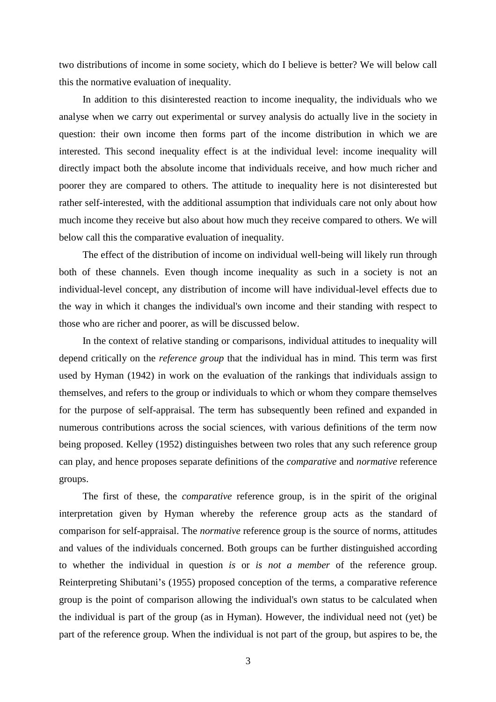two distributions of income in some society, which do I believe is better? We will below call this the normative evaluation of inequality.

In addition to this disinterested reaction to income inequality, the individuals who we analyse when we carry out experimental or survey analysis do actually live in the society in question: their own income then forms part of the income distribution in which we are interested. This second inequality effect is at the individual level: income inequality will directly impact both the absolute income that individuals receive, and how much richer and poorer they are compared to others. The attitude to inequality here is not disinterested but rather self-interested, with the additional assumption that individuals care not only about how much income they receive but also about how much they receive compared to others. We will below call this the comparative evaluation of inequality.

The effect of the distribution of income on individual well-being will likely run through both of these channels. Even though income inequality as such in a society is not an individual-level concept, any distribution of income will have individual-level effects due to the way in which it changes the individual's own income and their standing with respect to those who are richer and poorer, as will be discussed below.

In the context of relative standing or comparisons, individual attitudes to inequality will depend critically on the *reference group* that the individual has in mind. This term was first used by Hyman (1942) in work on the evaluation of the rankings that individuals assign to themselves, and refers to the group or individuals to which or whom they compare themselves for the purpose of self-appraisal. The term has subsequently been refined and expanded in numerous contributions across the social sciences, with various definitions of the term now being proposed. Kelley (1952) distinguishes between two roles that any such reference group can play, and hence proposes separate definitions of the *comparative* and *normative* reference groups.

The first of these, the *comparative* reference group, is in the spirit of the original interpretation given by Hyman whereby the reference group acts as the standard of comparison for self-appraisal. The *normative* reference group is the source of norms, attitudes and values of the individuals concerned. Both groups can be further distinguished according to whether the individual in question *is* or *is not a member* of the reference group. Reinterpreting Shibutani's (1955) proposed conception of the terms, a comparative reference group is the point of comparison allowing the individual's own status to be calculated when the individual is part of the group (as in Hyman). However, the individual need not (yet) be part of the reference group. When the individual is not part of the group, but aspires to be, the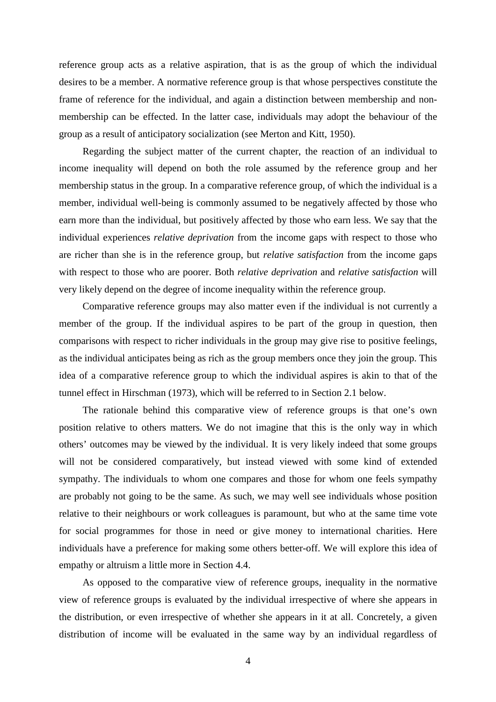reference group acts as a relative aspiration, that is as the group of which the individual desires to be a member. A normative reference group is that whose perspectives constitute the frame of reference for the individual, and again a distinction between membership and nonmembership can be effected. In the latter case, individuals may adopt the behaviour of the group as a result of anticipatory socialization (see Merton and Kitt, 1950).

Regarding the subject matter of the current chapter, the reaction of an individual to income inequality will depend on both the role assumed by the reference group and her membership status in the group. In a comparative reference group, of which the individual is a member, individual well-being is commonly assumed to be negatively affected by those who earn more than the individual, but positively affected by those who earn less. We say that the individual experiences *relative deprivation* from the income gaps with respect to those who are richer than she is in the reference group, but *relative satisfaction* from the income gaps with respect to those who are poorer. Both *relative deprivation* and *relative satisfaction* will very likely depend on the degree of income inequality within the reference group.

Comparative reference groups may also matter even if the individual is not currently a member of the group. If the individual aspires to be part of the group in question, then comparisons with respect to richer individuals in the group may give rise to positive feelings, as the individual anticipates being as rich as the group members once they join the group. This idea of a comparative reference group to which the individual aspires is akin to that of the tunnel effect in Hirschman (1973), which will be referred to in Section 2.1 below.

The rationale behind this comparative view of reference groups is that one's own position relative to others matters. We do not imagine that this is the only way in which others' outcomes may be viewed by the individual. It is very likely indeed that some groups will not be considered comparatively, but instead viewed with some kind of extended sympathy. The individuals to whom one compares and those for whom one feels sympathy are probably not going to be the same. As such, we may well see individuals whose position relative to their neighbours or work colleagues is paramount, but who at the same time vote for social programmes for those in need or give money to international charities. Here individuals have a preference for making some others better-off. We will explore this idea of empathy or altruism a little more in Section 4.4.

As opposed to the comparative view of reference groups, inequality in the normative view of reference groups is evaluated by the individual irrespective of where she appears in the distribution, or even irrespective of whether she appears in it at all. Concretely, a given distribution of income will be evaluated in the same way by an individual regardless of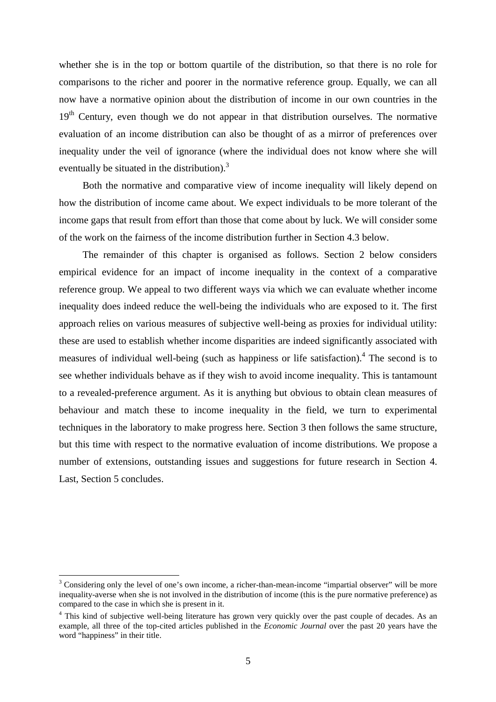whether she is in the top or bottom quartile of the distribution, so that there is no role for comparisons to the richer and poorer in the normative reference group. Equally, we can all now have a normative opinion about the distribution of income in our own countries in the  $19<sup>th</sup>$  Century, even though we do not appear in that distribution ourselves. The normative evaluation of an income distribution can also be thought of as a mirror of preferences over inequality under the veil of ignorance (where the individual does not know where she will eventually be situated in the distribution).<sup>3</sup>

Both the normative and comparative view of income inequality will likely depend on how the distribution of income came about. We expect individuals to be more tolerant of the income gaps that result from effort than those that come about by luck. We will consider some of the work on the fairness of the income distribution further in Section 4.3 below.

The remainder of this chapter is organised as follows. Section 2 below considers empirical evidence for an impact of income inequality in the context of a comparative reference group. We appeal to two different ways via which we can evaluate whether income inequality does indeed reduce the well-being the individuals who are exposed to it. The first approach relies on various measures of subjective well-being as proxies for individual utility: these are used to establish whether income disparities are indeed significantly associated with measures of individual well-being (such as happiness or life satisfaction). $4$  The second is to see whether individuals behave as if they wish to avoid income inequality. This is tantamount to a revealed-preference argument. As it is anything but obvious to obtain clean measures of behaviour and match these to income inequality in the field, we turn to experimental techniques in the laboratory to make progress here. Section 3 then follows the same structure, but this time with respect to the normative evaluation of income distributions. We propose a number of extensions, outstanding issues and suggestions for future research in Section 4. Last, Section 5 concludes.

 $3$  Considering only the level of one's own income, a richer-than-mean-income "impartial observer" will be more inequality-averse when she is not involved in the distribution of income (this is the pure normative preference) as compared to the case in which she is present in it.

<sup>&</sup>lt;sup>4</sup> This kind of subjective well-being literature has grown very quickly over the past couple of decades. As an example, all three of the top-cited articles published in the *Economic Journal* over the past 20 years have the word "happiness" in their title.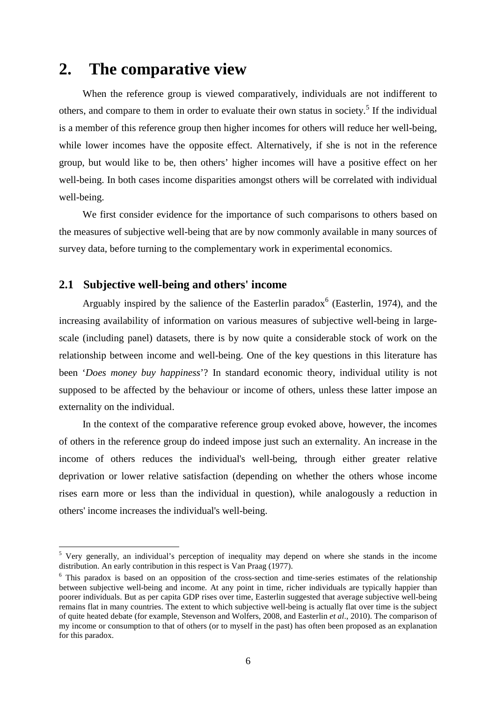# **2. The comparative view**

When the reference group is viewed comparatively, individuals are not indifferent to others, and compare to them in order to evaluate their own status in society.<sup>5</sup> If the individual is a member of this reference group then higher incomes for others will reduce her well-being, while lower incomes have the opposite effect. Alternatively, if she is not in the reference group, but would like to be, then others' higher incomes will have a positive effect on her well-being. In both cases income disparities amongst others will be correlated with individual well-being.

We first consider evidence for the importance of such comparisons to others based on the measures of subjective well-being that are by now commonly available in many sources of survey data, before turning to the complementary work in experimental economics.

#### **2.1 Subjective well-being and others' income**

 $\overline{a}$ 

Arguably inspired by the salience of the Easterlin paradox<sup>6</sup> (Easterlin, 1974), and the increasing availability of information on various measures of subjective well-being in largescale (including panel) datasets, there is by now quite a considerable stock of work on the relationship between income and well-being. One of the key questions in this literature has been '*Does money buy happiness*'? In standard economic theory, individual utility is not supposed to be affected by the behaviour or income of others, unless these latter impose an externality on the individual.

In the context of the comparative reference group evoked above, however, the incomes of others in the reference group do indeed impose just such an externality. An increase in the income of others reduces the individual's well-being, through either greater relative deprivation or lower relative satisfaction (depending on whether the others whose income rises earn more or less than the individual in question), while analogously a reduction in others' income increases the individual's well-being.

<sup>&</sup>lt;sup>5</sup> Very generally, an individual's perception of inequality may depend on where she stands in the income distribution. An early contribution in this respect is Van Praag (1977).

<sup>&</sup>lt;sup>6</sup> This paradox is based on an opposition of the cross-section and time-series estimates of the relationship between subjective well-being and income. At any point in time, richer individuals are typically happier than poorer individuals. But as per capita GDP rises over time, Easterlin suggested that average subjective well-being remains flat in many countries. The extent to which subjective well-being is actually flat over time is the subject of quite heated debate (for example, Stevenson and Wolfers, 2008, and Easterlin *et al*., 2010). The comparison of my income or consumption to that of others (or to myself in the past) has often been proposed as an explanation for this paradox.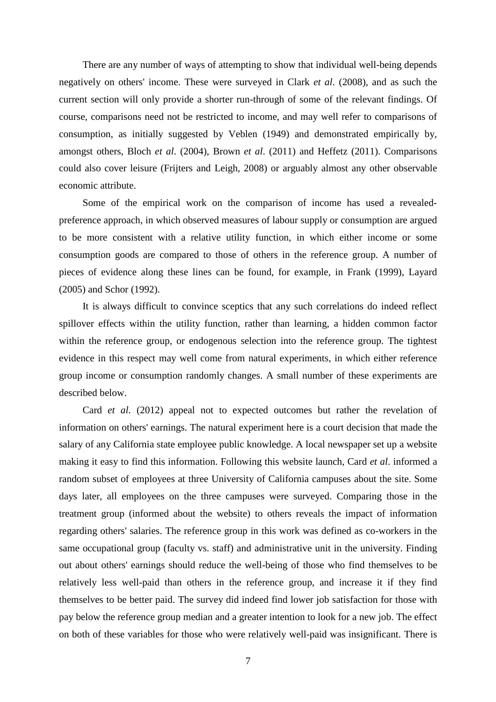There are any number of ways of attempting to show that individual well-being depends negatively on others' income. These were surveyed in Clark *et al*. (2008), and as such the current section will only provide a shorter run-through of some of the relevant findings. Of course, comparisons need not be restricted to income, and may well refer to comparisons of consumption, as initially suggested by Veblen (1949) and demonstrated empirically by, amongst others, Bloch *et al*. (2004), Brown *et al*. (2011) and Heffetz (2011). Comparisons could also cover leisure (Frijters and Leigh, 2008) or arguably almost any other observable economic attribute.

Some of the empirical work on the comparison of income has used a revealedpreference approach, in which observed measures of labour supply or consumption are argued to be more consistent with a relative utility function, in which either income or some consumption goods are compared to those of others in the reference group. A number of pieces of evidence along these lines can be found, for example, in Frank (1999), Layard (2005) and Schor (1992).

It is always difficult to convince sceptics that any such correlations do indeed reflect spillover effects within the utility function, rather than learning, a hidden common factor within the reference group, or endogenous selection into the reference group. The tightest evidence in this respect may well come from natural experiments, in which either reference group income or consumption randomly changes. A small number of these experiments are described below.

Card *et al*. (2012) appeal not to expected outcomes but rather the revelation of information on others' earnings. The natural experiment here is a court decision that made the salary of any California state employee public knowledge. A local newspaper set up a website making it easy to find this information. Following this website launch, Card *et al*. informed a random subset of employees at three University of California campuses about the site. Some days later, all employees on the three campuses were surveyed. Comparing those in the treatment group (informed about the website) to others reveals the impact of information regarding others' salaries. The reference group in this work was defined as co-workers in the same occupational group (faculty vs. staff) and administrative unit in the university. Finding out about others' earnings should reduce the well-being of those who find themselves to be relatively less well-paid than others in the reference group, and increase it if they find themselves to be better paid. The survey did indeed find lower job satisfaction for those with pay below the reference group median and a greater intention to look for a new job. The effect on both of these variables for those who were relatively well-paid was insignificant. There is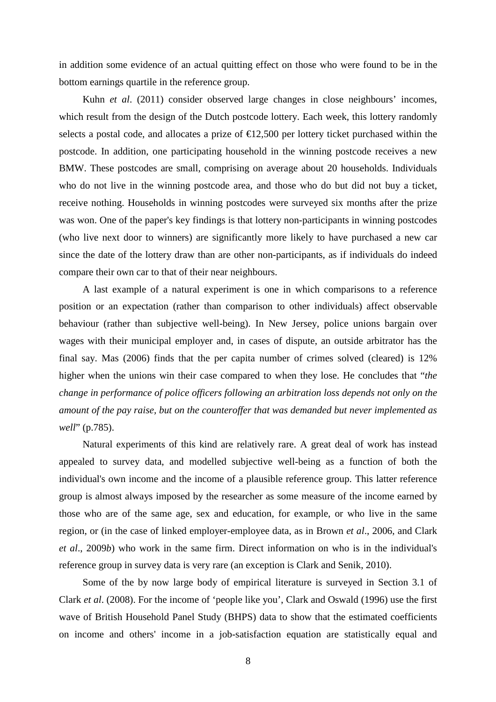in addition some evidence of an actual quitting effect on those who were found to be in the bottom earnings quartile in the reference group.

Kuhn *et al*. (2011) consider observed large changes in close neighbours' incomes, which result from the design of the Dutch postcode lottery. Each week, this lottery randomly selects a postal code, and allocates a prize of  $\epsilon$ 12,500 per lottery ticket purchased within the postcode. In addition, one participating household in the winning postcode receives a new BMW. These postcodes are small, comprising on average about 20 households. Individuals who do not live in the winning postcode area, and those who do but did not buy a ticket, receive nothing. Households in winning postcodes were surveyed six months after the prize was won. One of the paper's key findings is that lottery non-participants in winning postcodes (who live next door to winners) are significantly more likely to have purchased a new car since the date of the lottery draw than are other non-participants, as if individuals do indeed compare their own car to that of their near neighbours.

A last example of a natural experiment is one in which comparisons to a reference position or an expectation (rather than comparison to other individuals) affect observable behaviour (rather than subjective well-being). In New Jersey, police unions bargain over wages with their municipal employer and, in cases of dispute, an outside arbitrator has the final say. Mas (2006) finds that the per capita number of crimes solved (cleared) is 12% higher when the unions win their case compared to when they lose. He concludes that "*the change in performance of police officers following an arbitration loss depends not only on the amount of the pay raise, but on the counteroffer that was demanded but never implemented as well*" (p.785).

Natural experiments of this kind are relatively rare. A great deal of work has instead appealed to survey data, and modelled subjective well-being as a function of both the individual's own income and the income of a plausible reference group. This latter reference group is almost always imposed by the researcher as some measure of the income earned by those who are of the same age, sex and education, for example, or who live in the same region, or (in the case of linked employer-employee data, as in Brown *et al*., 2006, and Clark *et al*., 2009*b*) who work in the same firm. Direct information on who is in the individual's reference group in survey data is very rare (an exception is Clark and Senik, 2010).

Some of the by now large body of empirical literature is surveyed in Section 3.1 of Clark *et al*. (2008). For the income of 'people like you', Clark and Oswald (1996) use the first wave of British Household Panel Study (BHPS) data to show that the estimated coefficients on income and others' income in a job-satisfaction equation are statistically equal and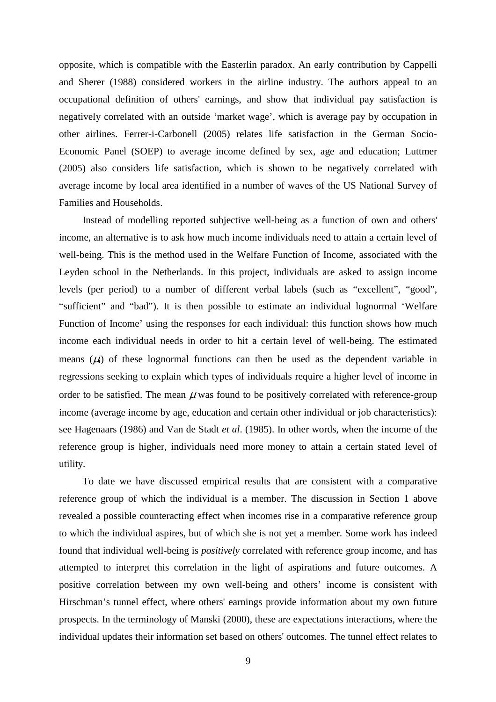opposite, which is compatible with the Easterlin paradox. An early contribution by Cappelli and Sherer (1988) considered workers in the airline industry. The authors appeal to an occupational definition of others' earnings, and show that individual pay satisfaction is negatively correlated with an outside 'market wage', which is average pay by occupation in other airlines. Ferrer-i-Carbonell (2005) relates life satisfaction in the German Socio-Economic Panel (SOEP) to average income defined by sex, age and education; Luttmer (2005) also considers life satisfaction, which is shown to be negatively correlated with average income by local area identified in a number of waves of the US National Survey of Families and Households.

Instead of modelling reported subjective well-being as a function of own and others' income, an alternative is to ask how much income individuals need to attain a certain level of well-being. This is the method used in the Welfare Function of Income, associated with the Leyden school in the Netherlands. In this project, individuals are asked to assign income levels (per period) to a number of different verbal labels (such as "excellent", "good", "sufficient" and "bad"). It is then possible to estimate an individual lognormal 'Welfare Function of Income' using the responses for each individual: this function shows how much income each individual needs in order to hit a certain level of well-being. The estimated means  $(\mu_i)$  of these lognormal functions can then be used as the dependent variable in regressions seeking to explain which types of individuals require a higher level of income in order to be satisfied. The mean  $\mu$  was found to be positively correlated with reference-group income (average income by age, education and certain other individual or job characteristics): see Hagenaars (1986) and Van de Stadt *et al*. (1985). In other words, when the income of the reference group is higher, individuals need more money to attain a certain stated level of utility.

To date we have discussed empirical results that are consistent with a comparative reference group of which the individual is a member. The discussion in Section 1 above revealed a possible counteracting effect when incomes rise in a comparative reference group to which the individual aspires, but of which she is not yet a member. Some work has indeed found that individual well-being is *positively* correlated with reference group income, and has attempted to interpret this correlation in the light of aspirations and future outcomes. A positive correlation between my own well-being and others' income is consistent with Hirschman's tunnel effect, where others' earnings provide information about my own future prospects. In the terminology of Manski (2000), these are expectations interactions, where the individual updates their information set based on others' outcomes. The tunnel effect relates to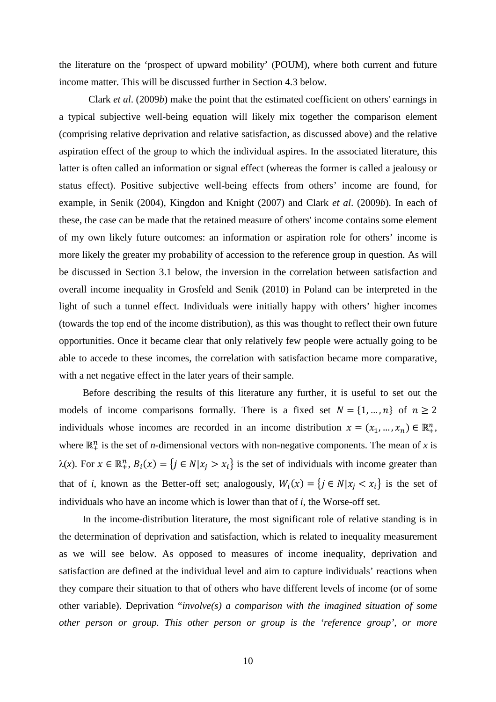the literature on the 'prospect of upward mobility' (POUM), where both current and future income matter. This will be discussed further in Section 4.3 below.

Clark *et al*. (2009*b*) make the point that the estimated coefficient on others' earnings in a typical subjective well-being equation will likely mix together the comparison element (comprising relative deprivation and relative satisfaction, as discussed above) and the relative aspiration effect of the group to which the individual aspires. In the associated literature, this latter is often called an information or signal effect (whereas the former is called a jealousy or status effect). Positive subjective well-being effects from others' income are found, for example, in Senik (2004), Kingdon and Knight (2007) and Clark *et al*. (2009*b*). In each of these, the case can be made that the retained measure of others' income contains some element of my own likely future outcomes: an information or aspiration role for others' income is more likely the greater my probability of accession to the reference group in question. As will be discussed in Section 3.1 below, the inversion in the correlation between satisfaction and overall income inequality in Grosfeld and Senik (2010) in Poland can be interpreted in the light of such a tunnel effect. Individuals were initially happy with others' higher incomes (towards the top end of the income distribution), as this was thought to reflect their own future opportunities. Once it became clear that only relatively few people were actually going to be able to accede to these incomes, the correlation with satisfaction became more comparative, with a net negative effect in the later years of their sample.

Before describing the results of this literature any further, it is useful to set out the models of income comparisons formally. There is a fixed set  $N = \{1, ..., n\}$  of  $n \ge 2$ individuals whose incomes are recorded in an income distribution  $x = (x_1, ..., x_n) \in \mathbb{R}^n_+$ , where  $\mathbb{R}^n_+$  is the set of *n*-dimensional vectors with non-negative components. The mean of *x* is  $\lambda(x)$ . For  $x \in \mathbb{R}^n_+$ ,  $B_i(x) = \{j \in N | x_j > x_i\}$  is the set of individuals with income greater than that of *i*, known as the Better-off set; analogously,  $W_i(x) = \{j \in N | x_j < x_i\}$  is the set of individuals who have an income which is lower than that of *i*, the Worse-off set.

In the income-distribution literature, the most significant role of relative standing is in the determination of deprivation and satisfaction, which is related to inequality measurement as we will see below. As opposed to measures of income inequality, deprivation and satisfaction are defined at the individual level and aim to capture individuals' reactions when they compare their situation to that of others who have different levels of income (or of some other variable). Deprivation "*involve(s) a comparison with the imagined situation of some other person or group. This other person or group is the 'reference group', or more*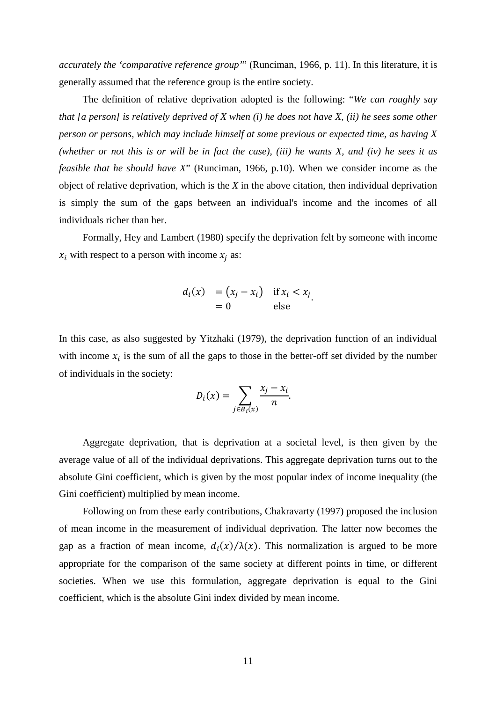*accurately the 'comparative reference group'*" (Runciman, 1966, p. 11). In this literature, it is generally assumed that the reference group is the entire society.

The definition of relative deprivation adopted is the following: "*We can roughly say that [a person] is relatively deprived of X when (i) he does not have X, (ii) he sees some other person or persons, which may include himself at some previous or expected time, as having X (whether or not this is or will be in fact the case), (iii) he wants X, and (iv) he sees it as feasible that he should have X*" (Runciman, 1966, p.10). When we consider income as the object of relative deprivation, which is the *X* in the above citation, then individual deprivation is simply the sum of the gaps between an individual's income and the incomes of all individuals richer than her.

Formally, Hey and Lambert (1980) specify the deprivation felt by someone with income  $x_i$  with respect to a person with income  $x_j$  as:

$$
d_i(x) = (x_j - x_i) \quad \text{if } x_i < x_j \\ = 0 \quad \text{else}
$$

In this case, as also suggested by Yitzhaki (1979), the deprivation function of an individual with income  $x_i$  is the sum of all the gaps to those in the better-off set divided by the number of individuals in the society:

$$
D_i(x) = \sum_{j \in B_i(x)} \frac{x_j - x_i}{n}.
$$

Aggregate deprivation, that is deprivation at a societal level, is then given by the average value of all of the individual deprivations. This aggregate deprivation turns out to the absolute Gini coefficient, which is given by the most popular index of income inequality (the Gini coefficient) multiplied by mean income.

Following on from these early contributions, Chakravarty (1997) proposed the inclusion of mean income in the measurement of individual deprivation. The latter now becomes the gap as a fraction of mean income,  $d_i(x)/\lambda(x)$ . This normalization is argued to be more appropriate for the comparison of the same society at different points in time, or different societies. When we use this formulation, aggregate deprivation is equal to the Gini coefficient, which is the absolute Gini index divided by mean income.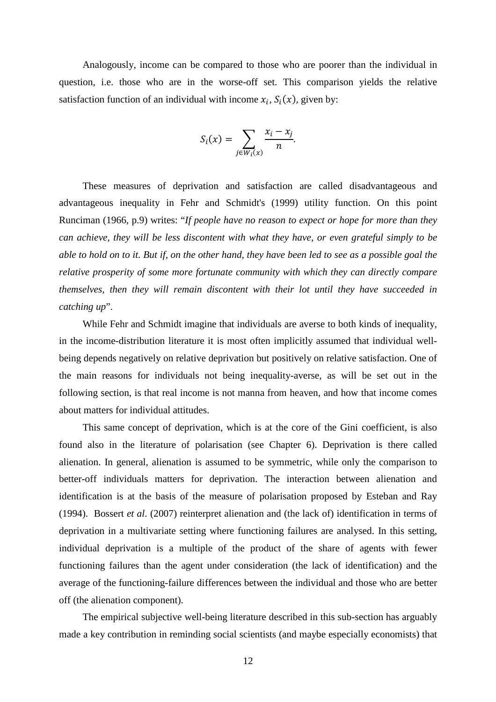Analogously, income can be compared to those who are poorer than the individual in question, i.e. those who are in the worse-off set. This comparison yields the relative satisfaction function of an individual with income  $x_i$ ,  $S_i(x)$ , given by:

$$
S_i(x) = \sum_{j \in W_i(x)} \frac{x_i - x_j}{n}.
$$

These measures of deprivation and satisfaction are called disadvantageous and advantageous inequality in Fehr and Schmidt's (1999) utility function. On this point Runciman (1966, p.9) writes: "*If people have no reason to expect or hope for more than they can achieve, they will be less discontent with what they have, or even grateful simply to be able to hold on to it. But if, on the other hand, they have been led to see as a possible goal the relative prosperity of some more fortunate community with which they can directly compare themselves, then they will remain discontent with their lot until they have succeeded in catching up*".

While Fehr and Schmidt imagine that individuals are averse to both kinds of inequality, in the income-distribution literature it is most often implicitly assumed that individual wellbeing depends negatively on relative deprivation but positively on relative satisfaction. One of the main reasons for individuals not being inequality-averse, as will be set out in the following section, is that real income is not manna from heaven, and how that income comes about matters for individual attitudes.

This same concept of deprivation, which is at the core of the Gini coefficient, is also found also in the literature of polarisation (see Chapter 6). Deprivation is there called alienation. In general, alienation is assumed to be symmetric, while only the comparison to better-off individuals matters for deprivation. The interaction between alienation and identification is at the basis of the measure of polarisation proposed by Esteban and Ray (1994). Bossert *et al*. (2007) reinterpret alienation and (the lack of) identification in terms of deprivation in a multivariate setting where functioning failures are analysed. In this setting, individual deprivation is a multiple of the product of the share of agents with fewer functioning failures than the agent under consideration (the lack of identification) and the average of the functioning-failure differences between the individual and those who are better off (the alienation component).

The empirical subjective well-being literature described in this sub-section has arguably made a key contribution in reminding social scientists (and maybe especially economists) that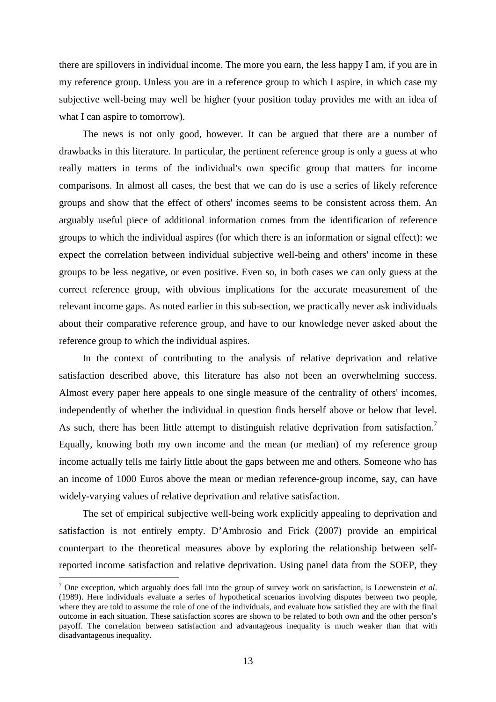there are spillovers in individual income. The more you earn, the less happy I am, if you are in my reference group. Unless you are in a reference group to which I aspire, in which case my subjective well-being may well be higher (your position today provides me with an idea of what I can aspire to tomorrow).

The news is not only good, however. It can be argued that there are a number of drawbacks in this literature. In particular, the pertinent reference group is only a guess at who really matters in terms of the individual's own specific group that matters for income comparisons. In almost all cases, the best that we can do is use a series of likely reference groups and show that the effect of others' incomes seems to be consistent across them. An arguably useful piece of additional information comes from the identification of reference groups to which the individual aspires (for which there is an information or signal effect): we expect the correlation between individual subjective well-being and others' income in these groups to be less negative, or even positive. Even so, in both cases we can only guess at the correct reference group, with obvious implications for the accurate measurement of the relevant income gaps. As noted earlier in this sub-section, we practically never ask individuals about their comparative reference group, and have to our knowledge never asked about the reference group to which the individual aspires.

In the context of contributing to the analysis of relative deprivation and relative satisfaction described above, this literature has also not been an overwhelming success. Almost every paper here appeals to one single measure of the centrality of others' incomes, independently of whether the individual in question finds herself above or below that level. As such, there has been little attempt to distinguish relative deprivation from satisfaction.<sup>7</sup> Equally, knowing both my own income and the mean (or median) of my reference group income actually tells me fairly little about the gaps between me and others. Someone who has an income of 1000 Euros above the mean or median reference-group income, say, can have widely-varying values of relative deprivation and relative satisfaction.

The set of empirical subjective well-being work explicitly appealing to deprivation and satisfaction is not entirely empty. D'Ambrosio and Frick (2007) provide an empirical counterpart to the theoretical measures above by exploring the relationship between selfreported income satisfaction and relative deprivation. Using panel data from the SOEP, they

<sup>7</sup> One exception, which arguably does fall into the group of survey work on satisfaction, is Loewenstein *et al*. (1989). Here individuals evaluate a series of hypothetical scenarios involving disputes between two people, where they are told to assume the role of one of the individuals, and evaluate how satisfied they are with the final outcome in each situation. These satisfaction scores are shown to be related to both own and the other person's payoff. The correlation between satisfaction and advantageous inequality is much weaker than that with disadvantageous inequality.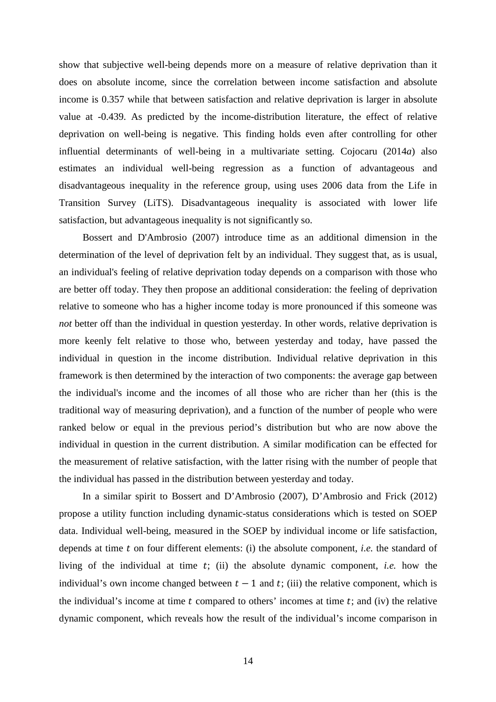show that subjective well-being depends more on a measure of relative deprivation than it does on absolute income, since the correlation between income satisfaction and absolute income is 0.357 while that between satisfaction and relative deprivation is larger in absolute value at -0.439. As predicted by the income-distribution literature, the effect of relative deprivation on well-being is negative. This finding holds even after controlling for other influential determinants of well-being in a multivariate setting. Cojocaru (2014*a*) also estimates an individual well-being regression as a function of advantageous and disadvantageous inequality in the reference group, using uses 2006 data from the Life in Transition Survey (LiTS). Disadvantageous inequality is associated with lower life satisfaction, but advantageous inequality is not significantly so.

Bossert and D'Ambrosio (2007) introduce time as an additional dimension in the determination of the level of deprivation felt by an individual. They suggest that, as is usual, an individual's feeling of relative deprivation today depends on a comparison with those who are better off today. They then propose an additional consideration: the feeling of deprivation relative to someone who has a higher income today is more pronounced if this someone was *not* better off than the individual in question yesterday. In other words, relative deprivation is more keenly felt relative to those who, between yesterday and today, have passed the individual in question in the income distribution. Individual relative deprivation in this framework is then determined by the interaction of two components: the average gap between the individual's income and the incomes of all those who are richer than her (this is the traditional way of measuring deprivation), and a function of the number of people who were ranked below or equal in the previous period's distribution but who are now above the individual in question in the current distribution. A similar modification can be effected for the measurement of relative satisfaction, with the latter rising with the number of people that the individual has passed in the distribution between yesterday and today.

In a similar spirit to Bossert and D'Ambrosio (2007), D'Ambrosio and Frick (2012) propose a utility function including dynamic-status considerations which is tested on SOEP data. Individual well-being, measured in the SOEP by individual income or life satisfaction, depends at time t on four different elements: (i) the absolute component, *i.e.* the standard of living of the individual at time t; (ii) the absolute dynamic component, *i.e.* how the individual's own income changed between  $t - 1$  and  $t$ ; (iii) the relative component, which is the individual's income at time  $t$  compared to others' incomes at time  $t$ ; and (iv) the relative dynamic component, which reveals how the result of the individual's income comparison in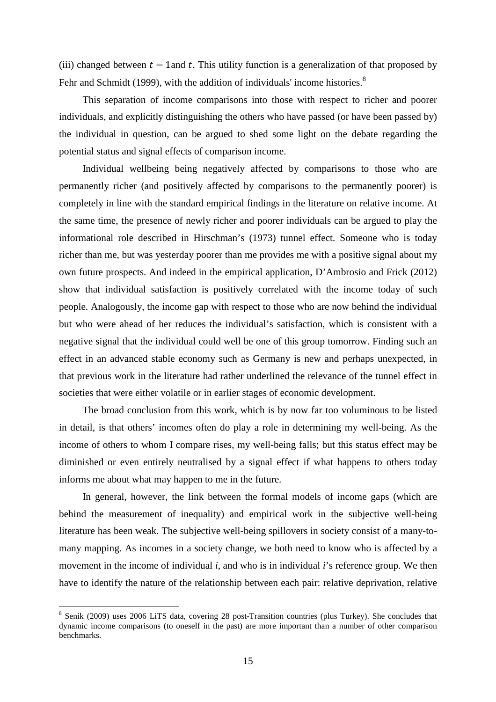(iii) changed between  $t - 1$  and t. This utility function is a generalization of that proposed by Fehr and Schmidt (1999), with the addition of individuals' income histories.<sup>8</sup>

This separation of income comparisons into those with respect to richer and poorer individuals, and explicitly distinguishing the others who have passed (or have been passed by) the individual in question, can be argued to shed some light on the debate regarding the potential status and signal effects of comparison income.

Individual wellbeing being negatively affected by comparisons to those who are permanently richer (and positively affected by comparisons to the permanently poorer) is completely in line with the standard empirical findings in the literature on relative income. At the same time, the presence of newly richer and poorer individuals can be argued to play the informational role described in Hirschman's (1973) tunnel effect. Someone who is today richer than me, but was yesterday poorer than me provides me with a positive signal about my own future prospects. And indeed in the empirical application, D'Ambrosio and Frick (2012) show that individual satisfaction is positively correlated with the income today of such people. Analogously, the income gap with respect to those who are now behind the individual but who were ahead of her reduces the individual's satisfaction, which is consistent with a negative signal that the individual could well be one of this group tomorrow. Finding such an effect in an advanced stable economy such as Germany is new and perhaps unexpected, in that previous work in the literature had rather underlined the relevance of the tunnel effect in societies that were either volatile or in earlier stages of economic development.

The broad conclusion from this work, which is by now far too voluminous to be listed in detail, is that others' incomes often do play a role in determining my well-being. As the income of others to whom I compare rises, my well-being falls; but this status effect may be diminished or even entirely neutralised by a signal effect if what happens to others today informs me about what may happen to me in the future.

In general, however, the link between the formal models of income gaps (which are behind the measurement of inequality) and empirical work in the subjective well-being literature has been weak. The subjective well-being spillovers in society consist of a many-tomany mapping. As incomes in a society change, we both need to know who is affected by a movement in the income of individual *i*, and who is in individual *i*'s reference group. We then have to identify the nature of the relationship between each pair: relative deprivation, relative

<sup>&</sup>lt;sup>8</sup> Senik (2009) uses 2006 LiTS data, covering 28 post-Transition countries (plus Turkey). She concludes that dynamic income comparisons (to oneself in the past) are more important than a number of other comparison benchmarks.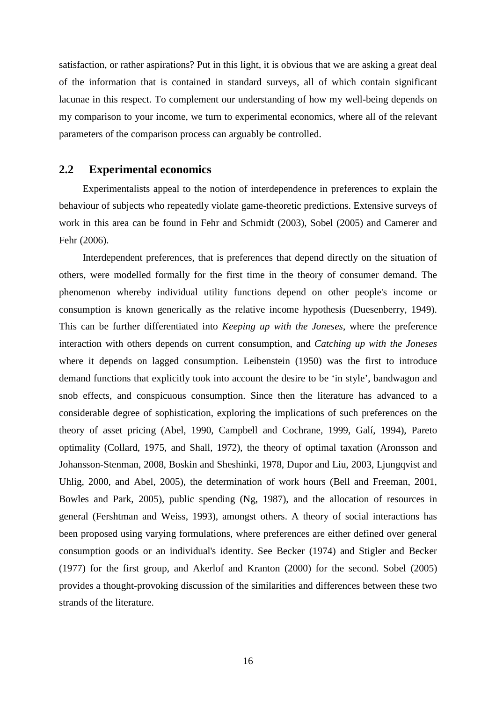satisfaction, or rather aspirations? Put in this light, it is obvious that we are asking a great deal of the information that is contained in standard surveys, all of which contain significant lacunae in this respect. To complement our understanding of how my well-being depends on my comparison to your income, we turn to experimental economics, where all of the relevant parameters of the comparison process can arguably be controlled.

#### **2.2 Experimental economics**

Experimentalists appeal to the notion of interdependence in preferences to explain the behaviour of subjects who repeatedly violate game-theoretic predictions. Extensive surveys of work in this area can be found in Fehr and Schmidt (2003), Sobel (2005) and Camerer and Fehr (2006).

Interdependent preferences, that is preferences that depend directly on the situation of others, were modelled formally for the first time in the theory of consumer demand. The phenomenon whereby individual utility functions depend on other people's income or consumption is known generically as the relative income hypothesis (Duesenberry, 1949). This can be further differentiated into *Keeping up with the Joneses*, where the preference interaction with others depends on current consumption, and *Catching up with the Joneses* where it depends on lagged consumption. Leibenstein (1950) was the first to introduce demand functions that explicitly took into account the desire to be 'in style', bandwagon and snob effects, and conspicuous consumption. Since then the literature has advanced to a considerable degree of sophistication, exploring the implications of such preferences on the theory of asset pricing (Abel, 1990, Campbell and Cochrane, 1999, Galí, 1994), Pareto optimality (Collard, 1975, and Shall, 1972), the theory of optimal taxation (Aronsson and Johansson-Stenman, 2008, Boskin and Sheshinki, 1978, Dupor and Liu, 2003, Ljungqvist and Uhlig, 2000, and Abel, 2005), the determination of work hours (Bell and Freeman, 2001, Bowles and Park, 2005), public spending (Ng, 1987), and the allocation of resources in general (Fershtman and Weiss, 1993), amongst others. A theory of social interactions has been proposed using varying formulations, where preferences are either defined over general consumption goods or an individual's identity. See Becker (1974) and Stigler and Becker (1977) for the first group, and Akerlof and Kranton (2000) for the second. Sobel (2005) provides a thought-provoking discussion of the similarities and differences between these two strands of the literature.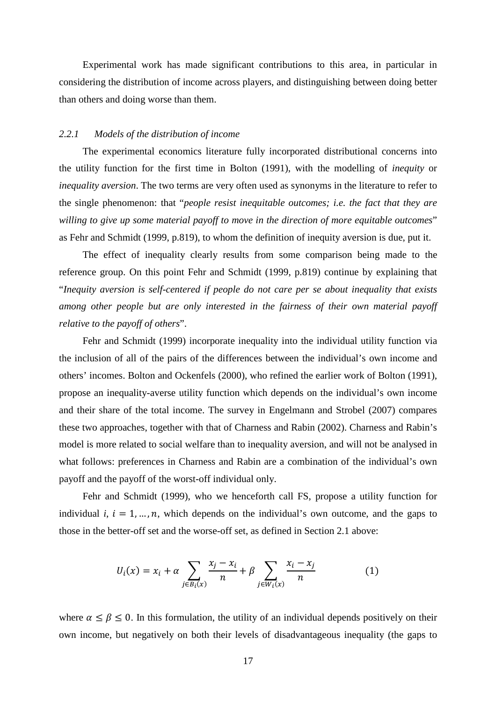Experimental work has made significant contributions to this area, in particular in considering the distribution of income across players, and distinguishing between doing better than others and doing worse than them.

#### *2.2.1 Models of the distribution of income*

The experimental economics literature fully incorporated distributional concerns into the utility function for the first time in Bolton (1991), with the modelling of *inequity* or *inequality aversion*. The two terms are very often used as synonyms in the literature to refer to the single phenomenon: that "*people resist inequitable outcomes; i.e. the fact that they are willing to give up some material payoff to move in the direction of more equitable outcomes*" as Fehr and Schmidt (1999, p.819), to whom the definition of inequity aversion is due, put it.

The effect of inequality clearly results from some comparison being made to the reference group. On this point Fehr and Schmidt (1999, p.819) continue by explaining that "*Inequity aversion is self-centered if people do not care per se about inequality that exists among other people but are only interested in the fairness of their own material payoff relative to the payoff of others*".

Fehr and Schmidt (1999) incorporate inequality into the individual utility function via the inclusion of all of the pairs of the differences between the individual's own income and others' incomes. Bolton and Ockenfels (2000), who refined the earlier work of Bolton (1991), propose an inequality-averse utility function which depends on the individual's own income and their share of the total income. The survey in Engelmann and Strobel (2007) compares these two approaches, together with that of Charness and Rabin (2002). Charness and Rabin's model is more related to social welfare than to inequality aversion, and will not be analysed in what follows: preferences in Charness and Rabin are a combination of the individual's own payoff and the payoff of the worst-off individual only.

Fehr and Schmidt (1999), who we henceforth call FS, propose a utility function for individual *i*,  $i = 1, ..., n$ , which depends on the individual's own outcome, and the gaps to those in the better-off set and the worse-off set, as defined in Section 2.1 above:

$$
U_i(x) = x_i + \alpha \sum_{j \in B_i(x)} \frac{x_j - x_i}{n} + \beta \sum_{j \in W_i(x)} \frac{x_i - x_j}{n}
$$
 (1)

where  $\alpha \leq \beta \leq 0$ . In this formulation, the utility of an individual depends positively on their own income, but negatively on both their levels of disadvantageous inequality (the gaps to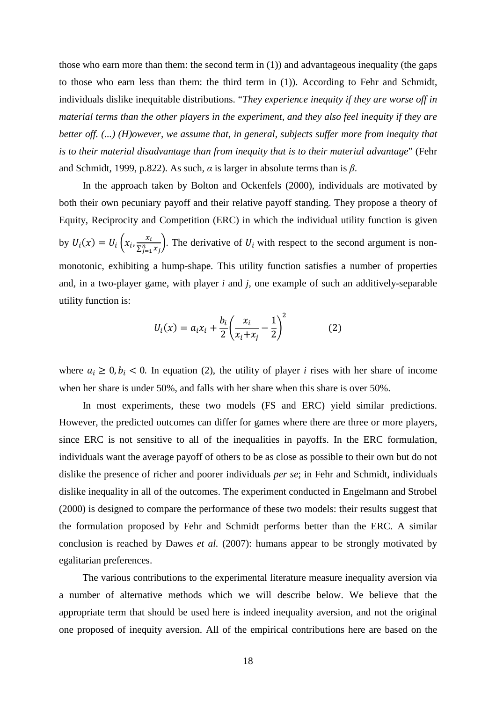those who earn more than them: the second term in (1)) and advantageous inequality (the gaps to those who earn less than them: the third term in (1)). According to Fehr and Schmidt, individuals dislike inequitable distributions. "*They experience inequity if they are worse off in material terms than the other players in the experiment, and they also feel inequity if they are better off. (...) (H)owever, we assume that, in general, subjects suffer more from inequity that is to their material disadvantage than from inequity that is to their material advantage*" (Fehr and Schmidt, 1999, p.822). As such, *α* is larger in absolute terms than is *β*.

In the approach taken by Bolton and Ockenfels (2000), individuals are motivated by both their own pecuniary payoff and their relative payoff standing. They propose a theory of Equity, Reciprocity and Competition (ERC) in which the individual utility function is given by  $U_i(x) = U_i\left(x_i, \frac{x_i}{\sum_{i=1}^{n}}\right)$  $\frac{x_i}{\sum_{j=1}^n x_j}$ . The derivative of  $U_i$  with respect to the second argument is nonmonotonic, exhibiting a hump-shape. This utility function satisfies a number of properties and, in a two-player game, with player *i* and *j,* one example of such an additively-separable utility function is:

$$
U_i(x) = a_i x_i + \frac{b_i}{2} \left( \frac{x_i}{x_i + x_j} - \frac{1}{2} \right)^2 \tag{2}
$$

where  $a_i \geq 0, b_i < 0$ . In equation (2), the utility of player *i* rises with her share of income when her share is under 50%, and falls with her share when this share is over 50%.

In most experiments, these two models (FS and ERC) yield similar predictions. However, the predicted outcomes can differ for games where there are three or more players, since ERC is not sensitive to all of the inequalities in payoffs. In the ERC formulation, individuals want the average payoff of others to be as close as possible to their own but do not dislike the presence of richer and poorer individuals *per se*; in Fehr and Schmidt, individuals dislike inequality in all of the outcomes. The experiment conducted in Engelmann and Strobel (2000) is designed to compare the performance of these two models: their results suggest that the formulation proposed by Fehr and Schmidt performs better than the ERC. A similar conclusion is reached by Dawes *et al.* (2007): humans appear to be strongly motivated by egalitarian preferences.

The various contributions to the experimental literature measure inequality aversion via a number of alternative methods which we will describe below. We believe that the appropriate term that should be used here is indeed inequality aversion, and not the original one proposed of inequity aversion. All of the empirical contributions here are based on the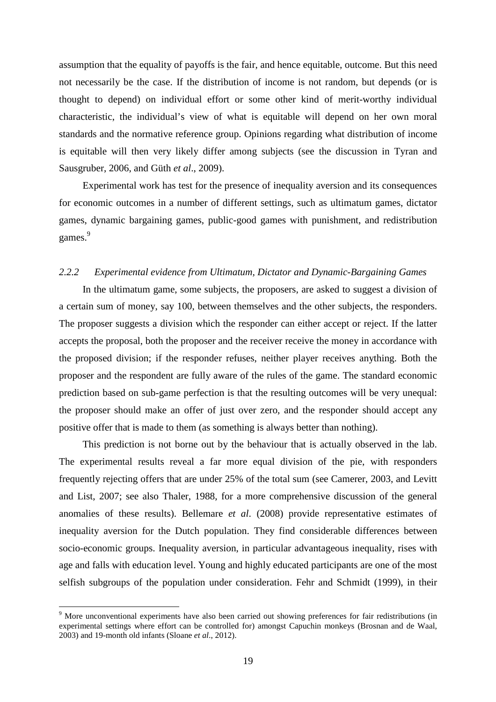assumption that the equality of payoffs is the fair, and hence equitable, outcome. But this need not necessarily be the case. If the distribution of income is not random, but depends (or is thought to depend) on individual effort or some other kind of merit-worthy individual characteristic, the individual's view of what is equitable will depend on her own moral standards and the normative reference group. Opinions regarding what distribution of income is equitable will then very likely differ among subjects (see the discussion in Tyran and Sausgruber, 2006, and Güth *et al*., 2009).

Experimental work has test for the presence of inequality aversion and its consequences for economic outcomes in a number of different settings, such as ultimatum games, dictator games, dynamic bargaining games, public-good games with punishment, and redistribution games.<sup>9</sup>

#### *2.2.2 Experimental evidence from Ultimatum, Dictator and Dynamic-Bargaining Games*

In the ultimatum game, some subjects, the proposers, are asked to suggest a division of a certain sum of money, say 100, between themselves and the other subjects, the responders. The proposer suggests a division which the responder can either accept or reject. If the latter accepts the proposal, both the proposer and the receiver receive the money in accordance with the proposed division; if the responder refuses, neither player receives anything. Both the proposer and the respondent are fully aware of the rules of the game. The standard economic prediction based on sub-game perfection is that the resulting outcomes will be very unequal: the proposer should make an offer of just over zero, and the responder should accept any positive offer that is made to them (as something is always better than nothing).

This prediction is not borne out by the behaviour that is actually observed in the lab. The experimental results reveal a far more equal division of the pie, with responders frequently rejecting offers that are under 25% of the total sum (see Camerer, 2003, and Levitt and List, 2007; see also Thaler, 1988, for a more comprehensive discussion of the general anomalies of these results). Bellemare *et al*. (2008) provide representative estimates of inequality aversion for the Dutch population. They find considerable differences between socio-economic groups. Inequality aversion, in particular advantageous inequality, rises with age and falls with education level. Young and highly educated participants are one of the most selfish subgroups of the population under consideration. Fehr and Schmidt (1999), in their

<sup>&</sup>lt;sup>9</sup> More unconventional experiments have also been carried out showing preferences for fair redistributions (in experimental settings where effort can be controlled for) amongst Capuchin monkeys (Brosnan and de Waal, 2003) and 19-month old infants (Sloane *et al*., 2012).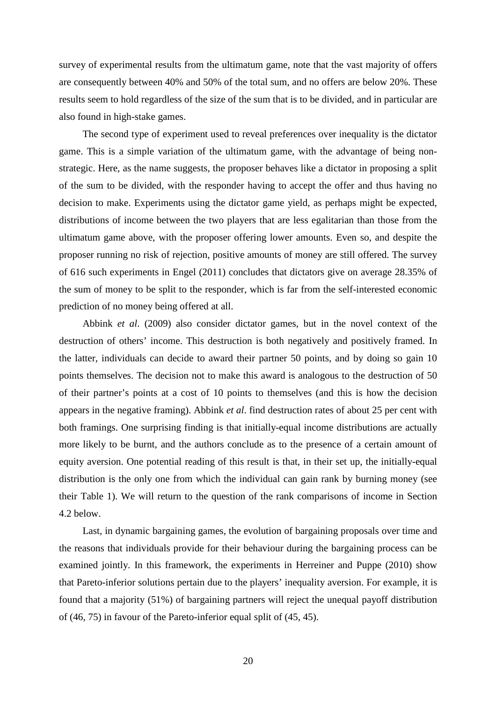survey of experimental results from the ultimatum game, note that the vast majority of offers are consequently between 40% and 50% of the total sum, and no offers are below 20%. These results seem to hold regardless of the size of the sum that is to be divided, and in particular are also found in high-stake games.

The second type of experiment used to reveal preferences over inequality is the dictator game. This is a simple variation of the ultimatum game, with the advantage of being nonstrategic. Here, as the name suggests, the proposer behaves like a dictator in proposing a split of the sum to be divided, with the responder having to accept the offer and thus having no decision to make. Experiments using the dictator game yield, as perhaps might be expected, distributions of income between the two players that are less egalitarian than those from the ultimatum game above, with the proposer offering lower amounts. Even so, and despite the proposer running no risk of rejection, positive amounts of money are still offered. The survey of 616 such experiments in Engel (2011) concludes that dictators give on average 28.35% of the sum of money to be split to the responder, which is far from the self-interested economic prediction of no money being offered at all.

Abbink *et al*. (2009) also consider dictator games, but in the novel context of the destruction of others' income. This destruction is both negatively and positively framed. In the latter, individuals can decide to award their partner 50 points, and by doing so gain 10 points themselves. The decision not to make this award is analogous to the destruction of 50 of their partner's points at a cost of 10 points to themselves (and this is how the decision appears in the negative framing). Abbink *et al*. find destruction rates of about 25 per cent with both framings. One surprising finding is that initially-equal income distributions are actually more likely to be burnt, and the authors conclude as to the presence of a certain amount of equity aversion. One potential reading of this result is that, in their set up, the initially-equal distribution is the only one from which the individual can gain rank by burning money (see their Table 1). We will return to the question of the rank comparisons of income in Section 4.2 below.

Last, in dynamic bargaining games, the evolution of bargaining proposals over time and the reasons that individuals provide for their behaviour during the bargaining process can be examined jointly. In this framework, the experiments in Herreiner and Puppe (2010) show that Pareto-inferior solutions pertain due to the players' inequality aversion. For example, it is found that a majority (51%) of bargaining partners will reject the unequal payoff distribution of (46, 75) in favour of the Pareto-inferior equal split of (45, 45).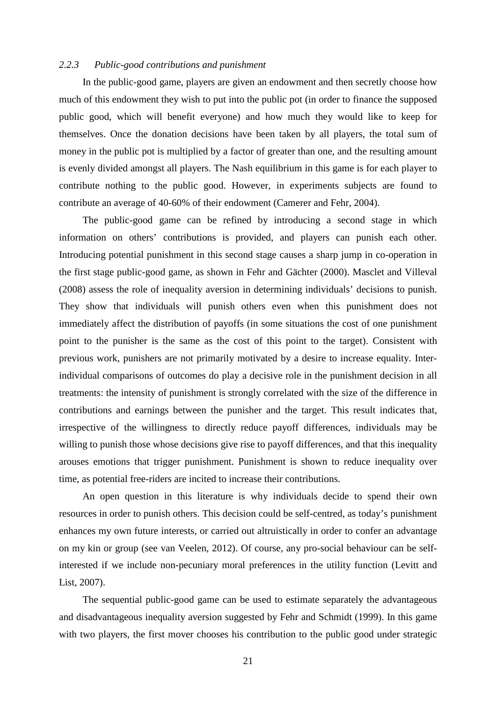#### *2.2.3 Public-good contributions and punishment*

In the public-good game, players are given an endowment and then secretly choose how much of this endowment they wish to put into the public pot (in order to finance the supposed public good, which will benefit everyone) and how much they would like to keep for themselves. Once the donation decisions have been taken by all players, the total sum of money in the public pot is multiplied by a factor of greater than one, and the resulting amount is evenly divided amongst all players. The Nash equilibrium in this game is for each player to contribute nothing to the public good. However, in experiments subjects are found to contribute an average of 40-60% of their endowment (Camerer and Fehr, 2004).

The public-good game can be refined by introducing a second stage in which information on others' contributions is provided, and players can punish each other. Introducing potential punishment in this second stage causes a sharp jump in co-operation in the first stage public-good game, as shown in Fehr and Gächter (2000). Masclet and Villeval (2008) assess the role of inequality aversion in determining individuals' decisions to punish. They show that individuals will punish others even when this punishment does not immediately affect the distribution of payoffs (in some situations the cost of one punishment point to the punisher is the same as the cost of this point to the target). Consistent with previous work, punishers are not primarily motivated by a desire to increase equality. Interindividual comparisons of outcomes do play a decisive role in the punishment decision in all treatments: the intensity of punishment is strongly correlated with the size of the difference in contributions and earnings between the punisher and the target. This result indicates that, irrespective of the willingness to directly reduce payoff differences, individuals may be willing to punish those whose decisions give rise to payoff differences, and that this inequality arouses emotions that trigger punishment. Punishment is shown to reduce inequality over time, as potential free-riders are incited to increase their contributions.

An open question in this literature is why individuals decide to spend their own resources in order to punish others. This decision could be self-centred, as today's punishment enhances my own future interests, or carried out altruistically in order to confer an advantage on my kin or group (see van Veelen, 2012). Of course, any pro-social behaviour can be selfinterested if we include non-pecuniary moral preferences in the utility function (Levitt and List, 2007).

The sequential public-good game can be used to estimate separately the advantageous and disadvantageous inequality aversion suggested by Fehr and Schmidt (1999). In this game with two players, the first mover chooses his contribution to the public good under strategic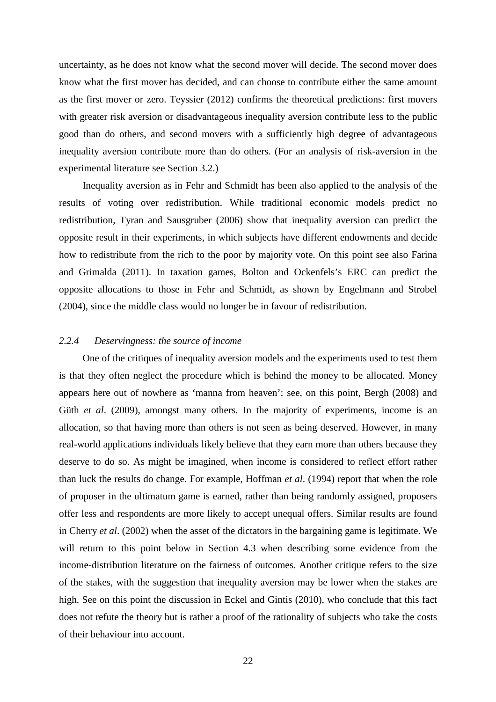uncertainty, as he does not know what the second mover will decide. The second mover does know what the first mover has decided, and can choose to contribute either the same amount as the first mover or zero. Teyssier (2012) confirms the theoretical predictions: first movers with greater risk aversion or disadvantageous inequality aversion contribute less to the public good than do others, and second movers with a sufficiently high degree of advantageous inequality aversion contribute more than do others. (For an analysis of risk-aversion in the experimental literature see Section 3.2.)

Inequality aversion as in Fehr and Schmidt has been also applied to the analysis of the results of voting over redistribution. While traditional economic models predict no redistribution, Tyran and Sausgruber (2006) show that inequality aversion can predict the opposite result in their experiments, in which subjects have different endowments and decide how to redistribute from the rich to the poor by majority vote. On this point see also Farina and Grimalda (2011). In taxation games, Bolton and Ockenfels's ERC can predict the opposite allocations to those in Fehr and Schmidt, as shown by Engelmann and Strobel (2004), since the middle class would no longer be in favour of redistribution.

#### *2.2.4 Deservingness: the source of income*

One of the critiques of inequality aversion models and the experiments used to test them is that they often neglect the procedure which is behind the money to be allocated. Money appears here out of nowhere as 'manna from heaven': see, on this point, Bergh (2008) and Güth *et al.* (2009), amongst many others. In the majority of experiments, income is an allocation, so that having more than others is not seen as being deserved. However, in many real-world applications individuals likely believe that they earn more than others because they deserve to do so. As might be imagined, when income is considered to reflect effort rather than luck the results do change. For example, Hoffman *et al*. (1994) report that when the role of proposer in the ultimatum game is earned, rather than being randomly assigned, proposers offer less and respondents are more likely to accept unequal offers. Similar results are found in Cherry *et al*. (2002) when the asset of the dictators in the bargaining game is legitimate. We will return to this point below in Section 4.3 when describing some evidence from the income-distribution literature on the fairness of outcomes. Another critique refers to the size of the stakes, with the suggestion that inequality aversion may be lower when the stakes are high. See on this point the discussion in Eckel and Gintis (2010), who conclude that this fact does not refute the theory but is rather a proof of the rationality of subjects who take the costs of their behaviour into account.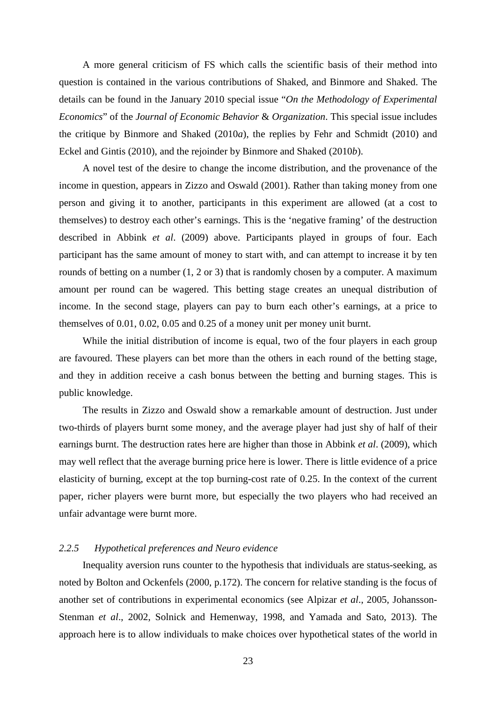A more general criticism of FS which calls the scientific basis of their method into question is contained in the various contributions of Shaked, and Binmore and Shaked. The details can be found in the January 2010 special issue "*On the Methodology of Experimental Economics*" of the *Journal of Economic Behavior* & *Organization*. This special issue includes the critique by Binmore and Shaked (2010*a*), the replies by Fehr and Schmidt (2010) and Eckel and Gintis (2010), and the rejoinder by Binmore and Shaked (2010*b*).

A novel test of the desire to change the income distribution, and the provenance of the income in question, appears in Zizzo and Oswald (2001). Rather than taking money from one person and giving it to another, participants in this experiment are allowed (at a cost to themselves) to destroy each other's earnings. This is the 'negative framing' of the destruction described in Abbink *et al*. (2009) above. Participants played in groups of four. Each participant has the same amount of money to start with, and can attempt to increase it by ten rounds of betting on a number (1, 2 or 3) that is randomly chosen by a computer. A maximum amount per round can be wagered. This betting stage creates an unequal distribution of income. In the second stage, players can pay to burn each other's earnings, at a price to themselves of 0.01, 0.02, 0.05 and 0.25 of a money unit per money unit burnt.

While the initial distribution of income is equal, two of the four players in each group are favoured. These players can bet more than the others in each round of the betting stage, and they in addition receive a cash bonus between the betting and burning stages. This is public knowledge.

The results in Zizzo and Oswald show a remarkable amount of destruction. Just under two-thirds of players burnt some money, and the average player had just shy of half of their earnings burnt. The destruction rates here are higher than those in Abbink *et al*. (2009), which may well reflect that the average burning price here is lower. There is little evidence of a price elasticity of burning, except at the top burning-cost rate of 0.25. In the context of the current paper, richer players were burnt more, but especially the two players who had received an unfair advantage were burnt more.

#### *2.2.5 Hypothetical preferences and Neuro evidence*

Inequality aversion runs counter to the hypothesis that individuals are status-seeking, as noted by Bolton and Ockenfels (2000, p.172). The concern for relative standing is the focus of another set of contributions in experimental economics (see Alpizar *et al*., 2005, Johansson-Stenman *et al*., 2002, Solnick and Hemenway, 1998, and Yamada and Sato, 2013). The approach here is to allow individuals to make choices over hypothetical states of the world in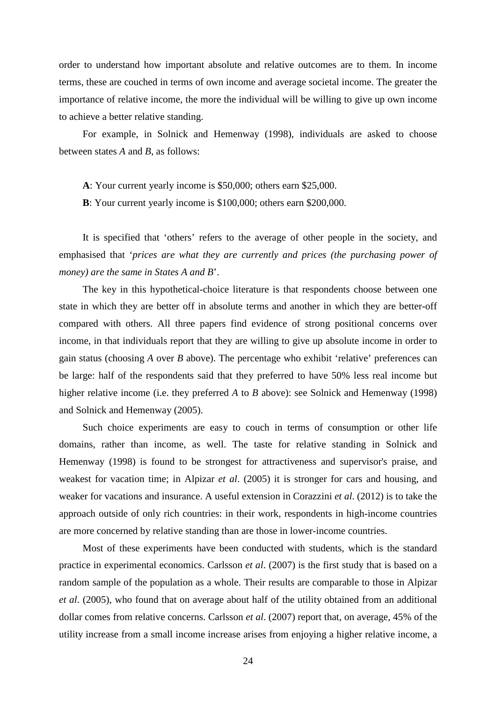order to understand how important absolute and relative outcomes are to them. In income terms, these are couched in terms of own income and average societal income. The greater the importance of relative income, the more the individual will be willing to give up own income to achieve a better relative standing.

For example, in Solnick and Hemenway (1998), individuals are asked to choose between states *A* and *B*, as follows:

- **A**: Your current yearly income is \$50,000; others earn \$25,000.
- **B**: Your current yearly income is \$100,000; others earn \$200,000.

It is specified that 'others' refers to the average of other people in the society, and emphasised that '*prices are what they are currently and prices (the purchasing power of money) are the same in States A and B*'.

The key in this hypothetical-choice literature is that respondents choose between one state in which they are better off in absolute terms and another in which they are better-off compared with others. All three papers find evidence of strong positional concerns over income, in that individuals report that they are willing to give up absolute income in order to gain status (choosing *A* over *B* above). The percentage who exhibit 'relative' preferences can be large: half of the respondents said that they preferred to have 50% less real income but higher relative income (i.e. they preferred *A* to *B* above): see Solnick and Hemenway (1998) and Solnick and Hemenway (2005).

Such choice experiments are easy to couch in terms of consumption or other life domains, rather than income, as well. The taste for relative standing in Solnick and Hemenway (1998) is found to be strongest for attractiveness and supervisor's praise, and weakest for vacation time; in Alpizar *et al*. (2005) it is stronger for cars and housing, and weaker for vacations and insurance. A useful extension in Corazzini *et al*. (2012) is to take the approach outside of only rich countries: in their work, respondents in high-income countries are more concerned by relative standing than are those in lower-income countries.

Most of these experiments have been conducted with students, which is the standard practice in experimental economics. Carlsson *et al*. (2007) is the first study that is based on a random sample of the population as a whole. Their results are comparable to those in Alpizar *et al*. (2005), who found that on average about half of the utility obtained from an additional dollar comes from relative concerns. Carlsson *et al*. (2007) report that, on average, 45% of the utility increase from a small income increase arises from enjoying a higher relative income, a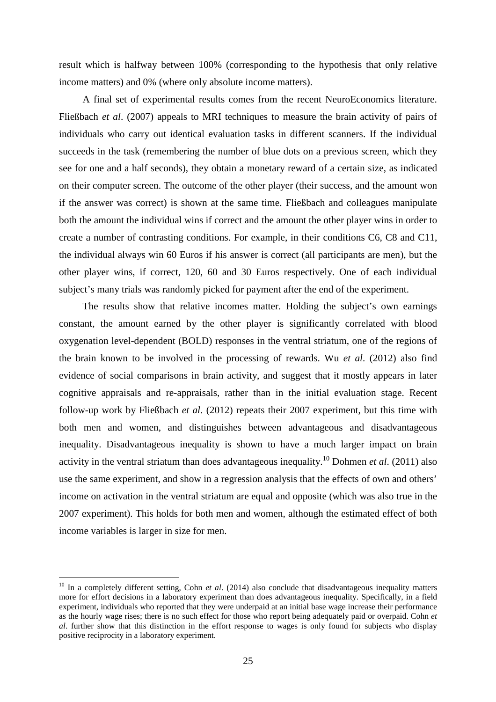result which is halfway between 100% (corresponding to the hypothesis that only relative income matters) and 0% (where only absolute income matters).

A final set of experimental results comes from the recent NeuroEconomics literature. Fließbach *et al*. (2007) appeals to MRI techniques to measure the brain activity of pairs of individuals who carry out identical evaluation tasks in different scanners. If the individual succeeds in the task (remembering the number of blue dots on a previous screen, which they see for one and a half seconds), they obtain a monetary reward of a certain size, as indicated on their computer screen. The outcome of the other player (their success, and the amount won if the answer was correct) is shown at the same time. Fließbach and colleagues manipulate both the amount the individual wins if correct and the amount the other player wins in order to create a number of contrasting conditions. For example, in their conditions C6, C8 and C11, the individual always win 60 Euros if his answer is correct (all participants are men), but the other player wins, if correct, 120, 60 and 30 Euros respectively. One of each individual subject's many trials was randomly picked for payment after the end of the experiment.

The results show that relative incomes matter. Holding the subject's own earnings constant, the amount earned by the other player is significantly correlated with blood oxygenation level-dependent (BOLD) responses in the ventral striatum, one of the regions of the brain known to be involved in the processing of rewards. Wu *et al*. (2012) also find evidence of social comparisons in brain activity, and suggest that it mostly appears in later cognitive appraisals and re-appraisals, rather than in the initial evaluation stage. Recent follow-up work by Fließbach *et al*. (2012) repeats their 2007 experiment, but this time with both men and women, and distinguishes between advantageous and disadvantageous inequality. Disadvantageous inequality is shown to have a much larger impact on brain activity in the ventral striatum than does advantageous inequality.<sup>10</sup> Dohmen *et al*. (2011) also use the same experiment, and show in a regression analysis that the effects of own and others' income on activation in the ventral striatum are equal and opposite (which was also true in the 2007 experiment). This holds for both men and women, although the estimated effect of both income variables is larger in size for men.

<sup>&</sup>lt;sup>10</sup> In a completely different setting, Cohn *et al.* (2014) also conclude that disadvantageous inequality matters more for effort decisions in a laboratory experiment than does advantageous inequality. Specifically, in a field experiment, individuals who reported that they were underpaid at an initial base wage increase their performance as the hourly wage rises; there is no such effect for those who report being adequately paid or overpaid. Cohn *et al*. further show that this distinction in the effort response to wages is only found for subjects who display positive reciprocity in a laboratory experiment.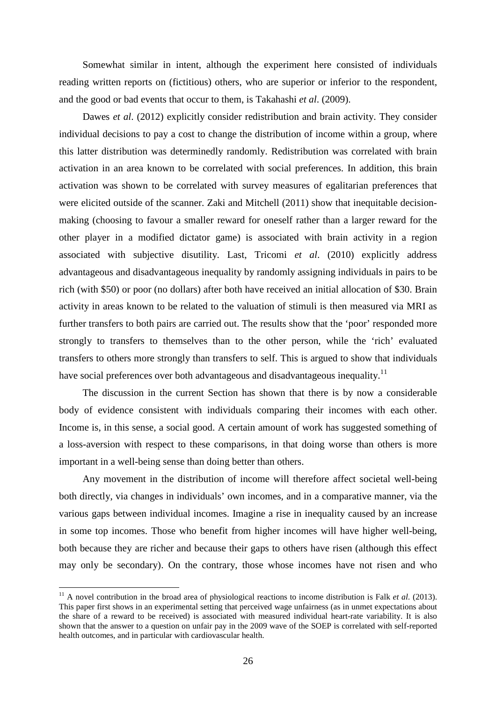Somewhat similar in intent, although the experiment here consisted of individuals reading written reports on (fictitious) others, who are superior or inferior to the respondent, and the good or bad events that occur to them, is Takahashi *et al*. (2009).

Dawes *et al.* (2012) explicitly consider redistribution and brain activity. They consider individual decisions to pay a cost to change the distribution of income within a group, where this latter distribution was determinedly randomly. Redistribution was correlated with brain activation in an area known to be correlated with social preferences. In addition, this brain activation was shown to be correlated with survey measures of egalitarian preferences that were elicited outside of the scanner. Zaki and Mitchell (2011) show that inequitable decisionmaking (choosing to favour a smaller reward for oneself rather than a larger reward for the other player in a modified dictator game) is associated with brain activity in a region associated with subjective disutility. Last, Tricomi *et al*. (2010) explicitly address advantageous and disadvantageous inequality by randomly assigning individuals in pairs to be rich (with \$50) or poor (no dollars) after both have received an initial allocation of \$30. Brain activity in areas known to be related to the valuation of stimuli is then measured via MRI as further transfers to both pairs are carried out. The results show that the 'poor' responded more strongly to transfers to themselves than to the other person, while the 'rich' evaluated transfers to others more strongly than transfers to self. This is argued to show that individuals have social preferences over both advantageous and disadvantageous inequality.<sup>11</sup>

The discussion in the current Section has shown that there is by now a considerable body of evidence consistent with individuals comparing their incomes with each other. Income is, in this sense, a social good. A certain amount of work has suggested something of a loss-aversion with respect to these comparisons, in that doing worse than others is more important in a well-being sense than doing better than others.

Any movement in the distribution of income will therefore affect societal well-being both directly, via changes in individuals' own incomes, and in a comparative manner, via the various gaps between individual incomes. Imagine a rise in inequality caused by an increase in some top incomes. Those who benefit from higher incomes will have higher well-being, both because they are richer and because their gaps to others have risen (although this effect may only be secondary). On the contrary, those whose incomes have not risen and who

<sup>&</sup>lt;sup>11</sup> A novel contribution in the broad area of physiological reactions to income distribution is Falk *et al.* (2013). This paper first shows in an experimental setting that perceived wage unfairness (as in unmet expectations about the share of a reward to be received) is associated with measured individual heart-rate variability. It is also shown that the answer to a question on unfair pay in the 2009 wave of the SOEP is correlated with self-reported health outcomes, and in particular with cardiovascular health.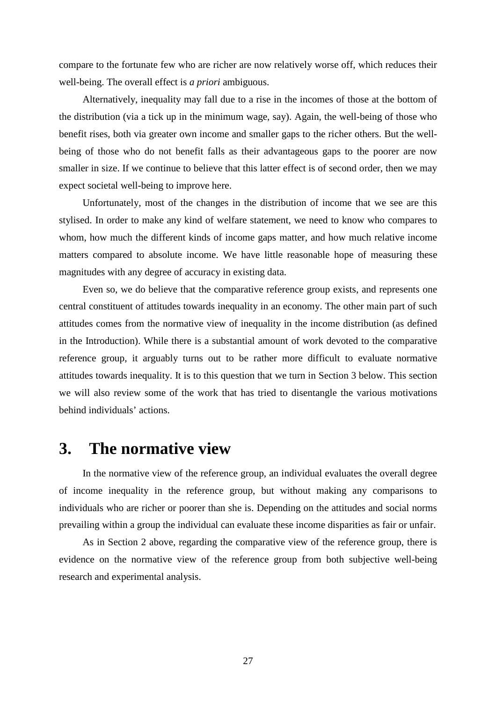compare to the fortunate few who are richer are now relatively worse off, which reduces their well-being. The overall effect is *a priori* ambiguous.

Alternatively, inequality may fall due to a rise in the incomes of those at the bottom of the distribution (via a tick up in the minimum wage, say). Again, the well-being of those who benefit rises, both via greater own income and smaller gaps to the richer others. But the wellbeing of those who do not benefit falls as their advantageous gaps to the poorer are now smaller in size. If we continue to believe that this latter effect is of second order, then we may expect societal well-being to improve here.

Unfortunately, most of the changes in the distribution of income that we see are this stylised. In order to make any kind of welfare statement, we need to know who compares to whom, how much the different kinds of income gaps matter, and how much relative income matters compared to absolute income. We have little reasonable hope of measuring these magnitudes with any degree of accuracy in existing data.

Even so, we do believe that the comparative reference group exists, and represents one central constituent of attitudes towards inequality in an economy. The other main part of such attitudes comes from the normative view of inequality in the income distribution (as defined in the Introduction). While there is a substantial amount of work devoted to the comparative reference group, it arguably turns out to be rather more difficult to evaluate normative attitudes towards inequality. It is to this question that we turn in Section 3 below. This section we will also review some of the work that has tried to disentangle the various motivations behind individuals' actions.

# **3. The normative view**

In the normative view of the reference group, an individual evaluates the overall degree of income inequality in the reference group, but without making any comparisons to individuals who are richer or poorer than she is. Depending on the attitudes and social norms prevailing within a group the individual can evaluate these income disparities as fair or unfair.

As in Section 2 above, regarding the comparative view of the reference group, there is evidence on the normative view of the reference group from both subjective well-being research and experimental analysis.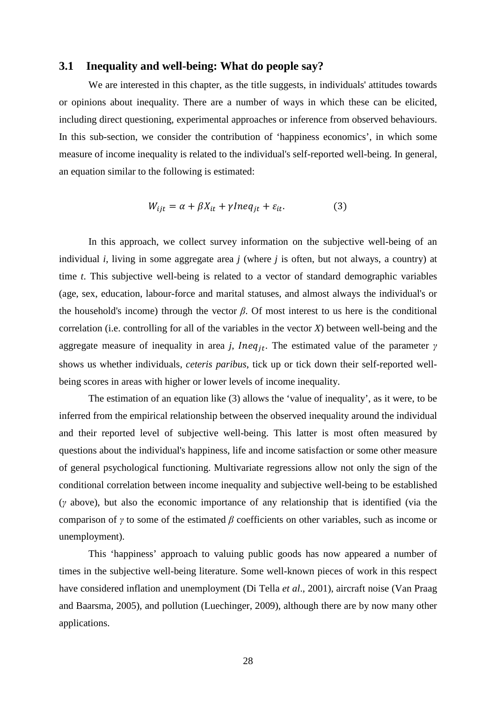#### **3.1 Inequality and well-being: What do people say?**

We are interested in this chapter, as the title suggests, in individuals' attitudes towards or opinions about inequality. There are a number of ways in which these can be elicited, including direct questioning, experimental approaches or inference from observed behaviours. In this sub-section, we consider the contribution of 'happiness economics', in which some measure of income inequality is related to the individual's self-reported well-being. In general, an equation similar to the following is estimated:

$$
W_{ijt} = \alpha + \beta X_{it} + \gamma Ineq_{jt} + \varepsilon_{it}.
$$
 (3)

In this approach, we collect survey information on the subjective well-being of an individual *i*, living in some aggregate area *j* (where *j* is often, but not always, a country) at time *t*. This subjective well-being is related to a vector of standard demographic variables (age, sex, education, labour-force and marital statuses, and almost always the individual's or the household's income) through the vector  $\beta$ . Of most interest to us here is the conditional correlation (i.e. controlling for all of the variables in the vector *X*) between well-being and the aggregate measure of inequality in area *j*, *Ineq<sub>it</sub>*. The estimated value of the parameter  $\gamma$ shows us whether individuals, *ceteris paribus*, tick up or tick down their self-reported wellbeing scores in areas with higher or lower levels of income inequality.

The estimation of an equation like (3) allows the 'value of inequality', as it were, to be inferred from the empirical relationship between the observed inequality around the individual and their reported level of subjective well-being. This latter is most often measured by questions about the individual's happiness, life and income satisfaction or some other measure of general psychological functioning. Multivariate regressions allow not only the sign of the conditional correlation between income inequality and subjective well-being to be established (*γ* above), but also the economic importance of any relationship that is identified (via the comparison of *γ* to some of the estimated *β* coefficients on other variables, such as income or unemployment).

This 'happiness' approach to valuing public goods has now appeared a number of times in the subjective well-being literature. Some well-known pieces of work in this respect have considered inflation and unemployment (Di Tella *et al*., 2001), aircraft noise (Van Praag and Baarsma, 2005), and pollution (Luechinger, 2009), although there are by now many other applications.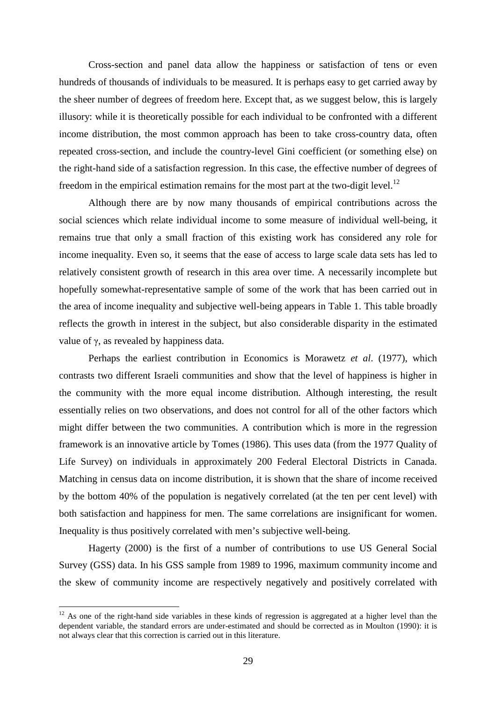Cross-section and panel data allow the happiness or satisfaction of tens or even hundreds of thousands of individuals to be measured. It is perhaps easy to get carried away by the sheer number of degrees of freedom here. Except that, as we suggest below, this is largely illusory: while it is theoretically possible for each individual to be confronted with a different income distribution, the most common approach has been to take cross-country data, often repeated cross-section, and include the country-level Gini coefficient (or something else) on the right-hand side of a satisfaction regression. In this case, the effective number of degrees of freedom in the empirical estimation remains for the most part at the two-digit level.<sup>12</sup>

Although there are by now many thousands of empirical contributions across the social sciences which relate individual income to some measure of individual well-being, it remains true that only a small fraction of this existing work has considered any role for income inequality. Even so, it seems that the ease of access to large scale data sets has led to relatively consistent growth of research in this area over time. A necessarily incomplete but hopefully somewhat-representative sample of some of the work that has been carried out in the area of income inequality and subjective well-being appears in Table 1. This table broadly reflects the growth in interest in the subject, but also considerable disparity in the estimated value of γ, as revealed by happiness data.

Perhaps the earliest contribution in Economics is Morawetz *et al*. (1977), which contrasts two different Israeli communities and show that the level of happiness is higher in the community with the more equal income distribution. Although interesting, the result essentially relies on two observations, and does not control for all of the other factors which might differ between the two communities. A contribution which is more in the regression framework is an innovative article by Tomes (1986). This uses data (from the 1977 Quality of Life Survey) on individuals in approximately 200 Federal Electoral Districts in Canada. Matching in census data on income distribution, it is shown that the share of income received by the bottom 40% of the population is negatively correlated (at the ten per cent level) with both satisfaction and happiness for men. The same correlations are insignificant for women. Inequality is thus positively correlated with men's subjective well-being.

Hagerty (2000) is the first of a number of contributions to use US General Social Survey (GSS) data. In his GSS sample from 1989 to 1996, maximum community income and the skew of community income are respectively negatively and positively correlated with

 $12$  As one of the right-hand side variables in these kinds of regression is aggregated at a higher level than the dependent variable, the standard errors are under-estimated and should be corrected as in Moulton (1990): it is not always clear that this correction is carried out in this literature.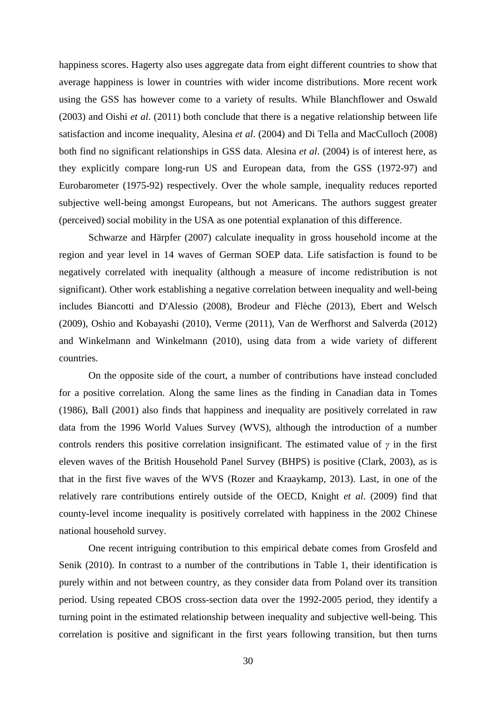happiness scores. Hagerty also uses aggregate data from eight different countries to show that average happiness is lower in countries with wider income distributions. More recent work using the GSS has however come to a variety of results. While Blanchflower and Oswald (2003) and Oishi *et al*. (2011) both conclude that there is a negative relationship between life satisfaction and income inequality, Alesina *et al*. (2004) and Di Tella and MacCulloch (2008) both find no significant relationships in GSS data. Alesina *et al*. (2004) is of interest here, as they explicitly compare long-run US and European data, from the GSS (1972-97) and Eurobarometer (1975-92) respectively. Over the whole sample, inequality reduces reported subjective well-being amongst Europeans, but not Americans. The authors suggest greater (perceived) social mobility in the USA as one potential explanation of this difference.

Schwarze and Härpfer (2007) calculate inequality in gross household income at the region and year level in 14 waves of German SOEP data. Life satisfaction is found to be negatively correlated with inequality (although a measure of income redistribution is not significant). Other work establishing a negative correlation between inequality and well-being includes Biancotti and D'Alessio (2008), Brodeur and Flèche (2013), Ebert and Welsch (2009), Oshio and Kobayashi (2010), Verme (2011), Van de Werfhorst and Salverda (2012) and Winkelmann and Winkelmann (2010), using data from a wide variety of different countries.

On the opposite side of the court, a number of contributions have instead concluded for a positive correlation. Along the same lines as the finding in Canadian data in Tomes (1986), Ball (2001) also finds that happiness and inequality are positively correlated in raw data from the 1996 World Values Survey (WVS), although the introduction of a number controls renders this positive correlation insignificant. The estimated value of *γ* in the first eleven waves of the British Household Panel Survey (BHPS) is positive (Clark, 2003), as is that in the first five waves of the WVS (Rozer and Kraaykamp, 2013). Last, in one of the relatively rare contributions entirely outside of the OECD, Knight *et al*. (2009) find that county-level income inequality is positively correlated with happiness in the 2002 Chinese national household survey.

One recent intriguing contribution to this empirical debate comes from Grosfeld and Senik (2010). In contrast to a number of the contributions in Table 1, their identification is purely within and not between country, as they consider data from Poland over its transition period. Using repeated CBOS cross-section data over the 1992-2005 period, they identify a turning point in the estimated relationship between inequality and subjective well-being. This correlation is positive and significant in the first years following transition, but then turns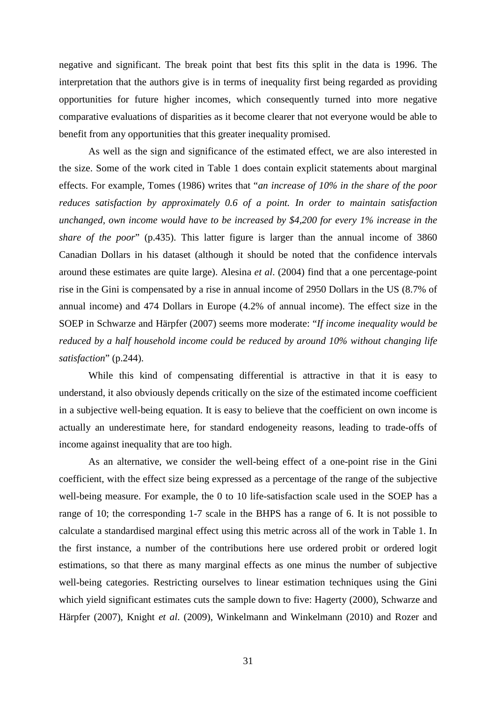negative and significant. The break point that best fits this split in the data is 1996. The interpretation that the authors give is in terms of inequality first being regarded as providing opportunities for future higher incomes, which consequently turned into more negative comparative evaluations of disparities as it become clearer that not everyone would be able to benefit from any opportunities that this greater inequality promised.

As well as the sign and significance of the estimated effect, we are also interested in the size. Some of the work cited in Table 1 does contain explicit statements about marginal effects. For example, Tomes (1986) writes that "*an increase of 10% in the share of the poor reduces satisfaction by approximately 0.6 of a point. In order to maintain satisfaction unchanged, own income would have to be increased by \$4,200 for every 1% increase in the share of the poor*" (p.435). This latter figure is larger than the annual income of 3860 Canadian Dollars in his dataset (although it should be noted that the confidence intervals around these estimates are quite large). Alesina *et al*. (2004) find that a one percentage-point rise in the Gini is compensated by a rise in annual income of 2950 Dollars in the US (8.7% of annual income) and 474 Dollars in Europe (4.2% of annual income). The effect size in the SOEP in Schwarze and Härpfer (2007) seems more moderate: "*If income inequality would be reduced by a half household income could be reduced by around 10% without changing life satisfaction*" (p.244).

While this kind of compensating differential is attractive in that it is easy to understand, it also obviously depends critically on the size of the estimated income coefficient in a subjective well-being equation. It is easy to believe that the coefficient on own income is actually an underestimate here, for standard endogeneity reasons, leading to trade-offs of income against inequality that are too high.

As an alternative, we consider the well-being effect of a one-point rise in the Gini coefficient, with the effect size being expressed as a percentage of the range of the subjective well-being measure. For example, the 0 to 10 life-satisfaction scale used in the SOEP has a range of 10; the corresponding 1-7 scale in the BHPS has a range of 6. It is not possible to calculate a standardised marginal effect using this metric across all of the work in Table 1. In the first instance, a number of the contributions here use ordered probit or ordered logit estimations, so that there as many marginal effects as one minus the number of subjective well-being categories. Restricting ourselves to linear estimation techniques using the Gini which yield significant estimates cuts the sample down to five: Hagerty (2000), Schwarze and Härpfer (2007), Knight *et al*. (2009), Winkelmann and Winkelmann (2010) and Rozer and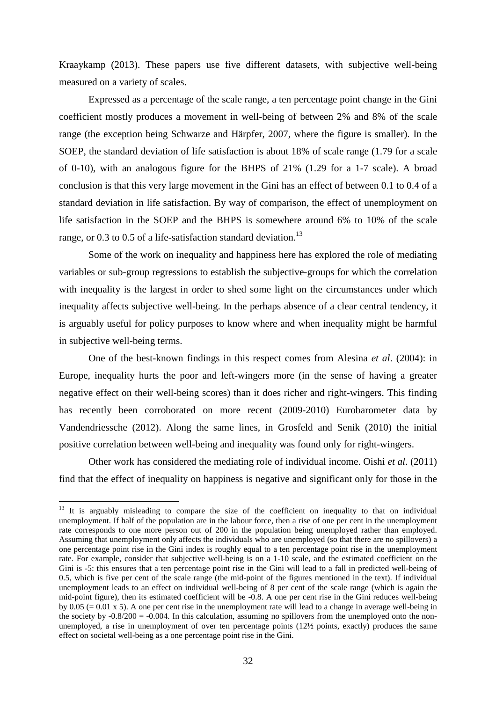Kraaykamp (2013). These papers use five different datasets, with subjective well-being measured on a variety of scales.

Expressed as a percentage of the scale range, a ten percentage point change in the Gini coefficient mostly produces a movement in well-being of between 2% and 8% of the scale range (the exception being Schwarze and Härpfer, 2007, where the figure is smaller). In the SOEP, the standard deviation of life satisfaction is about 18% of scale range (1.79 for a scale of 0-10), with an analogous figure for the BHPS of 21% (1.29 for a 1-7 scale). A broad conclusion is that this very large movement in the Gini has an effect of between 0.1 to 0.4 of a standard deviation in life satisfaction. By way of comparison, the effect of unemployment on life satisfaction in the SOEP and the BHPS is somewhere around 6% to 10% of the scale range, or 0.3 to 0.5 of a life-satisfaction standard deviation.<sup>13</sup>

Some of the work on inequality and happiness here has explored the role of mediating variables or sub-group regressions to establish the subjective-groups for which the correlation with inequality is the largest in order to shed some light on the circumstances under which inequality affects subjective well-being. In the perhaps absence of a clear central tendency, it is arguably useful for policy purposes to know where and when inequality might be harmful in subjective well-being terms.

One of the best-known findings in this respect comes from Alesina *et al*. (2004): in Europe, inequality hurts the poor and left-wingers more (in the sense of having a greater negative effect on their well-being scores) than it does richer and right-wingers. This finding has recently been corroborated on more recent (2009-2010) Eurobarometer data by Vandendriessche (2012). Along the same lines, in Grosfeld and Senik (2010) the initial positive correlation between well-being and inequality was found only for right-wingers.

Other work has considered the mediating role of individual income. Oishi *et al*. (2011) find that the effect of inequality on happiness is negative and significant only for those in the

<sup>&</sup>lt;sup>13</sup> It is arguably misleading to compare the size of the coefficient on inequality to that on individual unemployment. If half of the population are in the labour force, then a rise of one per cent in the unemployment rate corresponds to one more person out of 200 in the population being unemployed rather than employed. Assuming that unemployment only affects the individuals who are unemployed (so that there are no spillovers) a one percentage point rise in the Gini index is roughly equal to a ten percentage point rise in the unemployment rate. For example, consider that subjective well-being is on a 1-10 scale, and the estimated coefficient on the Gini is -5: this ensures that a ten percentage point rise in the Gini will lead to a fall in predicted well-being of 0.5, which is five per cent of the scale range (the mid-point of the figures mentioned in the text). If individual unemployment leads to an effect on individual well-being of 8 per cent of the scale range (which is again the mid-point figure), then its estimated coefficient will be -0.8. A one per cent rise in the Gini reduces well-being by 0.05 (= 0.01 x 5). A one per cent rise in the unemployment rate will lead to a change in average well-being in the society by  $-0.8/200 = -0.004$ . In this calculation, assuming no spillovers from the unemployed onto the nonunemployed, a rise in unemployment of over ten percentage points (12½ points, exactly) produces the same effect on societal well-being as a one percentage point rise in the Gini.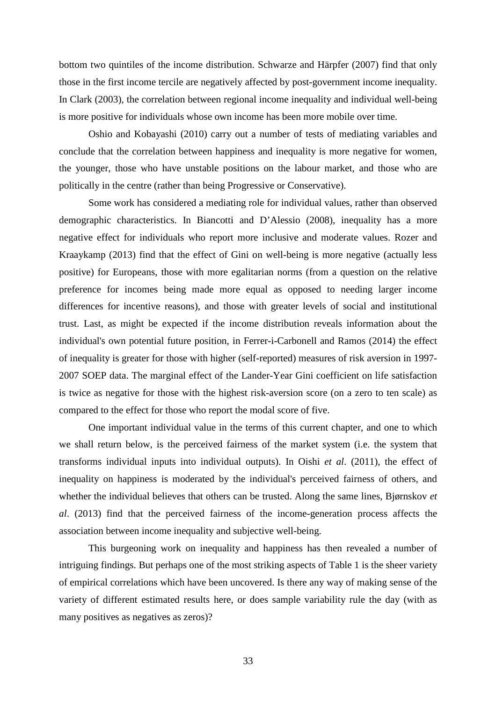bottom two quintiles of the income distribution. Schwarze and Härpfer (2007) find that only those in the first income tercile are negatively affected by post-government income inequality. In Clark (2003), the correlation between regional income inequality and individual well-being is more positive for individuals whose own income has been more mobile over time.

Oshio and Kobayashi (2010) carry out a number of tests of mediating variables and conclude that the correlation between happiness and inequality is more negative for women, the younger, those who have unstable positions on the labour market, and those who are politically in the centre (rather than being Progressive or Conservative).

Some work has considered a mediating role for individual values, rather than observed demographic characteristics. In Biancotti and D'Alessio (2008), inequality has a more negative effect for individuals who report more inclusive and moderate values. Rozer and Kraaykamp (2013) find that the effect of Gini on well-being is more negative (actually less positive) for Europeans, those with more egalitarian norms (from a question on the relative preference for incomes being made more equal as opposed to needing larger income differences for incentive reasons), and those with greater levels of social and institutional trust. Last, as might be expected if the income distribution reveals information about the individual's own potential future position, in Ferrer-i-Carbonell and Ramos (2014) the effect of inequality is greater for those with higher (self-reported) measures of risk aversion in 1997- 2007 SOEP data. The marginal effect of the Lander-Year Gini coefficient on life satisfaction is twice as negative for those with the highest risk-aversion score (on a zero to ten scale) as compared to the effect for those who report the modal score of five.

One important individual value in the terms of this current chapter, and one to which we shall return below, is the perceived fairness of the market system (i.e. the system that transforms individual inputs into individual outputs). In Oishi *et al*. (2011), the effect of inequality on happiness is moderated by the individual's perceived fairness of others, and whether the individual believes that others can be trusted. Along the same lines, Bjørnskov *et al*. (2013) find that the perceived fairness of the income-generation process affects the association between income inequality and subjective well-being.

This burgeoning work on inequality and happiness has then revealed a number of intriguing findings. But perhaps one of the most striking aspects of Table 1 is the sheer variety of empirical correlations which have been uncovered. Is there any way of making sense of the variety of different estimated results here, or does sample variability rule the day (with as many positives as negatives as zeros)?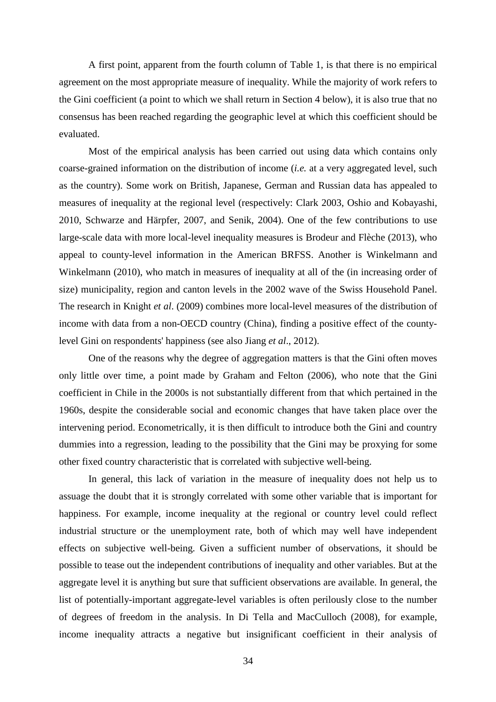A first point, apparent from the fourth column of Table 1, is that there is no empirical agreement on the most appropriate measure of inequality. While the majority of work refers to the Gini coefficient (a point to which we shall return in Section 4 below), it is also true that no consensus has been reached regarding the geographic level at which this coefficient should be evaluated.

Most of the empirical analysis has been carried out using data which contains only coarse-grained information on the distribution of income (*i.e.* at a very aggregated level, such as the country). Some work on British, Japanese, German and Russian data has appealed to measures of inequality at the regional level (respectively: Clark 2003, Oshio and Kobayashi, 2010, Schwarze and Härpfer, 2007, and Senik, 2004). One of the few contributions to use large-scale data with more local-level inequality measures is Brodeur and Flèche (2013), who appeal to county-level information in the American BRFSS. Another is Winkelmann and Winkelmann (2010), who match in measures of inequality at all of the (in increasing order of size) municipality, region and canton levels in the 2002 wave of the Swiss Household Panel. The research in Knight *et al*. (2009) combines more local-level measures of the distribution of income with data from a non-OECD country (China), finding a positive effect of the countylevel Gini on respondents' happiness (see also Jiang *et al*., 2012).

One of the reasons why the degree of aggregation matters is that the Gini often moves only little over time, a point made by Graham and Felton (2006), who note that the Gini coefficient in Chile in the 2000s is not substantially different from that which pertained in the 1960s, despite the considerable social and economic changes that have taken place over the intervening period. Econometrically, it is then difficult to introduce both the Gini and country dummies into a regression, leading to the possibility that the Gini may be proxying for some other fixed country characteristic that is correlated with subjective well-being.

In general, this lack of variation in the measure of inequality does not help us to assuage the doubt that it is strongly correlated with some other variable that is important for happiness. For example, income inequality at the regional or country level could reflect industrial structure or the unemployment rate, both of which may well have independent effects on subjective well-being. Given a sufficient number of observations, it should be possible to tease out the independent contributions of inequality and other variables. But at the aggregate level it is anything but sure that sufficient observations are available. In general, the list of potentially-important aggregate-level variables is often perilously close to the number of degrees of freedom in the analysis. In Di Tella and MacCulloch (2008), for example, income inequality attracts a negative but insignificant coefficient in their analysis of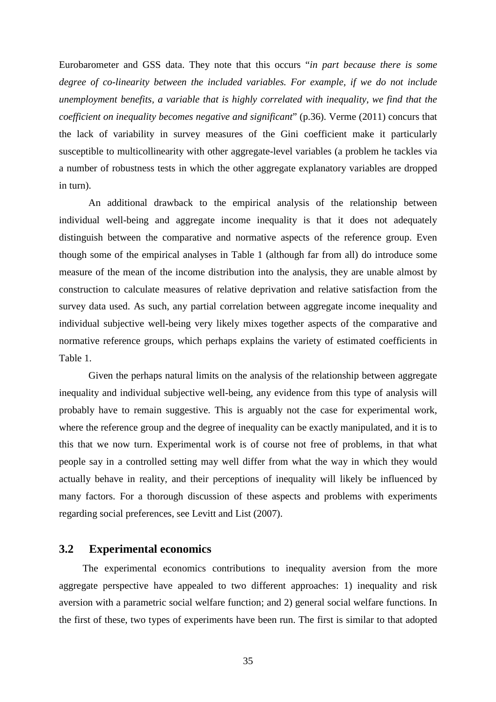Eurobarometer and GSS data. They note that this occurs "*in part because there is some degree of co-linearity between the included variables. For example, if we do not include unemployment benefits, a variable that is highly correlated with inequality, we find that the coefficient on inequality becomes negative and significant*" (p.36). Verme (2011) concurs that the lack of variability in survey measures of the Gini coefficient make it particularly susceptible to multicollinearity with other aggregate-level variables (a problem he tackles via a number of robustness tests in which the other aggregate explanatory variables are dropped in turn).

An additional drawback to the empirical analysis of the relationship between individual well-being and aggregate income inequality is that it does not adequately distinguish between the comparative and normative aspects of the reference group. Even though some of the empirical analyses in Table 1 (although far from all) do introduce some measure of the mean of the income distribution into the analysis, they are unable almost by construction to calculate measures of relative deprivation and relative satisfaction from the survey data used. As such, any partial correlation between aggregate income inequality and individual subjective well-being very likely mixes together aspects of the comparative and normative reference groups, which perhaps explains the variety of estimated coefficients in Table 1.

Given the perhaps natural limits on the analysis of the relationship between aggregate inequality and individual subjective well-being, any evidence from this type of analysis will probably have to remain suggestive. This is arguably not the case for experimental work, where the reference group and the degree of inequality can be exactly manipulated, and it is to this that we now turn. Experimental work is of course not free of problems, in that what people say in a controlled setting may well differ from what the way in which they would actually behave in reality, and their perceptions of inequality will likely be influenced by many factors. For a thorough discussion of these aspects and problems with experiments regarding social preferences, see Levitt and List (2007).

## **3.2 Experimental economics**

The experimental economics contributions to inequality aversion from the more aggregate perspective have appealed to two different approaches: 1) inequality and risk aversion with a parametric social welfare function; and 2) general social welfare functions. In the first of these, two types of experiments have been run. The first is similar to that adopted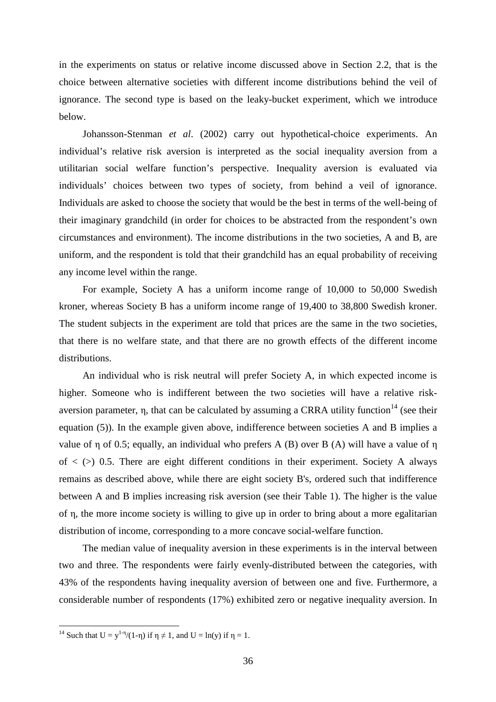in the experiments on status or relative income discussed above in Section 2.2, that is the choice between alternative societies with different income distributions behind the veil of ignorance. The second type is based on the leaky-bucket experiment, which we introduce below.

Johansson-Stenman *et al*. (2002) carry out hypothetical-choice experiments. An individual's relative risk aversion is interpreted as the social inequality aversion from a utilitarian social welfare function's perspective. Inequality aversion is evaluated via individuals' choices between two types of society, from behind a veil of ignorance. Individuals are asked to choose the society that would be the best in terms of the well-being of their imaginary grandchild (in order for choices to be abstracted from the respondent's own circumstances and environment). The income distributions in the two societies, A and B, are uniform, and the respondent is told that their grandchild has an equal probability of receiving any income level within the range.

For example, Society A has a uniform income range of 10,000 to 50,000 Swedish kroner, whereas Society B has a uniform income range of 19,400 to 38,800 Swedish kroner. The student subjects in the experiment are told that prices are the same in the two societies, that there is no welfare state, and that there are no growth effects of the different income distributions.

An individual who is risk neutral will prefer Society A, in which expected income is higher. Someone who is indifferent between the two societies will have a relative riskaversion parameter,  $\eta$ , that can be calculated by assuming a CRRA utility function<sup>14</sup> (see their equation (5)). In the example given above, indifference between societies A and B implies a value of η of 0.5; equally, an individual who prefers A (B) over B (A) will have a value of η of  $\langle \rangle$  0.5. There are eight different conditions in their experiment. Society A always remains as described above, while there are eight society B's, ordered such that indifference between A and B implies increasing risk aversion (see their Table 1). The higher is the value of η, the more income society is willing to give up in order to bring about a more egalitarian distribution of income, corresponding to a more concave social-welfare function.

The median value of inequality aversion in these experiments is in the interval between two and three. The respondents were fairly evenly-distributed between the categories, with 43% of the respondents having inequality aversion of between one and five. Furthermore, a considerable number of respondents (17%) exhibited zero or negative inequality aversion. In

<sup>&</sup>lt;sup>14</sup> Such that  $U = y^{1-\eta}/(1-\eta)$  if  $\eta \neq 1$ , and  $U = \ln(y)$  if  $\eta = 1$ .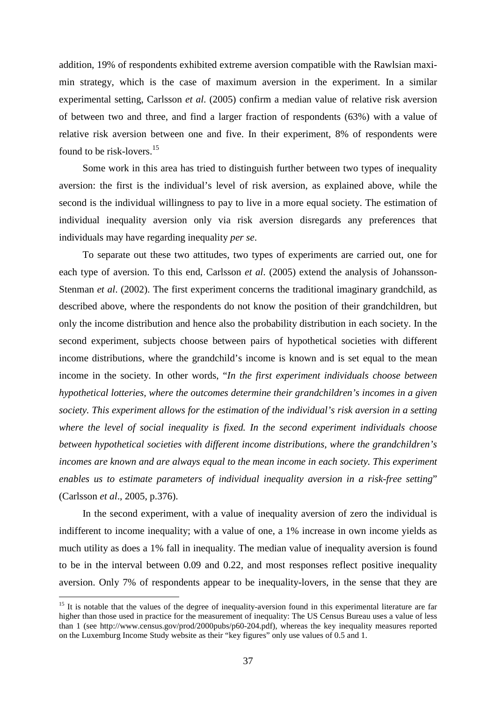addition, 19% of respondents exhibited extreme aversion compatible with the Rawlsian maximin strategy, which is the case of maximum aversion in the experiment. In a similar experimental setting, Carlsson *et al*. (2005) confirm a median value of relative risk aversion of between two and three, and find a larger fraction of respondents (63%) with a value of relative risk aversion between one and five. In their experiment, 8% of respondents were found to be risk-lovers.<sup>15</sup>

Some work in this area has tried to distinguish further between two types of inequality aversion: the first is the individual's level of risk aversion, as explained above, while the second is the individual willingness to pay to live in a more equal society. The estimation of individual inequality aversion only via risk aversion disregards any preferences that individuals may have regarding inequality *per se*.

To separate out these two attitudes, two types of experiments are carried out, one for each type of aversion. To this end, Carlsson *et al*. (2005) extend the analysis of Johansson-Stenman *et al*. (2002). The first experiment concerns the traditional imaginary grandchild, as described above, where the respondents do not know the position of their grandchildren, but only the income distribution and hence also the probability distribution in each society. In the second experiment, subjects choose between pairs of hypothetical societies with different income distributions, where the grandchild's income is known and is set equal to the mean income in the society. In other words, "*In the first experiment individuals choose between hypothetical lotteries, where the outcomes determine their grandchildren's incomes in a given society. This experiment allows for the estimation of the individual's risk aversion in a setting where the level of social inequality is fixed. In the second experiment individuals choose between hypothetical societies with different income distributions, where the grandchildren's*  incomes are known and are always equal to the mean income in each society. This experiment *enables us to estimate parameters of individual inequality aversion in a risk-free setting*" (Carlsson *et al*., 2005, p.376).

In the second experiment, with a value of inequality aversion of zero the individual is indifferent to income inequality; with a value of one, a 1% increase in own income yields as much utility as does a 1% fall in inequality. The median value of inequality aversion is found to be in the interval between 0.09 and 0.22, and most responses reflect positive inequality aversion. Only 7% of respondents appear to be inequality-lovers, in the sense that they are

<sup>&</sup>lt;sup>15</sup> It is notable that the values of the degree of inequality-aversion found in this experimental literature are far higher than those used in practice for the measurement of inequality: The US Census Bureau uses a value of less than 1 (see http://www.census.gov/prod/2000pubs/p60-204.pdf), whereas the key inequality measures reported on the Luxemburg Income Study website as their "key figures" only use values of 0.5 and 1.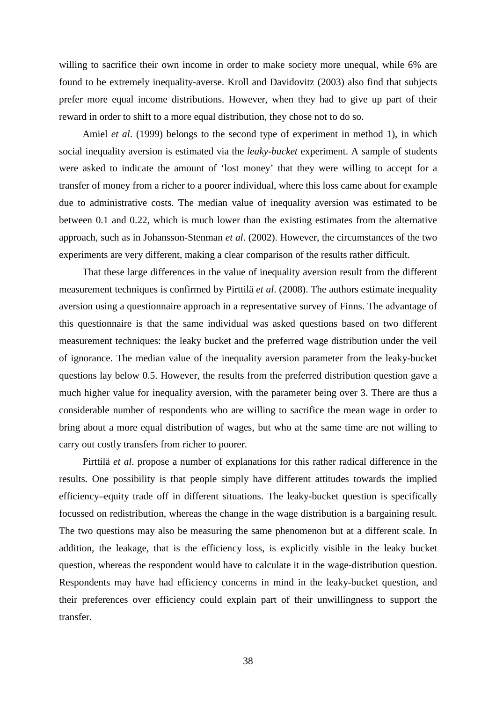willing to sacrifice their own income in order to make society more unequal, while 6% are found to be extremely inequality-averse. Kroll and Davidovitz (2003) also find that subjects prefer more equal income distributions. However, when they had to give up part of their reward in order to shift to a more equal distribution, they chose not to do so.

Amiel *et al*. (1999) belongs to the second type of experiment in method 1), in which social inequality aversion is estimated via the *leaky-bucket* experiment. A sample of students were asked to indicate the amount of 'lost money' that they were willing to accept for a transfer of money from a richer to a poorer individual, where this loss came about for example due to administrative costs. The median value of inequality aversion was estimated to be between 0.1 and 0.22, which is much lower than the existing estimates from the alternative approach, such as in Johansson-Stenman *et al*. (2002). However, the circumstances of the two experiments are very different, making a clear comparison of the results rather difficult.

That these large differences in the value of inequality aversion result from the different measurement techniques is confirmed by Pirttilä *et al*. (2008). The authors estimate inequality aversion using a questionnaire approach in a representative survey of Finns. The advantage of this questionnaire is that the same individual was asked questions based on two different measurement techniques: the leaky bucket and the preferred wage distribution under the veil of ignorance. The median value of the inequality aversion parameter from the leaky-bucket questions lay below 0.5. However, the results from the preferred distribution question gave a much higher value for inequality aversion, with the parameter being over 3. There are thus a considerable number of respondents who are willing to sacrifice the mean wage in order to bring about a more equal distribution of wages, but who at the same time are not willing to carry out costly transfers from richer to poorer.

Pirttilä *et al*. propose a number of explanations for this rather radical difference in the results. One possibility is that people simply have different attitudes towards the implied efficiency–equity trade off in different situations. The leaky-bucket question is specifically focussed on redistribution, whereas the change in the wage distribution is a bargaining result. The two questions may also be measuring the same phenomenon but at a different scale. In addition, the leakage, that is the efficiency loss, is explicitly visible in the leaky bucket question, whereas the respondent would have to calculate it in the wage-distribution question. Respondents may have had efficiency concerns in mind in the leaky-bucket question, and their preferences over efficiency could explain part of their unwillingness to support the transfer.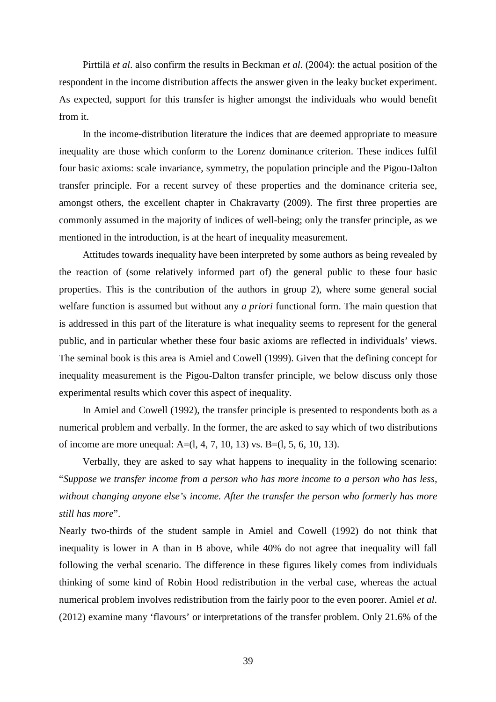Pirttilä *et al*. also confirm the results in Beckman *et al*. (2004): the actual position of the respondent in the income distribution affects the answer given in the leaky bucket experiment. As expected, support for this transfer is higher amongst the individuals who would benefit from it.

In the income-distribution literature the indices that are deemed appropriate to measure inequality are those which conform to the Lorenz dominance criterion. These indices fulfil four basic axioms: scale invariance, symmetry, the population principle and the Pigou-Dalton transfer principle. For a recent survey of these properties and the dominance criteria see, amongst others, the excellent chapter in Chakravarty (2009). The first three properties are commonly assumed in the majority of indices of well-being; only the transfer principle, as we mentioned in the introduction, is at the heart of inequality measurement.

Attitudes towards inequality have been interpreted by some authors as being revealed by the reaction of (some relatively informed part of) the general public to these four basic properties. This is the contribution of the authors in group 2), where some general social welfare function is assumed but without any *a priori* functional form. The main question that is addressed in this part of the literature is what inequality seems to represent for the general public, and in particular whether these four basic axioms are reflected in individuals' views. The seminal book is this area is Amiel and Cowell (1999). Given that the defining concept for inequality measurement is the Pigou-Dalton transfer principle, we below discuss only those experimental results which cover this aspect of inequality.

In Amiel and Cowell (1992), the transfer principle is presented to respondents both as a numerical problem and verbally. In the former, the are asked to say which of two distributions of income are more unequal: A=(l, 4, 7, 10, 13) vs. B=(l, 5, 6, 10, 13).

Verbally, they are asked to say what happens to inequality in the following scenario: "*Suppose we transfer income from a person who has more income to a person who has less, without changing anyone else's income. After the transfer the person who formerly has more still has more*".

Nearly two-thirds of the student sample in Amiel and Cowell (1992) do not think that inequality is lower in A than in B above, while 40% do not agree that inequality will fall following the verbal scenario. The difference in these figures likely comes from individuals thinking of some kind of Robin Hood redistribution in the verbal case, whereas the actual numerical problem involves redistribution from the fairly poor to the even poorer. Amiel *et al*. (2012) examine many 'flavours' or interpretations of the transfer problem. Only 21.6% of the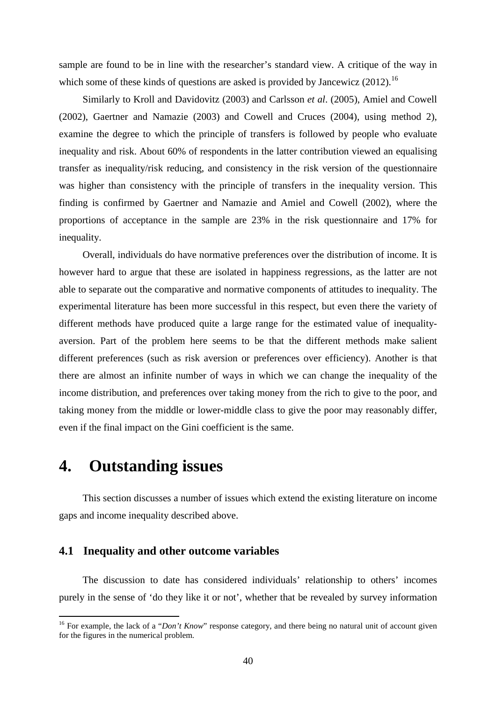sample are found to be in line with the researcher's standard view. A critique of the way in which some of these kinds of questions are asked is provided by Jancewicz  $(2012)$ .<sup>16</sup>

Similarly to Kroll and Davidovitz (2003) and Carlsson *et al*. (2005), Amiel and Cowell (2002), Gaertner and Namazie (2003) and Cowell and Cruces (2004), using method 2), examine the degree to which the principle of transfers is followed by people who evaluate inequality and risk. About 60% of respondents in the latter contribution viewed an equalising transfer as inequality/risk reducing, and consistency in the risk version of the questionnaire was higher than consistency with the principle of transfers in the inequality version. This finding is confirmed by Gaertner and Namazie and Amiel and Cowell (2002), where the proportions of acceptance in the sample are 23% in the risk questionnaire and 17% for inequality.

Overall, individuals do have normative preferences over the distribution of income. It is however hard to argue that these are isolated in happiness regressions, as the latter are not able to separate out the comparative and normative components of attitudes to inequality. The experimental literature has been more successful in this respect, but even there the variety of different methods have produced quite a large range for the estimated value of inequalityaversion. Part of the problem here seems to be that the different methods make salient different preferences (such as risk aversion or preferences over efficiency). Another is that there are almost an infinite number of ways in which we can change the inequality of the income distribution, and preferences over taking money from the rich to give to the poor, and taking money from the middle or lower-middle class to give the poor may reasonably differ, even if the final impact on the Gini coefficient is the same.

# **4. Outstanding issues**

 $\overline{a}$ 

This section discusses a number of issues which extend the existing literature on income gaps and income inequality described above.

### **4.1 Inequality and other outcome variables**

The discussion to date has considered individuals' relationship to others' incomes purely in the sense of 'do they like it or not', whether that be revealed by survey information

<sup>&</sup>lt;sup>16</sup> For example, the lack of a "*Don't Know*" response category, and there being no natural unit of account given for the figures in the numerical problem.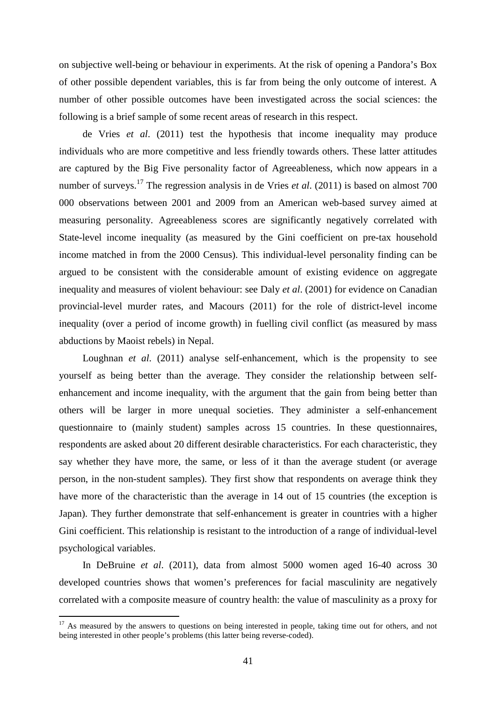on subjective well-being or behaviour in experiments. At the risk of opening a Pandora's Box of other possible dependent variables, this is far from being the only outcome of interest. A number of other possible outcomes have been investigated across the social sciences: the following is a brief sample of some recent areas of research in this respect.

de Vries *et al*. (2011) test the hypothesis that income inequality may produce individuals who are more competitive and less friendly towards others. These latter attitudes are captured by the Big Five personality factor of Agreeableness, which now appears in a number of surveys.<sup>17</sup> The regression analysis in de Vries *et al.* (2011) is based on almost 700 000 observations between 2001 and 2009 from an American web-based survey aimed at measuring personality. Agreeableness scores are significantly negatively correlated with State-level income inequality (as measured by the Gini coefficient on pre-tax household income matched in from the 2000 Census). This individual-level personality finding can be argued to be consistent with the considerable amount of existing evidence on aggregate inequality and measures of violent behaviour: see Daly *et al*. (2001) for evidence on Canadian provincial-level murder rates, and Macours (2011) for the role of district-level income inequality (over a period of income growth) in fuelling civil conflict (as measured by mass abductions by Maoist rebels) in Nepal.

Loughnan *et al*. (2011) analyse self-enhancement, which is the propensity to see yourself as being better than the average. They consider the relationship between selfenhancement and income inequality, with the argument that the gain from being better than others will be larger in more unequal societies. They administer a self-enhancement questionnaire to (mainly student) samples across 15 countries. In these questionnaires, respondents are asked about 20 different desirable characteristics. For each characteristic, they say whether they have more, the same, or less of it than the average student (or average person, in the non-student samples). They first show that respondents on average think they have more of the characteristic than the average in 14 out of 15 countries (the exception is Japan). They further demonstrate that self-enhancement is greater in countries with a higher Gini coefficient. This relationship is resistant to the introduction of a range of individual-level psychological variables.

In DeBruine *et al*. (2011), data from almost 5000 women aged 16-40 across 30 developed countries shows that women's preferences for facial masculinity are negatively correlated with a composite measure of country health: the value of masculinity as a proxy for

<sup>&</sup>lt;sup>17</sup> As measured by the answers to questions on being interested in people, taking time out for others, and not being interested in other people's problems (this latter being reverse-coded).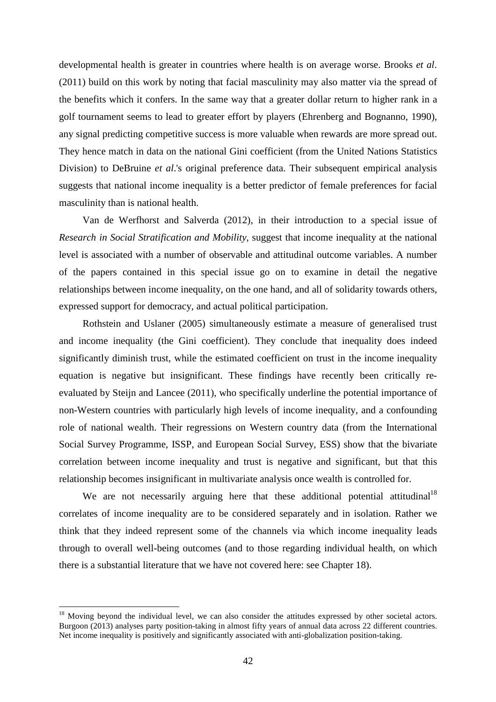developmental health is greater in countries where health is on average worse. Brooks *et al*. (2011) build on this work by noting that facial masculinity may also matter via the spread of the benefits which it confers. In the same way that a greater dollar return to higher rank in a golf tournament seems to lead to greater effort by players (Ehrenberg and Bognanno, 1990), any signal predicting competitive success is more valuable when rewards are more spread out. They hence match in data on the national Gini coefficient (from the United Nations Statistics Division) to DeBruine *et al*.'s original preference data. Their subsequent empirical analysis suggests that national income inequality is a better predictor of female preferences for facial masculinity than is national health.

Van de Werfhorst and Salverda (2012), in their introduction to a special issue of *Research in Social Stratification and Mobility*, suggest that income inequality at the national level is associated with a number of observable and attitudinal outcome variables. A number of the papers contained in this special issue go on to examine in detail the negative relationships between income inequality, on the one hand, and all of solidarity towards others, expressed support for democracy, and actual political participation.

Rothstein and Uslaner (2005) simultaneously estimate a measure of generalised trust and income inequality (the Gini coefficient). They conclude that inequality does indeed significantly diminish trust, while the estimated coefficient on trust in the income inequality equation is negative but insignificant. These findings have recently been critically reevaluated by Steijn and Lancee (2011), who specifically underline the potential importance of non-Western countries with particularly high levels of income inequality, and a confounding role of national wealth. Their regressions on Western country data (from the International Social Survey Programme, ISSP, and European Social Survey, ESS) show that the bivariate correlation between income inequality and trust is negative and significant, but that this relationship becomes insignificant in multivariate analysis once wealth is controlled for.

We are not necessarily arguing here that these additional potential attitudinal<sup>18</sup> correlates of income inequality are to be considered separately and in isolation. Rather we think that they indeed represent some of the channels via which income inequality leads through to overall well-being outcomes (and to those regarding individual health, on which there is a substantial literature that we have not covered here: see Chapter 18).

<sup>&</sup>lt;sup>18</sup> Moving beyond the individual level, we can also consider the attitudes expressed by other societal actors. Burgoon (2013) analyses party position-taking in almost fifty years of annual data across 22 different countries. Net income inequality is positively and significantly associated with anti-globalization position-taking.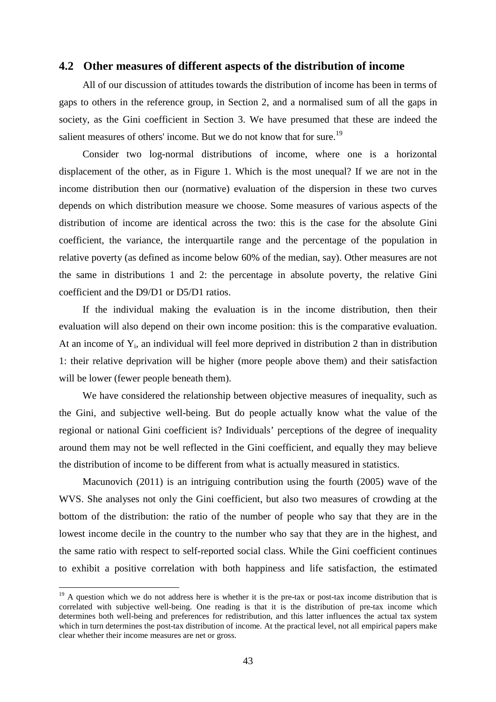#### **4.2 Other measures of different aspects of the distribution of income**

All of our discussion of attitudes towards the distribution of income has been in terms of gaps to others in the reference group, in Section 2, and a normalised sum of all the gaps in society, as the Gini coefficient in Section 3. We have presumed that these are indeed the salient measures of others' income. But we do not know that for sure.<sup>19</sup>

Consider two log-normal distributions of income, where one is a horizontal displacement of the other, as in Figure 1. Which is the most unequal? If we are not in the income distribution then our (normative) evaluation of the dispersion in these two curves depends on which distribution measure we choose. Some measures of various aspects of the distribution of income are identical across the two: this is the case for the absolute Gini coefficient, the variance, the interquartile range and the percentage of the population in relative poverty (as defined as income below 60% of the median, say). Other measures are not the same in distributions 1 and 2: the percentage in absolute poverty, the relative Gini coefficient and the D9/D1 or D5/D1 ratios.

If the individual making the evaluation is in the income distribution, then their evaluation will also depend on their own income position: this is the comparative evaluation. At an income of  $Y_i$ , an individual will feel more deprived in distribution 2 than in distribution 1: their relative deprivation will be higher (more people above them) and their satisfaction will be lower (fewer people beneath them).

We have considered the relationship between objective measures of inequality, such as the Gini, and subjective well-being. But do people actually know what the value of the regional or national Gini coefficient is? Individuals' perceptions of the degree of inequality around them may not be well reflected in the Gini coefficient, and equally they may believe the distribution of income to be different from what is actually measured in statistics.

Macunovich (2011) is an intriguing contribution using the fourth (2005) wave of the WVS. She analyses not only the Gini coefficient, but also two measures of crowding at the bottom of the distribution: the ratio of the number of people who say that they are in the lowest income decile in the country to the number who say that they are in the highest, and the same ratio with respect to self-reported social class. While the Gini coefficient continues to exhibit a positive correlation with both happiness and life satisfaction, the estimated

 $19$  A question which we do not address here is whether it is the pre-tax or post-tax income distribution that is correlated with subjective well-being. One reading is that it is the distribution of pre-tax income which determines both well-being and preferences for redistribution, and this latter influences the actual tax system which in turn determines the post-tax distribution of income. At the practical level, not all empirical papers make clear whether their income measures are net or gross.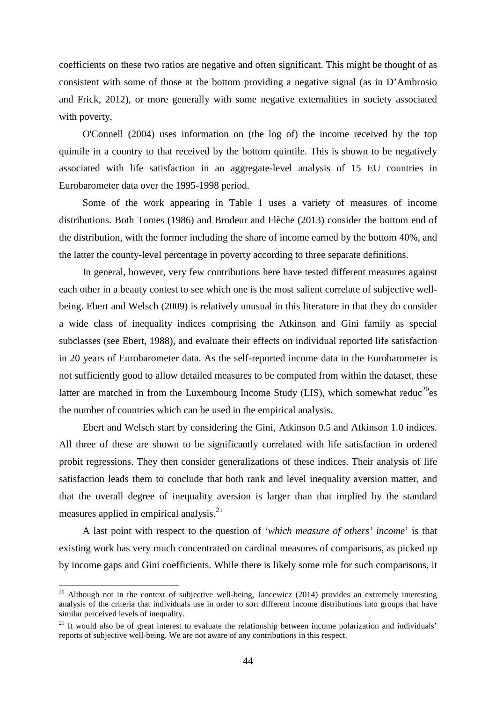coefficients on these two ratios are negative and often significant. This might be thought of as consistent with some of those at the bottom providing a negative signal (as in D'Ambrosio and Frick, 2012), or more generally with some negative externalities in society associated with poverty.

O'Connell (2004) uses information on (the log of) the income received by the top quintile in a country to that received by the bottom quintile. This is shown to be negatively associated with life satisfaction in an aggregate-level analysis of 15 EU countries in Eurobarometer data over the 1995-1998 period.

Some of the work appearing in Table 1 uses a variety of measures of income distributions. Both Tomes (1986) and Brodeur and Flèche (2013) consider the bottom end of the distribution, with the former including the share of income earned by the bottom 40%, and the latter the county-level percentage in poverty according to three separate definitions.

In general, however, very few contributions here have tested different measures against each other in a beauty contest to see which one is the most salient correlate of subjective wellbeing. Ebert and Welsch (2009) is relatively unusual in this literature in that they do consider a wide class of inequality indices comprising the Atkinson and Gini family as special subclasses (see Ebert, 1988), and evaluate their effects on individual reported life satisfaction in 20 years of Eurobarometer data. As the self-reported income data in the Eurobarometer is not sufficiently good to allow detailed measures to be computed from within the dataset, these latter are matched in from the Luxembourg Income Study (LIS), which somewhat reduc<sup>20</sup>es the number of countries which can be used in the empirical analysis.

Ebert and Welsch start by considering the Gini, Atkinson 0.5 and Atkinson 1.0 indices. All three of these are shown to be significantly correlated with life satisfaction in ordered probit regressions. They then consider generalizations of these indices. Their analysis of life satisfaction leads them to conclude that both rank and level inequality aversion matter, and that the overall degree of inequality aversion is larger than that implied by the standard measures applied in empirical analysis.<sup>21</sup>

A last point with respect to the question of '*which measure of others' income*' is that existing work has very much concentrated on cardinal measures of comparisons, as picked up by income gaps and Gini coefficients. While there is likely some role for such comparisons, it

 $20$  Although not in the context of subjective well-being, Jancewicz (2014) provides an extremely interesting analysis of the criteria that individuals use in order to sort different income distributions into groups that have similar perceived levels of inequality.

 $21$  It would also be of great interest to evaluate the relationship between income polarization and individuals' reports of subjective well-being. We are not aware of any contributions in this respect.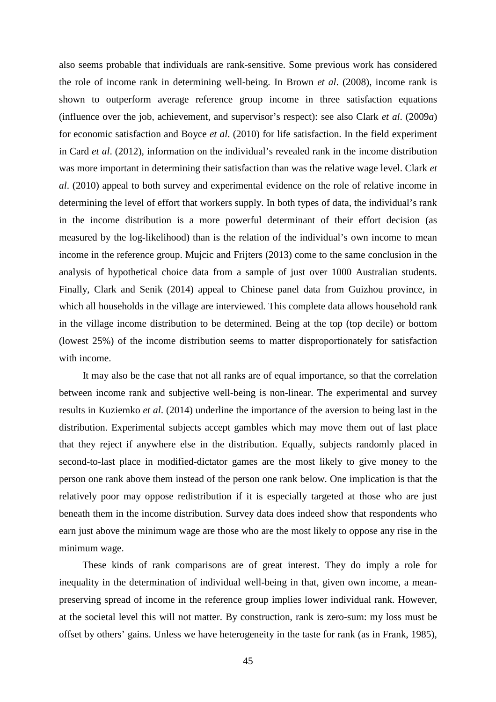also seems probable that individuals are rank-sensitive. Some previous work has considered the role of income rank in determining well-being. In Brown *et al*. (2008), income rank is shown to outperform average reference group income in three satisfaction equations (influence over the job, achievement, and supervisor's respect): see also Clark *et al*. (2009*a*) for economic satisfaction and Boyce *et al*. (2010) for life satisfaction. In the field experiment in Card *et al*. (2012), information on the individual's revealed rank in the income distribution was more important in determining their satisfaction than was the relative wage level. Clark *et al*. (2010) appeal to both survey and experimental evidence on the role of relative income in determining the level of effort that workers supply. In both types of data, the individual's rank in the income distribution is a more powerful determinant of their effort decision (as measured by the log-likelihood) than is the relation of the individual's own income to mean income in the reference group. Mujcic and Frijters (2013) come to the same conclusion in the analysis of hypothetical choice data from a sample of just over 1000 Australian students. Finally, Clark and Senik (2014) appeal to Chinese panel data from Guizhou province, in which all households in the village are interviewed. This complete data allows household rank in the village income distribution to be determined. Being at the top (top decile) or bottom (lowest 25%) of the income distribution seems to matter disproportionately for satisfaction with income.

It may also be the case that not all ranks are of equal importance, so that the correlation between income rank and subjective well-being is non-linear. The experimental and survey results in Kuziemko *et al*. (2014) underline the importance of the aversion to being last in the distribution. Experimental subjects accept gambles which may move them out of last place that they reject if anywhere else in the distribution. Equally, subjects randomly placed in second-to-last place in modified-dictator games are the most likely to give money to the person one rank above them instead of the person one rank below. One implication is that the relatively poor may oppose redistribution if it is especially targeted at those who are just beneath them in the income distribution. Survey data does indeed show that respondents who earn just above the minimum wage are those who are the most likely to oppose any rise in the minimum wage.

These kinds of rank comparisons are of great interest. They do imply a role for inequality in the determination of individual well-being in that, given own income, a meanpreserving spread of income in the reference group implies lower individual rank. However, at the societal level this will not matter. By construction, rank is zero-sum: my loss must be offset by others' gains. Unless we have heterogeneity in the taste for rank (as in Frank, 1985),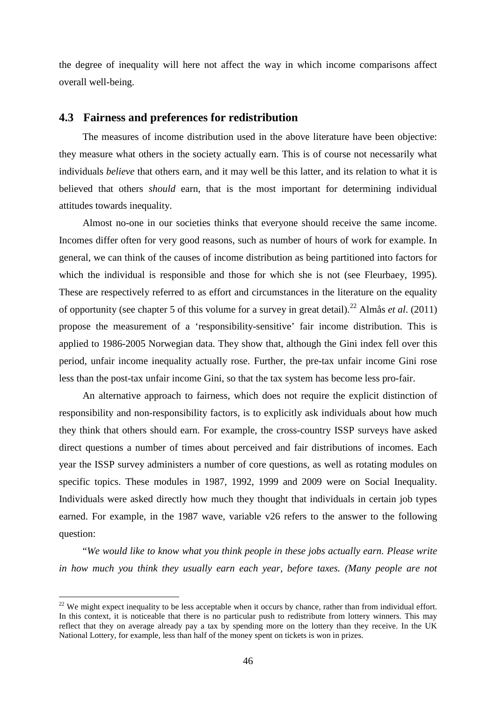the degree of inequality will here not affect the way in which income comparisons affect overall well-being.

### **4.3 Fairness and preferences for redistribution**

The measures of income distribution used in the above literature have been objective: they measure what others in the society actually earn. This is of course not necessarily what individuals *believe* that others earn, and it may well be this latter, and its relation to what it is believed that others *should* earn, that is the most important for determining individual attitudes towards inequality.

Almost no-one in our societies thinks that everyone should receive the same income. Incomes differ often for very good reasons, such as number of hours of work for example. In general, we can think of the causes of income distribution as being partitioned into factors for which the individual is responsible and those for which she is not (see Fleurbaey, 1995). These are respectively referred to as effort and circumstances in the literature on the equality of opportunity (see chapter 5 of this volume for a survey in great detail).<sup>22</sup> Almås *et al*. (2011) propose the measurement of a 'responsibility-sensitive' fair income distribution. This is applied to 1986-2005 Norwegian data. They show that, although the Gini index fell over this period, unfair income inequality actually rose. Further, the pre-tax unfair income Gini rose less than the post-tax unfair income Gini, so that the tax system has become less pro-fair.

An alternative approach to fairness, which does not require the explicit distinction of responsibility and non-responsibility factors, is to explicitly ask individuals about how much they think that others should earn. For example, the cross-country ISSP surveys have asked direct questions a number of times about perceived and fair distributions of incomes. Each year the ISSP survey administers a number of core questions, as well as rotating modules on specific topics. These modules in 1987, 1992, 1999 and 2009 were on Social Inequality. Individuals were asked directly how much they thought that individuals in certain job types earned. For example, in the 1987 wave, variable v26 refers to the answer to the following question:

"*We would like to know what you think people in these jobs actually earn. Please write in how much you think they usually earn each year, before taxes. (Many people are not* 

 $22$  We might expect inequality to be less acceptable when it occurs by chance, rather than from individual effort. In this context, it is noticeable that there is no particular push to redistribute from lottery winners. This may reflect that they on average already pay a tax by spending more on the lottery than they receive. In the UK National Lottery, for example, less than half of the money spent on tickets is won in prizes.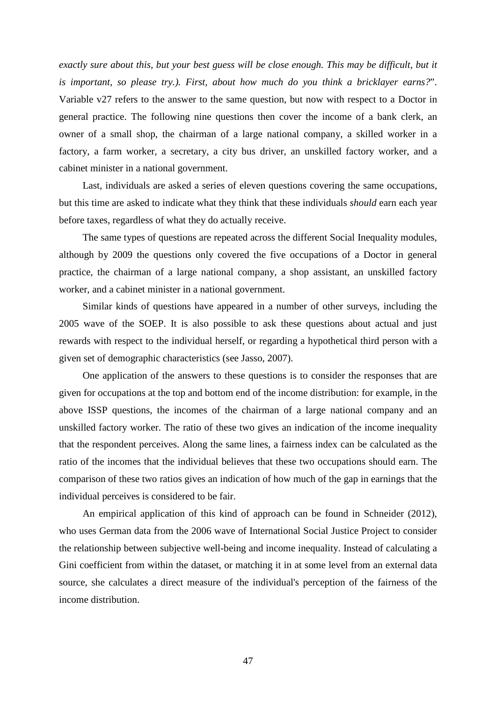*exactly sure about this, but your best guess will be close enough. This may be difficult, but it is important, so please try.). First, about how much do you think a bricklayer earns?*". Variable v27 refers to the answer to the same question, but now with respect to a Doctor in general practice. The following nine questions then cover the income of a bank clerk, an owner of a small shop, the chairman of a large national company, a skilled worker in a factory, a farm worker, a secretary, a city bus driver, an unskilled factory worker, and a cabinet minister in a national government.

Last, individuals are asked a series of eleven questions covering the same occupations, but this time are asked to indicate what they think that these individuals *should* earn each year before taxes, regardless of what they do actually receive.

The same types of questions are repeated across the different Social Inequality modules, although by 2009 the questions only covered the five occupations of a Doctor in general practice, the chairman of a large national company, a shop assistant, an unskilled factory worker, and a cabinet minister in a national government.

Similar kinds of questions have appeared in a number of other surveys, including the 2005 wave of the SOEP. It is also possible to ask these questions about actual and just rewards with respect to the individual herself, or regarding a hypothetical third person with a given set of demographic characteristics (see Jasso, 2007).

One application of the answers to these questions is to consider the responses that are given for occupations at the top and bottom end of the income distribution: for example, in the above ISSP questions, the incomes of the chairman of a large national company and an unskilled factory worker. The ratio of these two gives an indication of the income inequality that the respondent perceives. Along the same lines, a fairness index can be calculated as the ratio of the incomes that the individual believes that these two occupations should earn. The comparison of these two ratios gives an indication of how much of the gap in earnings that the individual perceives is considered to be fair.

An empirical application of this kind of approach can be found in Schneider (2012), who uses German data from the 2006 wave of International Social Justice Project to consider the relationship between subjective well-being and income inequality. Instead of calculating a Gini coefficient from within the dataset, or matching it in at some level from an external data source, she calculates a direct measure of the individual's perception of the fairness of the income distribution.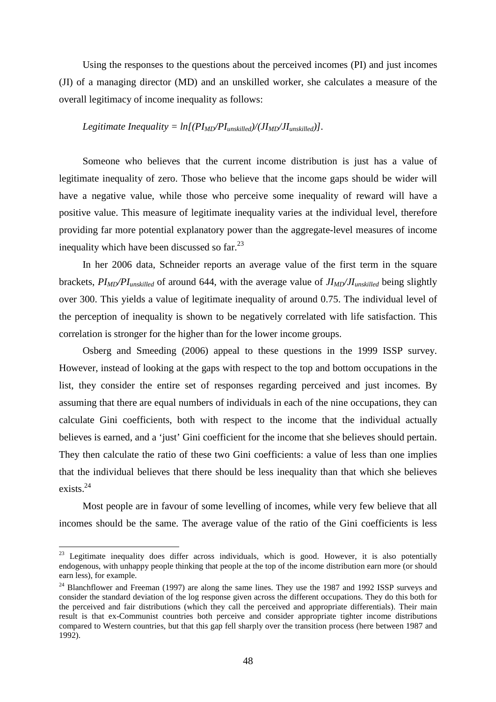Using the responses to the questions about the perceived incomes (PI) and just incomes (JI) of a managing director (MD) and an unskilled worker, she calculates a measure of the overall legitimacy of income inequality as follows:

#### *Legitimate Inequality =*  $ln[(Pl_{MD}/Pl_{unskilled})/(JI_{MD}/JI_{unskilled})]$ *.*

Someone who believes that the current income distribution is just has a value of legitimate inequality of zero. Those who believe that the income gaps should be wider will have a negative value, while those who perceive some inequality of reward will have a positive value. This measure of legitimate inequality varies at the individual level, therefore providing far more potential explanatory power than the aggregate-level measures of income inequality which have been discussed so far. $^{23}$ 

In her 2006 data, Schneider reports an average value of the first term in the square brackets,  $PI_{MD}/PI_{unskilled}$  of around 644, with the average value of  $JI_{MD}/JI_{unskilled}$  being slightly over 300. This yields a value of legitimate inequality of around 0.75. The individual level of the perception of inequality is shown to be negatively correlated with life satisfaction. This correlation is stronger for the higher than for the lower income groups.

Osberg and Smeeding (2006) appeal to these questions in the 1999 ISSP survey. However, instead of looking at the gaps with respect to the top and bottom occupations in the list, they consider the entire set of responses regarding perceived and just incomes. By assuming that there are equal numbers of individuals in each of the nine occupations, they can calculate Gini coefficients, both with respect to the income that the individual actually believes is earned, and a 'just' Gini coefficient for the income that she believes should pertain. They then calculate the ratio of these two Gini coefficients: a value of less than one implies that the individual believes that there should be less inequality than that which she believes exists.<sup>24</sup>

Most people are in favour of some levelling of incomes, while very few believe that all incomes should be the same. The average value of the ratio of the Gini coefficients is less

 $23$  Legitimate inequality does differ across individuals, which is good. However, it is also potentially endogenous, with unhappy people thinking that people at the top of the income distribution earn more (or should earn less), for example.

<sup>&</sup>lt;sup>24</sup> Blanchflower and Freeman (1997) are along the same lines. They use the 1987 and 1992 ISSP surveys and consider the standard deviation of the log response given across the different occupations. They do this both for the perceived and fair distributions (which they call the perceived and appropriate differentials). Their main result is that ex-Communist countries both perceive and consider appropriate tighter income distributions compared to Western countries, but that this gap fell sharply over the transition process (here between 1987 and 1992).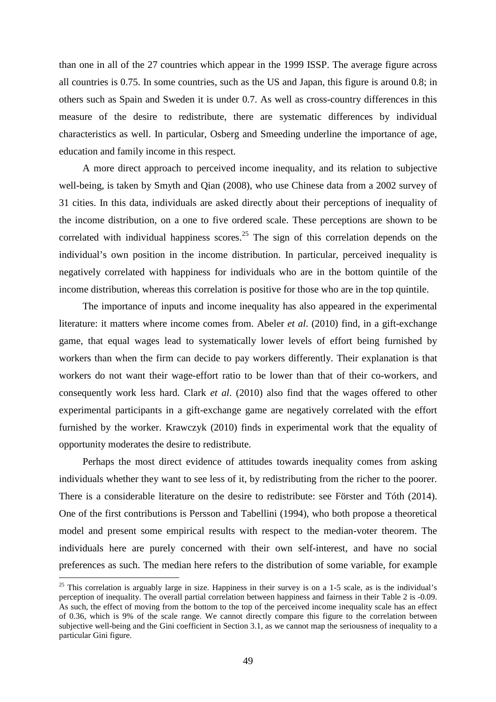than one in all of the 27 countries which appear in the 1999 ISSP. The average figure across all countries is 0.75. In some countries, such as the US and Japan, this figure is around 0.8; in others such as Spain and Sweden it is under 0.7. As well as cross-country differences in this measure of the desire to redistribute, there are systematic differences by individual characteristics as well. In particular, Osberg and Smeeding underline the importance of age, education and family income in this respect.

A more direct approach to perceived income inequality, and its relation to subjective well-being, is taken by Smyth and Qian (2008), who use Chinese data from a 2002 survey of 31 cities. In this data, individuals are asked directly about their perceptions of inequality of the income distribution, on a one to five ordered scale. These perceptions are shown to be correlated with individual happiness scores.<sup>25</sup> The sign of this correlation depends on the individual's own position in the income distribution. In particular, perceived inequality is negatively correlated with happiness for individuals who are in the bottom quintile of the income distribution, whereas this correlation is positive for those who are in the top quintile.

The importance of inputs and income inequality has also appeared in the experimental literature: it matters where income comes from. Abeler *et al*. (2010) find, in a gift-exchange game, that equal wages lead to systematically lower levels of effort being furnished by workers than when the firm can decide to pay workers differently. Their explanation is that workers do not want their wage-effort ratio to be lower than that of their co-workers, and consequently work less hard. Clark *et al*. (2010) also find that the wages offered to other experimental participants in a gift-exchange game are negatively correlated with the effort furnished by the worker. Krawczyk (2010) finds in experimental work that the equality of opportunity moderates the desire to redistribute.

Perhaps the most direct evidence of attitudes towards inequality comes from asking individuals whether they want to see less of it, by redistributing from the richer to the poorer. There is a considerable literature on the desire to redistribute: see Förster and Tóth (2014). One of the first contributions is Persson and Tabellini (1994), who both propose a theoretical model and present some empirical results with respect to the median-voter theorem. The individuals here are purely concerned with their own self-interest, and have no social preferences as such. The median here refers to the distribution of some variable, for example

 $25$  This correlation is arguably large in size. Happiness in their survey is on a 1-5 scale, as is the individual's perception of inequality. The overall partial correlation between happiness and fairness in their Table 2 is -0.09. As such, the effect of moving from the bottom to the top of the perceived income inequality scale has an effect of 0.36, which is 9% of the scale range. We cannot directly compare this figure to the correlation between subjective well-being and the Gini coefficient in Section 3.1, as we cannot map the seriousness of inequality to a particular Gini figure.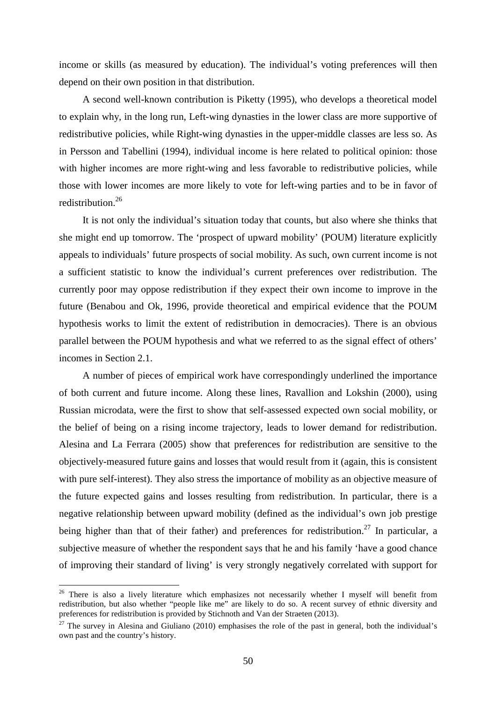income or skills (as measured by education). The individual's voting preferences will then depend on their own position in that distribution.

A second well-known contribution is Piketty (1995), who develops a theoretical model to explain why, in the long run, Left-wing dynasties in the lower class are more supportive of redistributive policies, while Right-wing dynasties in the upper-middle classes are less so. As in Persson and Tabellini (1994), individual income is here related to political opinion: those with higher incomes are more right-wing and less favorable to redistributive policies, while those with lower incomes are more likely to vote for left-wing parties and to be in favor of redistribution.<sup>26</sup>

It is not only the individual's situation today that counts, but also where she thinks that she might end up tomorrow. The 'prospect of upward mobility' (POUM) literature explicitly appeals to individuals' future prospects of social mobility. As such, own current income is not a sufficient statistic to know the individual's current preferences over redistribution. The currently poor may oppose redistribution if they expect their own income to improve in the future (Benabou and Ok, 1996, provide theoretical and empirical evidence that the POUM hypothesis works to limit the extent of redistribution in democracies). There is an obvious parallel between the POUM hypothesis and what we referred to as the signal effect of others' incomes in Section 2.1.

A number of pieces of empirical work have correspondingly underlined the importance of both current and future income. Along these lines, Ravallion and Lokshin (2000), using Russian microdata, were the first to show that self-assessed expected own social mobility, or the belief of being on a rising income trajectory, leads to lower demand for redistribution. Alesina and La Ferrara (2005) show that preferences for redistribution are sensitive to the objectively-measured future gains and losses that would result from it (again, this is consistent with pure self-interest). They also stress the importance of mobility as an objective measure of the future expected gains and losses resulting from redistribution. In particular, there is a negative relationship between upward mobility (defined as the individual's own job prestige being higher than that of their father) and preferences for redistribution.<sup>27</sup> In particular, a subjective measure of whether the respondent says that he and his family 'have a good chance of improving their standard of living' is very strongly negatively correlated with support for

<sup>&</sup>lt;sup>26</sup> There is also a lively literature which emphasizes not necessarily whether I myself will benefit from redistribution, but also whether "people like me" are likely to do so. A recent survey of ethnic diversity and preferences for redistribution is provided by Stichnoth and Van der Straeten (2013).

<sup>&</sup>lt;sup>27</sup> The survey in Alesina and Giuliano (2010) emphasises the role of the past in general, both the individual's own past and the country's history.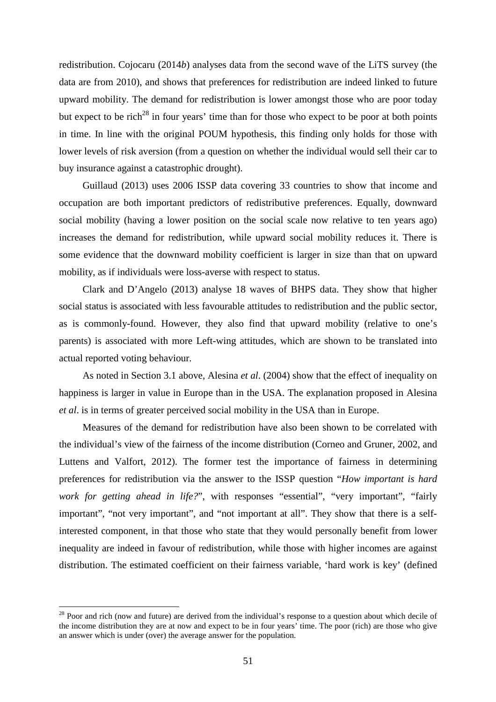redistribution. Cojocaru (2014*b*) analyses data from the second wave of the LiTS survey (the data are from 2010), and shows that preferences for redistribution are indeed linked to future upward mobility. The demand for redistribution is lower amongst those who are poor today but expect to be rich<sup>28</sup> in four years' time than for those who expect to be poor at both points in time. In line with the original POUM hypothesis, this finding only holds for those with lower levels of risk aversion (from a question on whether the individual would sell their car to buy insurance against a catastrophic drought).

Guillaud (2013) uses 2006 ISSP data covering 33 countries to show that income and occupation are both important predictors of redistributive preferences. Equally, downward social mobility (having a lower position on the social scale now relative to ten years ago) increases the demand for redistribution, while upward social mobility reduces it. There is some evidence that the downward mobility coefficient is larger in size than that on upward mobility, as if individuals were loss-averse with respect to status.

Clark and D'Angelo (2013) analyse 18 waves of BHPS data. They show that higher social status is associated with less favourable attitudes to redistribution and the public sector, as is commonly-found. However, they also find that upward mobility (relative to one's parents) is associated with more Left-wing attitudes, which are shown to be translated into actual reported voting behaviour.

As noted in Section 3.1 above, Alesina *et al*. (2004) show that the effect of inequality on happiness is larger in value in Europe than in the USA. The explanation proposed in Alesina *et al*. is in terms of greater perceived social mobility in the USA than in Europe.

Measures of the demand for redistribution have also been shown to be correlated with the individual's view of the fairness of the income distribution (Corneo and Gruner, 2002, and Luttens and Valfort, 2012). The former test the importance of fairness in determining preferences for redistribution via the answer to the ISSP question "*How important is hard work for getting ahead in life?*", with responses "essential", "very important", "fairly important", "not very important", and "not important at all". They show that there is a selfinterested component, in that those who state that they would personally benefit from lower inequality are indeed in favour of redistribution, while those with higher incomes are against distribution. The estimated coefficient on their fairness variable, 'hard work is key' (defined

 $28$  Poor and rich (now and future) are derived from the individual's response to a question about which decile of the income distribution they are at now and expect to be in four years' time. The poor (rich) are those who give an answer which is under (over) the average answer for the population.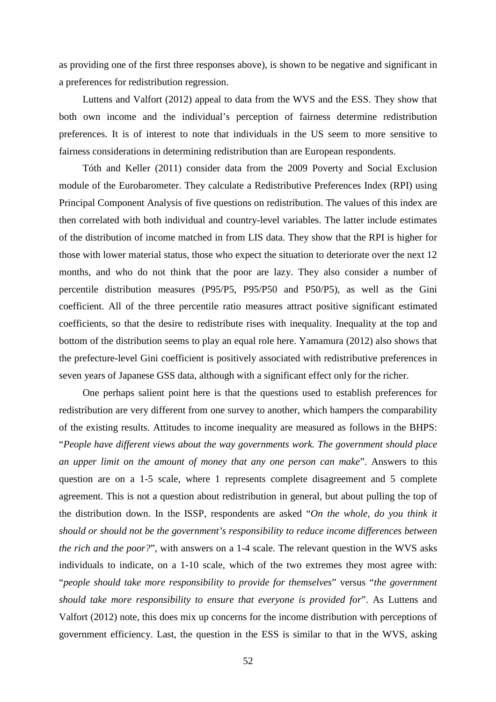as providing one of the first three responses above), is shown to be negative and significant in a preferences for redistribution regression.

Luttens and Valfort (2012) appeal to data from the WVS and the ESS. They show that both own income and the individual's perception of fairness determine redistribution preferences. It is of interest to note that individuals in the US seem to more sensitive to fairness considerations in determining redistribution than are European respondents.

Tóth and Keller (2011) consider data from the 2009 Poverty and Social Exclusion module of the Eurobarometer. They calculate a Redistributive Preferences Index (RPI) using Principal Component Analysis of five questions on redistribution. The values of this index are then correlated with both individual and country-level variables. The latter include estimates of the distribution of income matched in from LIS data. They show that the RPI is higher for those with lower material status, those who expect the situation to deteriorate over the next 12 months, and who do not think that the poor are lazy. They also consider a number of percentile distribution measures (P95/P5, P95/P50 and P50/P5), as well as the Gini coefficient. All of the three percentile ratio measures attract positive significant estimated coefficients, so that the desire to redistribute rises with inequality. Inequality at the top and bottom of the distribution seems to play an equal role here. Yamamura (2012) also shows that the prefecture-level Gini coefficient is positively associated with redistributive preferences in seven years of Japanese GSS data, although with a significant effect only for the richer.

One perhaps salient point here is that the questions used to establish preferences for redistribution are very different from one survey to another, which hampers the comparability of the existing results. Attitudes to income inequality are measured as follows in the BHPS: "*People have different views about the way governments work. The government should place an upper limit on the amount of money that any one person can make*". Answers to this question are on a 1-5 scale, where 1 represents complete disagreement and 5 complete agreement. This is not a question about redistribution in general, but about pulling the top of the distribution down. In the ISSP, respondents are asked "*On the whole, do you think it should or should not be the government's responsibility to reduce income differences between the rich and the poor?*", with answers on a 1-4 scale. The relevant question in the WVS asks individuals to indicate, on a 1-10 scale, which of the two extremes they most agree with: "*people should take more responsibility to provide for themselves*" versus "*the government should take more responsibility to ensure that everyone is provided for*". As Luttens and Valfort (2012) note, this does mix up concerns for the income distribution with perceptions of government efficiency. Last, the question in the ESS is similar to that in the WVS, asking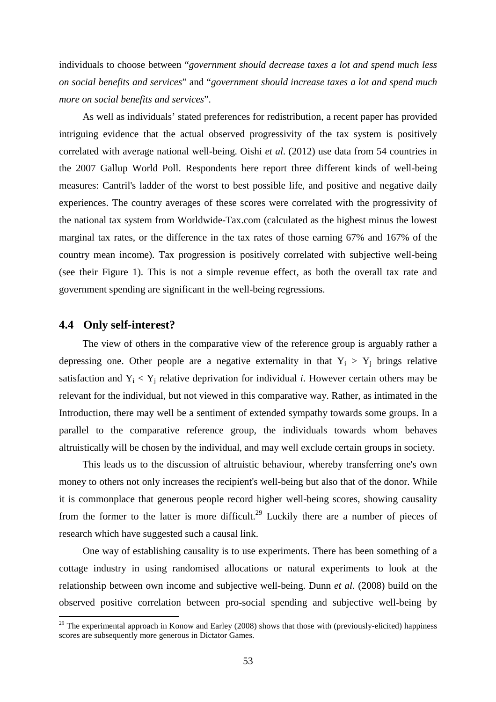individuals to choose between "*government should decrease taxes a lot and spend much less on social benefits and services*" and "*government should increase taxes a lot and spend much more on social benefits and services*".

As well as individuals' stated preferences for redistribution, a recent paper has provided intriguing evidence that the actual observed progressivity of the tax system is positively correlated with average national well-being. Oishi *et al*. (2012) use data from 54 countries in the 2007 Gallup World Poll. Respondents here report three different kinds of well-being measures: Cantril's ladder of the worst to best possible life, and positive and negative daily experiences. The country averages of these scores were correlated with the progressivity of the national tax system from Worldwide-Tax.com (calculated as the highest minus the lowest marginal tax rates, or the difference in the tax rates of those earning 67% and 167% of the country mean income). Tax progression is positively correlated with subjective well-being (see their Figure 1). This is not a simple revenue effect, as both the overall tax rate and government spending are significant in the well-being regressions.

## **4.4 Only self-interest?**

 $\overline{a}$ 

The view of others in the comparative view of the reference group is arguably rather a depressing one. Other people are a negative externality in that  $Y_i > Y_j$  brings relative satisfaction and  $Y_i < Y_j$  relative deprivation for individual *i*. However certain others may be relevant for the individual, but not viewed in this comparative way. Rather, as intimated in the Introduction, there may well be a sentiment of extended sympathy towards some groups. In a parallel to the comparative reference group, the individuals towards whom behaves altruistically will be chosen by the individual, and may well exclude certain groups in society.

This leads us to the discussion of altruistic behaviour, whereby transferring one's own money to others not only increases the recipient's well-being but also that of the donor. While it is commonplace that generous people record higher well-being scores, showing causality from the former to the latter is more difficult.<sup>29</sup> Luckily there are a number of pieces of research which have suggested such a causal link.

One way of establishing causality is to use experiments. There has been something of a cottage industry in using randomised allocations or natural experiments to look at the relationship between own income and subjective well-being. Dunn *et al*. (2008) build on the observed positive correlation between pro-social spending and subjective well-being by

 $^{29}$  The experimental approach in Konow and Earley (2008) shows that those with (previously-elicited) happiness scores are subsequently more generous in Dictator Games.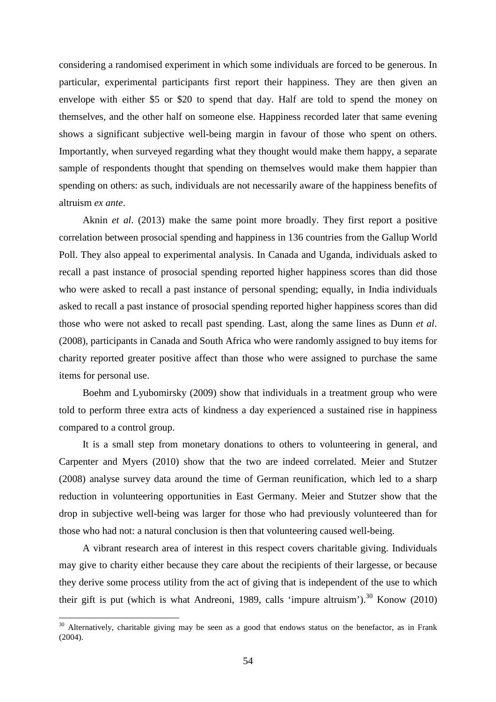considering a randomised experiment in which some individuals are forced to be generous. In particular, experimental participants first report their happiness. They are then given an envelope with either \$5 or \$20 to spend that day. Half are told to spend the money on themselves, and the other half on someone else. Happiness recorded later that same evening shows a significant subjective well-being margin in favour of those who spent on others. Importantly, when surveyed regarding what they thought would make them happy, a separate sample of respondents thought that spending on themselves would make them happier than spending on others: as such, individuals are not necessarily aware of the happiness benefits of altruism *ex ante*.

Aknin *et al*. (2013) make the same point more broadly. They first report a positive correlation between prosocial spending and happiness in 136 countries from the Gallup World Poll. They also appeal to experimental analysis. In Canada and Uganda, individuals asked to recall a past instance of prosocial spending reported higher happiness scores than did those who were asked to recall a past instance of personal spending; equally, in India individuals asked to recall a past instance of prosocial spending reported higher happiness scores than did those who were not asked to recall past spending. Last, along the same lines as Dunn *et al*. (2008), participants in Canada and South Africa who were randomly assigned to buy items for charity reported greater positive affect than those who were assigned to purchase the same items for personal use.

Boehm and Lyubomirsky (2009) show that individuals in a treatment group who were told to perform three extra acts of kindness a day experienced a sustained rise in happiness compared to a control group.

It is a small step from monetary donations to others to volunteering in general, and Carpenter and Myers (2010) show that the two are indeed correlated. Meier and Stutzer (2008) analyse survey data around the time of German reunification, which led to a sharp reduction in volunteering opportunities in East Germany. Meier and Stutzer show that the drop in subjective well-being was larger for those who had previously volunteered than for those who had not: a natural conclusion is then that volunteering caused well-being.

A vibrant research area of interest in this respect covers charitable giving. Individuals may give to charity either because they care about the recipients of their largesse, or because they derive some process utility from the act of giving that is independent of the use to which their gift is put (which is what Andreoni, 1989, calls 'impure altruism'). $^{30}$  Konow (2010)

 $30$  Alternatively, charitable giving may be seen as a good that endows status on the benefactor, as in Frank (2004).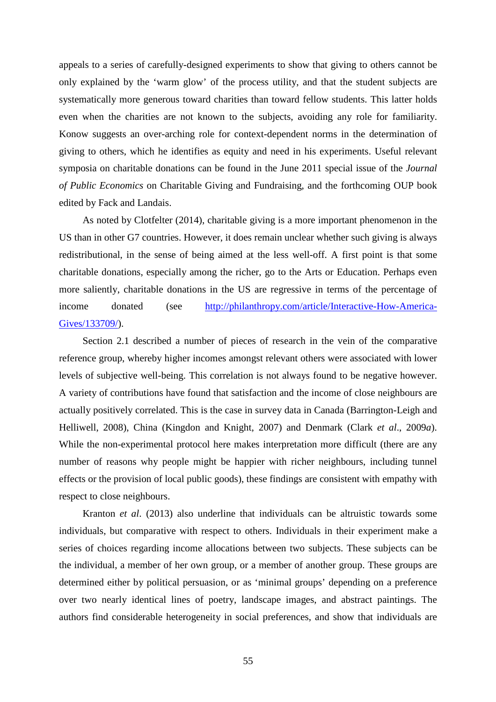appeals to a series of carefully-designed experiments to show that giving to others cannot be only explained by the 'warm glow' of the process utility, and that the student subjects are systematically more generous toward charities than toward fellow students. This latter holds even when the charities are not known to the subjects, avoiding any role for familiarity. Konow suggests an over-arching role for context-dependent norms in the determination of giving to others, which he identifies as equity and need in his experiments. Useful relevant symposia on charitable donations can be found in the June 2011 special issue of the *Journal of Public Economics* on Charitable Giving and Fundraising, and the forthcoming OUP book edited by Fack and Landais.

As noted by Clotfelter (2014), charitable giving is a more important phenomenon in the US than in other G7 countries. However, it does remain unclear whether such giving is always redistributional, in the sense of being aimed at the less well-off. A first point is that some charitable donations, especially among the richer, go to the Arts or Education. Perhaps even more saliently, charitable donations in the US are regressive in terms of the percentage of income donated (see http://philanthropy.com/article/Interactive-How-America-Gives/133709/).

Section 2.1 described a number of pieces of research in the vein of the comparative reference group, whereby higher incomes amongst relevant others were associated with lower levels of subjective well-being. This correlation is not always found to be negative however. A variety of contributions have found that satisfaction and the income of close neighbours are actually positively correlated. This is the case in survey data in Canada (Barrington-Leigh and Helliwell, 2008), China (Kingdon and Knight, 2007) and Denmark (Clark *et al*., 2009*a*). While the non-experimental protocol here makes interpretation more difficult (there are any number of reasons why people might be happier with richer neighbours, including tunnel effects or the provision of local public goods), these findings are consistent with empathy with respect to close neighbours.

Kranton *et al*. (2013) also underline that individuals can be altruistic towards some individuals, but comparative with respect to others. Individuals in their experiment make a series of choices regarding income allocations between two subjects. These subjects can be the individual, a member of her own group, or a member of another group. These groups are determined either by political persuasion, or as 'minimal groups' depending on a preference over two nearly identical lines of poetry, landscape images, and abstract paintings. The authors find considerable heterogeneity in social preferences, and show that individuals are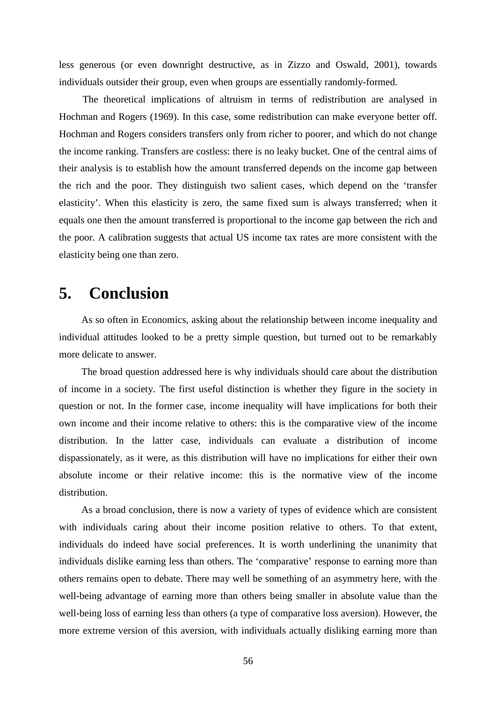less generous (or even downright destructive, as in Zizzo and Oswald, 2001), towards individuals outsider their group, even when groups are essentially randomly-formed.

The theoretical implications of altruism in terms of redistribution are analysed in Hochman and Rogers (1969). In this case, some redistribution can make everyone better off. Hochman and Rogers considers transfers only from richer to poorer, and which do not change the income ranking. Transfers are costless: there is no leaky bucket. One of the central aims of their analysis is to establish how the amount transferred depends on the income gap between the rich and the poor. They distinguish two salient cases, which depend on the 'transfer elasticity'. When this elasticity is zero, the same fixed sum is always transferred; when it equals one then the amount transferred is proportional to the income gap between the rich and the poor. A calibration suggests that actual US income tax rates are more consistent with the elasticity being one than zero.

# **5. Conclusion**

As so often in Economics, asking about the relationship between income inequality and individual attitudes looked to be a pretty simple question, but turned out to be remarkably more delicate to answer.

The broad question addressed here is why individuals should care about the distribution of income in a society. The first useful distinction is whether they figure in the society in question or not. In the former case, income inequality will have implications for both their own income and their income relative to others: this is the comparative view of the income distribution. In the latter case, individuals can evaluate a distribution of income dispassionately, as it were, as this distribution will have no implications for either their own absolute income or their relative income: this is the normative view of the income distribution.

As a broad conclusion, there is now a variety of types of evidence which are consistent with individuals caring about their income position relative to others. To that extent, individuals do indeed have social preferences. It is worth underlining the unanimity that individuals dislike earning less than others. The 'comparative' response to earning more than others remains open to debate. There may well be something of an asymmetry here, with the well-being advantage of earning more than others being smaller in absolute value than the well-being loss of earning less than others (a type of comparative loss aversion). However, the more extreme version of this aversion, with individuals actually disliking earning more than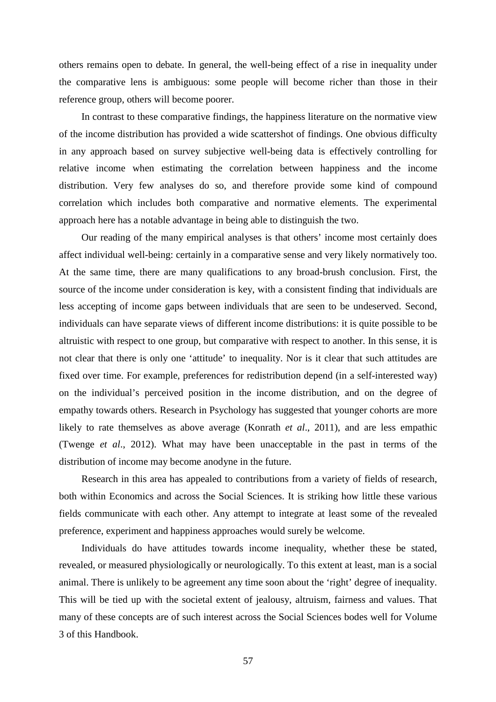others remains open to debate. In general, the well-being effect of a rise in inequality under the comparative lens is ambiguous: some people will become richer than those in their reference group, others will become poorer.

In contrast to these comparative findings, the happiness literature on the normative view of the income distribution has provided a wide scattershot of findings. One obvious difficulty in any approach based on survey subjective well-being data is effectively controlling for relative income when estimating the correlation between happiness and the income distribution. Very few analyses do so, and therefore provide some kind of compound correlation which includes both comparative and normative elements. The experimental approach here has a notable advantage in being able to distinguish the two.

Our reading of the many empirical analyses is that others' income most certainly does affect individual well-being: certainly in a comparative sense and very likely normatively too. At the same time, there are many qualifications to any broad-brush conclusion. First, the source of the income under consideration is key, with a consistent finding that individuals are less accepting of income gaps between individuals that are seen to be undeserved. Second, individuals can have separate views of different income distributions: it is quite possible to be altruistic with respect to one group, but comparative with respect to another. In this sense, it is not clear that there is only one 'attitude' to inequality. Nor is it clear that such attitudes are fixed over time. For example, preferences for redistribution depend (in a self-interested way) on the individual's perceived position in the income distribution, and on the degree of empathy towards others. Research in Psychology has suggested that younger cohorts are more likely to rate themselves as above average (Konrath *et al*., 2011), and are less empathic (Twenge *et al*., 2012). What may have been unacceptable in the past in terms of the distribution of income may become anodyne in the future.

Research in this area has appealed to contributions from a variety of fields of research, both within Economics and across the Social Sciences. It is striking how little these various fields communicate with each other. Any attempt to integrate at least some of the revealed preference, experiment and happiness approaches would surely be welcome.

Individuals do have attitudes towards income inequality, whether these be stated, revealed, or measured physiologically or neurologically. To this extent at least, man is a social animal. There is unlikely to be agreement any time soon about the 'right' degree of inequality. This will be tied up with the societal extent of jealousy, altruism, fairness and values. That many of these concepts are of such interest across the Social Sciences bodes well for Volume 3 of this Handbook.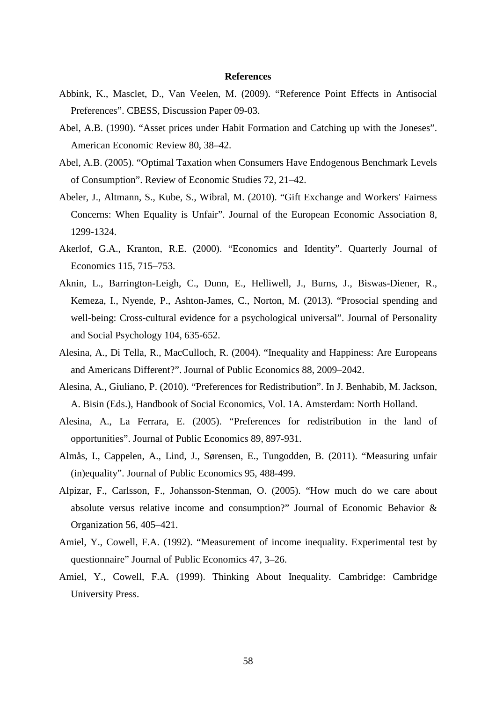#### **References**

- Abbink, K., Masclet, D., Van Veelen, M. (2009). "Reference Point Effects in Antisocial Preferences". CBESS, Discussion Paper 09-03.
- Abel, A.B. (1990). "Asset prices under Habit Formation and Catching up with the Joneses". American Economic Review 80, 38–42.
- Abel, A.B. (2005). "Optimal Taxation when Consumers Have Endogenous Benchmark Levels of Consumption". Review of Economic Studies 72, 21–42.
- Abeler, J., Altmann, S., Kube, S., Wibral, M. (2010). "Gift Exchange and Workers' Fairness Concerns: When Equality is Unfair". Journal of the European Economic Association 8, 1299-1324.
- Akerlof, G.A., Kranton, R.E. (2000). "Economics and Identity". Quarterly Journal of Economics 115, 715–753.
- Aknin, L., Barrington-Leigh, C., Dunn, E., Helliwell, J., Burns, J., Biswas-Diener, R., Kemeza, I., Nyende, P., Ashton-James, C., Norton, M. (2013). "Prosocial spending and well-being: Cross-cultural evidence for a psychological universal". Journal of Personality and Social Psychology 104, 635-652.
- Alesina, A., Di Tella, R., MacCulloch, R. (2004). "Inequality and Happiness: Are Europeans and Americans Different?". Journal of Public Economics 88, 2009–2042.
- Alesina, A., Giuliano, P. (2010). "Preferences for Redistribution". In J. Benhabib, M. Jackson, A. Bisin (Eds.), Handbook of Social Economics, Vol. 1A. Amsterdam: North Holland.
- Alesina, A., La Ferrara, E. (2005). "Preferences for redistribution in the land of opportunities". Journal of Public Economics 89, 897-931.
- Almås, I., Cappelen, A., Lind, J., Sørensen, E., Tungodden, B. (2011). "Measuring unfair (in)equality". Journal of Public Economics 95, 488-499.
- Alpizar, F., Carlsson, F., Johansson-Stenman, O. (2005). "How much do we care about absolute versus relative income and consumption?" Journal of Economic Behavior & Organization 56, 405–421.
- Amiel, Y., Cowell, F.A. (1992). "Measurement of income inequality. Experimental test by questionnaire" Journal of Public Economics 47, 3–26.
- Amiel, Y., Cowell, F.A. (1999). Thinking About Inequality. Cambridge: Cambridge University Press.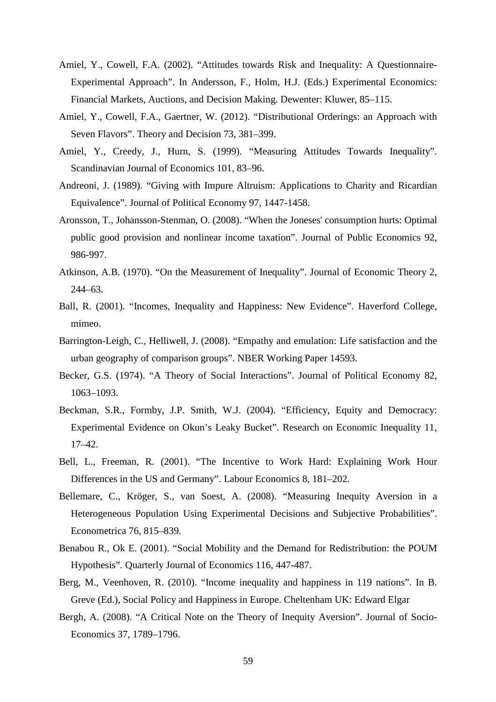- Amiel, Y., Cowell, F.A. (2002). "Attitudes towards Risk and Inequality: A Questionnaire-Experimental Approach". In Andersson, F., Holm, H.J. (Eds.) Experimental Economics: Financial Markets, Auctions, and Decision Making. Dewenter: Kluwer, 85–115.
- Amiel, Y., Cowell, F.A., Gaertner, W. (2012). "Distributional Orderings: an Approach with Seven Flavors". Theory and Decision 73, 381–399.
- Amiel, Y., Creedy, J., Hurn, S. (1999). "Measuring Attitudes Towards Inequality". Scandinavian Journal of Economics 101, 83–96.
- Andreoni, J. (1989). "Giving with Impure Altruism: Applications to Charity and Ricardian Equivalence". Journal of Political Economy 97, 1447-1458.
- Aronsson, T., Johansson-Stenman, O. (2008). "When the Joneses' consumption hurts: Optimal public good provision and nonlinear income taxation". Journal of Public Economics 92, 986-997.
- Atkinson, A.B. (1970). "On the Measurement of Inequality". Journal of Economic Theory 2, 244–63.
- Ball, R. (2001). "Incomes, Inequality and Happiness: New Evidence". Haverford College, mimeo.
- Barrington-Leigh, C., Helliwell, J. (2008). "Empathy and emulation: Life satisfaction and the urban geography of comparison groups". NBER Working Paper 14593.
- Becker, G.S. (1974). "A Theory of Social Interactions". Journal of Political Economy 82, 1063–1093.
- Beckman, S.R., Formby, J.P. Smith, W.J. (2004). "Efficiency, Equity and Democracy: Experimental Evidence on Okun's Leaky Bucket". Research on Economic Inequality 11, 17–42.
- Bell, L., Freeman, R. (2001). "The Incentive to Work Hard: Explaining Work Hour Differences in the US and Germany". Labour Economics 8, 181–202.
- Bellemare, C., Kröger, S., van Soest, A. (2008). "Measuring Inequity Aversion in a Heterogeneous Population Using Experimental Decisions and Subjective Probabilities". Econometrica 76, 815–839.
- Benabou R., Ok E. (2001). "Social Mobility and the Demand for Redistribution: the POUM Hypothesis". Quarterly Journal of Economics 116, 447-487.
- Berg, M., Veenhoven, R. (2010). "Income inequality and happiness in 119 nations". In B. Greve (Ed.), Social Policy and Happiness in Europe. Cheltenham UK: Edward Elgar
- Bergh, A. (2008). "A Critical Note on the Theory of Inequity Aversion". Journal of Socio-Economics 37, 1789–1796.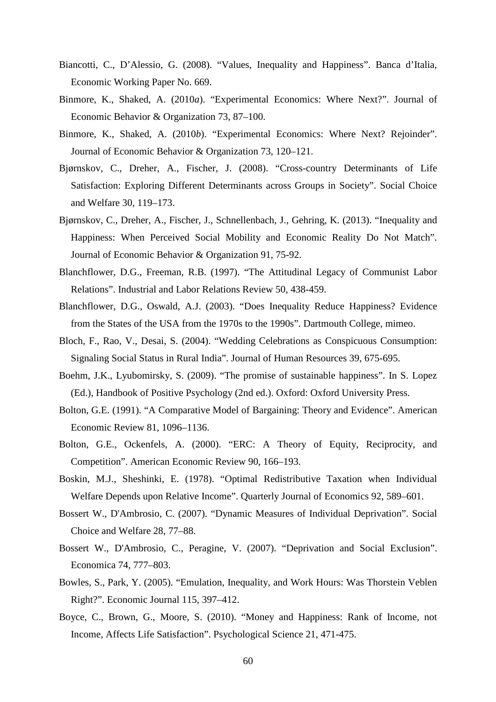- Biancotti, C., D'Alessio, G. (2008). "Values, Inequality and Happiness". Banca d'Italia, Economic Working Paper No. 669.
- Binmore, K., Shaked, A. (2010*a*). "Experimental Economics: Where Next?". Journal of Economic Behavior & Organization 73, 87–100.
- Binmore, K., Shaked, A. (2010*b*). "Experimental Economics: Where Next? Rejoinder". Journal of Economic Behavior & Organization 73, 120–121.
- Bjørnskov, C., Dreher, A., Fischer, J. (2008). "Cross-country Determinants of Life Satisfaction: Exploring Different Determinants across Groups in Society". Social Choice and Welfare 30, 119–173.
- Bjørnskov, C., Dreher, A., Fischer, J., Schnellenbach, J., Gehring, K. (2013). "Inequality and Happiness: When Perceived Social Mobility and Economic Reality Do Not Match". Journal of Economic Behavior & Organization 91, 75-92.
- Blanchflower, D.G., Freeman, R.B. (1997). "The Attitudinal Legacy of Communist Labor Relations". Industrial and Labor Relations Review 50, 438-459.
- Blanchflower, D.G., Oswald, A.J. (2003). "Does Inequality Reduce Happiness? Evidence from the States of the USA from the 1970s to the 1990s". Dartmouth College, mimeo.
- Bloch, F., Rao, V., Desai, S. (2004). "Wedding Celebrations as Conspicuous Consumption: Signaling Social Status in Rural India". Journal of Human Resources 39, 675-695.
- Boehm, J.K., Lyubomirsky, S. (2009). "The promise of sustainable happiness". In S. Lopez (Ed.), Handbook of Positive Psychology (2nd ed.). Oxford: Oxford University Press.
- Bolton, G.E. (1991). "A Comparative Model of Bargaining: Theory and Evidence". American Economic Review 81, 1096–1136.
- Bolton, G.E., Ockenfels, A. (2000). "ERC: A Theory of Equity, Reciprocity, and Competition". American Economic Review 90, 166–193.
- Boskin, M.J., Sheshinki, E. (1978). "Optimal Redistributive Taxation when Individual Welfare Depends upon Relative Income". Quarterly Journal of Economics 92, 589–601.
- Bossert W., D'Ambrosio, C. (2007). "Dynamic Measures of Individual Deprivation". Social Choice and Welfare 28, 77–88.
- Bossert W., D'Ambrosio, C., Peragine, V. (2007). "Deprivation and Social Exclusion". Economica 74, 777–803.
- Bowles, S., Park, Y. (2005). "Emulation, Inequality, and Work Hours: Was Thorstein Veblen Right?". Economic Journal 115, 397–412.
- Boyce, C., Brown, G., Moore, S. (2010). "Money and Happiness: Rank of Income, not Income, Affects Life Satisfaction". Psychological Science 21, 471-475.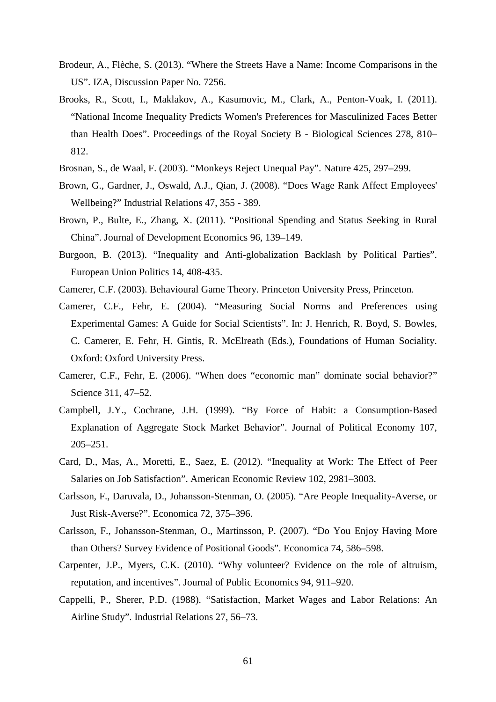- Brodeur, A., Flèche, S. (2013). "Where the Streets Have a Name: Income Comparisons in the US". IZA, Discussion Paper No. 7256.
- Brooks, R., Scott, I., Maklakov, A., Kasumovic, M., Clark, A., Penton-Voak, I. (2011). "National Income Inequality Predicts Women's Preferences for Masculinized Faces Better than Health Does". Proceedings of the Royal Society B - Biological Sciences 278, 810– 812.
- Brosnan, S., de Waal, F. (2003). "Monkeys Reject Unequal Pay". Nature 425, 297–299.
- Brown, G., Gardner, J., Oswald, A.J., Qian, J. (2008). "Does Wage Rank Affect Employees' Wellbeing?" Industrial Relations 47, 355 - 389.
- Brown, P., Bulte, E., Zhang, X. (2011). "Positional Spending and Status Seeking in Rural China". Journal of Development Economics 96, 139–149.
- Burgoon, B. (2013). "Inequality and Anti-globalization Backlash by Political Parties". European Union Politics 14, 408-435.
- Camerer, C.F. (2003). Behavioural Game Theory. Princeton University Press, Princeton.
- Camerer, C.F., Fehr, E. (2004). "Measuring Social Norms and Preferences using Experimental Games: A Guide for Social Scientists". In: J. Henrich, R. Boyd, S. Bowles, C. Camerer, E. Fehr, H. Gintis, R. McElreath (Eds.), Foundations of Human Sociality. Oxford: Oxford University Press.
- Camerer, C.F., Fehr, E. (2006). "When does "economic man" dominate social behavior?" Science 311, 47–52.
- Campbell, J.Y., Cochrane, J.H. (1999). "By Force of Habit: a Consumption-Based Explanation of Aggregate Stock Market Behavior". Journal of Political Economy 107, 205–251.
- Card, D., Mas, A., Moretti, E., Saez, E. (2012). "Inequality at Work: The Effect of Peer Salaries on Job Satisfaction". American Economic Review 102, 2981–3003.
- Carlsson, F., Daruvala, D., Johansson-Stenman, O. (2005). "Are People Inequality-Averse, or Just Risk-Averse?". Economica 72, 375–396.
- Carlsson, F., Johansson-Stenman, O., Martinsson, P. (2007). "Do You Enjoy Having More than Others? Survey Evidence of Positional Goods". Economica 74, 586–598.
- Carpenter, J.P., Myers, C.K. (2010). "Why volunteer? Evidence on the role of altruism, reputation, and incentives". Journal of Public Economics 94, 911–920.
- Cappelli, P., Sherer, P.D. (1988). "Satisfaction, Market Wages and Labor Relations: An Airline Study". Industrial Relations 27, 56–73.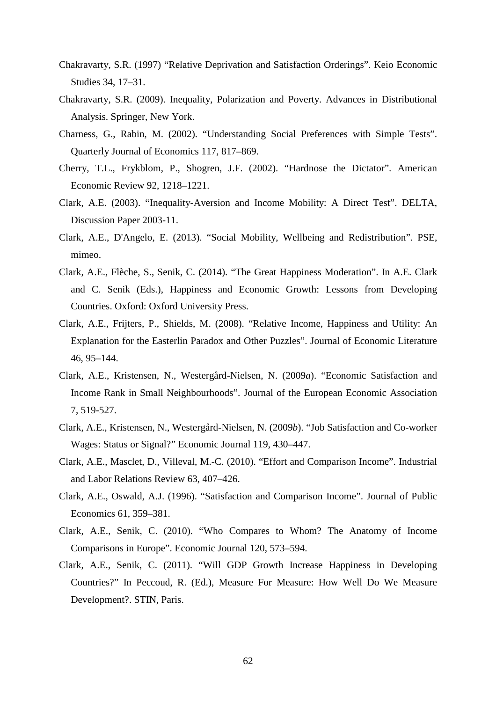- Chakravarty, S.R. (1997) "Relative Deprivation and Satisfaction Orderings". Keio Economic Studies 34, 17–31.
- Chakravarty, S.R. (2009). Inequality, Polarization and Poverty. Advances in Distributional Analysis. Springer, New York.
- Charness, G., Rabin, M. (2002). "Understanding Social Preferences with Simple Tests". Quarterly Journal of Economics 117, 817–869.
- Cherry, T.L., Frykblom, P., Shogren, J.F. (2002). "Hardnose the Dictator". American Economic Review 92, 1218–1221.
- Clark, A.E. (2003). "Inequality-Aversion and Income Mobility: A Direct Test". DELTA, Discussion Paper 2003-11.
- Clark, A.E., D'Angelo, E. (2013). "Social Mobility, Wellbeing and Redistribution". PSE, mimeo.
- Clark, A.E., Flèche, S., Senik, C. (2014). "The Great Happiness Moderation". In A.E. Clark and C. Senik (Eds.), Happiness and Economic Growth: Lessons from Developing Countries. Oxford: Oxford University Press.
- Clark, A.E., Frijters, P., Shields, M. (2008). "Relative Income, Happiness and Utility: An Explanation for the Easterlin Paradox and Other Puzzles". Journal of Economic Literature 46, 95–144.
- Clark, A.E., Kristensen, N., Westergård-Nielsen, N. (2009*a*). "Economic Satisfaction and Income Rank in Small Neighbourhoods". Journal of the European Economic Association 7, 519-527.
- Clark, A.E., Kristensen, N., Westergård-Nielsen, N. (2009*b*). "Job Satisfaction and Co-worker Wages: Status or Signal?" Economic Journal 119, 430–447.
- Clark, A.E., Masclet, D., Villeval, M.-C. (2010). "Effort and Comparison Income". Industrial and Labor Relations Review 63, 407–426.
- Clark, A.E., Oswald, A.J. (1996). "Satisfaction and Comparison Income". Journal of Public Economics 61, 359–381.
- Clark, A.E., Senik, C. (2010). "Who Compares to Whom? The Anatomy of Income Comparisons in Europe". Economic Journal 120, 573–594.
- Clark, A.E., Senik, C. (2011). "Will GDP Growth Increase Happiness in Developing Countries?" In Peccoud, R. (Ed.), Measure For Measure: How Well Do We Measure Development?. STIN, Paris.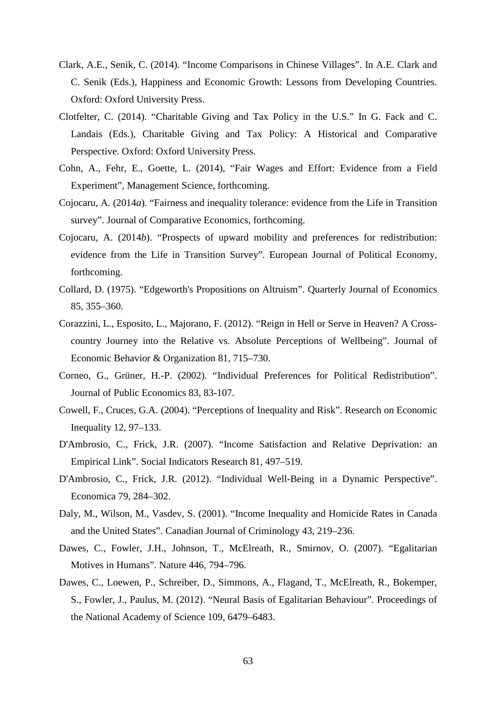- Clark, A.E., Senik, C. (2014). "Income Comparisons in Chinese Villages". In A.E. Clark and C. Senik (Eds.), Happiness and Economic Growth: Lessons from Developing Countries. Oxford: Oxford University Press.
- Clotfelter, C. (2014). "Charitable Giving and Tax Policy in the U.S." In G. Fack and C. Landais (Eds.), Charitable Giving and Tax Policy: A Historical and Comparative Perspective. Oxford: Oxford University Press.
- Cohn, A., Fehr, E., Goette, L. (2014), "Fair Wages and Effort: Evidence from a Field Experiment", Management Science, forthcoming.
- Cojocaru, A. (2014*a*). "Fairness and inequality tolerance: evidence from the Life in Transition survey". Journal of Comparative Economics, forthcoming.
- Cojocaru, A. (2014*b*). "Prospects of upward mobility and preferences for redistribution: evidence from the Life in Transition Survey". European Journal of Political Economy, forthcoming.
- Collard, D. (1975). "Edgeworth's Propositions on Altruism". Quarterly Journal of Economics 85, 355–360.
- Corazzini, L., Esposito, L., Majorano, F. (2012). "Reign in Hell or Serve in Heaven? A Crosscountry Journey into the Relative vs. Absolute Perceptions of Wellbeing". Journal of Economic Behavior & Organization 81, 715–730.
- Corneo, G., Grüner, H.-P. (2002). "Individual Preferences for Political Redistribution". Journal of Public Economics 83, 83-107.
- Cowell, F., Cruces, G.A. (2004). "Perceptions of Inequality and Risk". Research on Economic Inequality 12, 97–133.
- D'Ambrosio, C., Frick, J.R. (2007). "Income Satisfaction and Relative Deprivation: an Empirical Link". Social Indicators Research 81, 497–519.
- D'Ambrosio, C., Frick, J.R. (2012). "Individual Well-Being in a Dynamic Perspective". Economica 79, 284–302.
- Daly, M., Wilson, M., Vasdev, S. (2001). "Income Inequality and Homicide Rates in Canada and the United States". Canadian Journal of Criminology 43, 219–236.
- Dawes, C., Fowler, J.H., Johnson, T., McElreath, R., Smirnov, O. (2007). "Egalitarian Motives in Humans". Nature 446, 794–796.
- Dawes, C., Loewen, P., Schreiber, D., Simmons, A., Flagand, T., McElreath, R., Bokemper, S., Fowler, J., Paulus, M. (2012). "Neural Basis of Egalitarian Behaviour". Proceedings of the National Academy of Science 109, 6479–6483.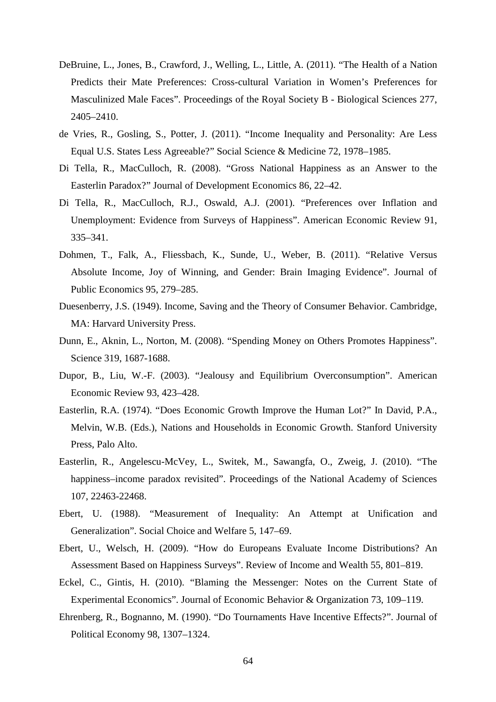- DeBruine, L., Jones, B., Crawford, J., Welling, L., Little, A. (2011). "The Health of a Nation Predicts their Mate Preferences: Cross-cultural Variation in Women's Preferences for Masculinized Male Faces". Proceedings of the Royal Society B - Biological Sciences 277, 2405–2410.
- de Vries, R., Gosling, S., Potter, J. (2011). "Income Inequality and Personality: Are Less Equal U.S. States Less Agreeable?" Social Science & Medicine 72, 1978–1985.
- Di Tella, R., MacCulloch, R. (2008). "Gross National Happiness as an Answer to the Easterlin Paradox?" Journal of Development Economics 86, 22–42.
- Di Tella, R., MacCulloch, R.J., Oswald, A.J. (2001). "Preferences over Inflation and Unemployment: Evidence from Surveys of Happiness". American Economic Review 91, 335–341.
- Dohmen, T., Falk, A., Fliessbach, K., Sunde, U., Weber, B. (2011). "Relative Versus Absolute Income, Joy of Winning, and Gender: Brain Imaging Evidence". Journal of Public Economics 95, 279–285.
- Duesenberry, J.S. (1949). Income, Saving and the Theory of Consumer Behavior. Cambridge, MA: Harvard University Press.
- Dunn, E., Aknin, L., Norton, M. (2008). "Spending Money on Others Promotes Happiness". Science 319, 1687-1688.
- Dupor, B., Liu, W.-F. (2003). "Jealousy and Equilibrium Overconsumption". American Economic Review 93, 423–428.
- Easterlin, R.A. (1974). "Does Economic Growth Improve the Human Lot?" In David, P.A., Melvin, W.B. (Eds.), Nations and Households in Economic Growth. Stanford University Press, Palo Alto.
- Easterlin, R., Angelescu-McVey, L., Switek, M., Sawangfa, O., Zweig, J. (2010). "The happiness–income paradox revisited". Proceedings of the National Academy of Sciences 107, 22463-22468.
- Ebert, U. (1988). "Measurement of Inequality: An Attempt at Unification and Generalization". Social Choice and Welfare 5, 147–69.
- Ebert, U., Welsch, H. (2009). "How do Europeans Evaluate Income Distributions? An Assessment Based on Happiness Surveys". Review of Income and Wealth 55, 801–819.
- Eckel, C., Gintis, H. (2010). "Blaming the Messenger: Notes on the Current State of Experimental Economics". Journal of Economic Behavior & Organization 73, 109–119.
- Ehrenberg, R., Bognanno, M. (1990). "Do Tournaments Have Incentive Effects?". Journal of Political Economy 98, 1307–1324.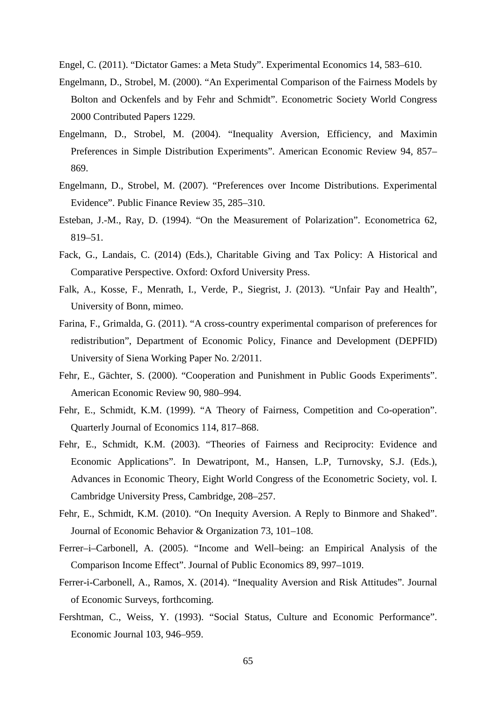Engel, C. (2011). "Dictator Games: a Meta Study". Experimental Economics 14, 583–610.

- Engelmann, D., Strobel, M. (2000). "An Experimental Comparison of the Fairness Models by Bolton and Ockenfels and by Fehr and Schmidt". Econometric Society World Congress 2000 Contributed Papers 1229.
- Engelmann, D., Strobel, M. (2004). "Inequality Aversion, Efficiency, and Maximin Preferences in Simple Distribution Experiments". American Economic Review 94, 857– 869.
- Engelmann, D., Strobel, M. (2007). "Preferences over Income Distributions. Experimental Evidence". Public Finance Review 35, 285–310.
- Esteban, J.-M., Ray, D. (1994). "On the Measurement of Polarization". Econometrica 62, 819–51.
- Fack, G., Landais, C. (2014) (Eds.), Charitable Giving and Tax Policy: A Historical and Comparative Perspective. Oxford: Oxford University Press.
- Falk, A., Kosse, F., Menrath, I., Verde, P., Siegrist, J. (2013). "Unfair Pay and Health", University of Bonn, mimeo.
- Farina, F., Grimalda, G. (2011). "A cross-country experimental comparison of preferences for redistribution", Department of Economic Policy, Finance and Development (DEPFID) University of Siena Working Paper No. 2/2011.
- Fehr, E., Gächter, S. (2000). "Cooperation and Punishment in Public Goods Experiments". American Economic Review 90, 980–994.
- Fehr, E., Schmidt, K.M. (1999). "A Theory of Fairness, Competition and Co-operation". Quarterly Journal of Economics 114, 817–868.
- Fehr, E., Schmidt, K.M. (2003). "Theories of Fairness and Reciprocity: Evidence and Economic Applications". In Dewatripont, M., Hansen, L.P, Turnovsky, S.J. (Eds.), Advances in Economic Theory, Eight World Congress of the Econometric Society, vol. I. Cambridge University Press, Cambridge, 208–257.
- Fehr, E., Schmidt, K.M. (2010). "On Inequity Aversion. A Reply to Binmore and Shaked". Journal of Economic Behavior & Organization 73, 101–108.
- Ferrer–i–Carbonell, A. (2005). "Income and Well–being: an Empirical Analysis of the Comparison Income Effect". Journal of Public Economics 89, 997–1019.
- Ferrer-i-Carbonell, A., Ramos, X. (2014). "Inequality Aversion and Risk Attitudes". Journal of Economic Surveys, forthcoming.
- Fershtman, C., Weiss, Y. (1993). "Social Status, Culture and Economic Performance". Economic Journal 103, 946–959.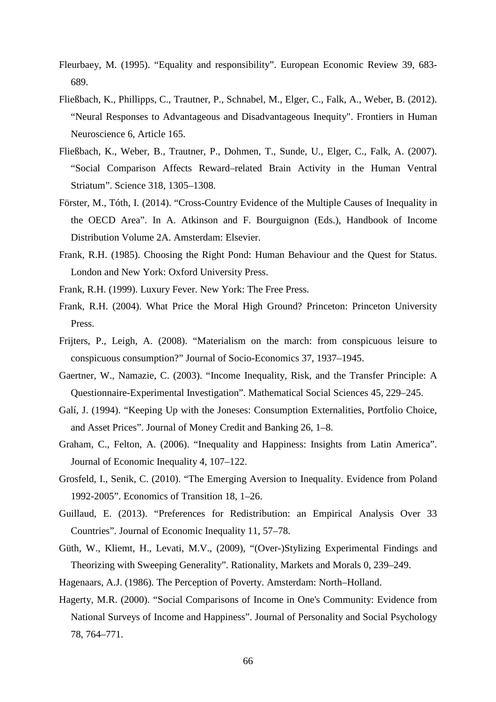- Fleurbaey, M. (1995). "Equality and responsibility". European Economic Review 39, 683- 689.
- Fließbach, K., Phillipps, C., Trautner, P., Schnabel, M., Elger, C., Falk, A., Weber, B. (2012). "Neural Responses to Advantageous and Disadvantageous Inequity". Frontiers in Human Neuroscience 6, Article 165.
- Fließbach, K., Weber, B., Trautner, P., Dohmen, T., Sunde, U., Elger, C., Falk, A. (2007). "Social Comparison Affects Reward–related Brain Activity in the Human Ventral Striatum". Science 318, 1305–1308.
- Förster, M., Tóth, I. (2014). "Cross-Country Evidence of the Multiple Causes of Inequality in the OECD Area". In A. Atkinson and F. Bourguignon (Eds.), Handbook of Income Distribution Volume 2A. Amsterdam: Elsevier.
- Frank, R.H. (1985). Choosing the Right Pond: Human Behaviour and the Quest for Status. London and New York: Oxford University Press.
- Frank, R.H. (1999). Luxury Fever. New York: The Free Press.
- Frank, R.H. (2004). What Price the Moral High Ground? Princeton: Princeton University Press.
- Frijters, P., Leigh, A. (2008). "Materialism on the march: from conspicuous leisure to conspicuous consumption?" Journal of Socio-Economics 37, 1937–1945.
- Gaertner, W., Namazie, C. (2003). "Income Inequality, Risk, and the Transfer Principle: A Questionnaire-Experimental Investigation". Mathematical Social Sciences 45, 229–245.
- Galí, J. (1994). "Keeping Up with the Joneses: Consumption Externalities, Portfolio Choice, and Asset Prices". Journal of Money Credit and Banking 26, 1–8.
- Graham, C., Felton, A. (2006). "Inequality and Happiness: Insights from Latin America". Journal of Economic Inequality 4, 107–122.
- Grosfeld, I., Senik, C. (2010). "The Emerging Aversion to Inequality. Evidence from Poland 1992-2005". Economics of Transition 18, 1–26.
- Guillaud, E. (2013). "Preferences for Redistribution: an Empirical Analysis Over 33 Countries". Journal of Economic Inequality 11, 57–78.
- Güth, W., Kliemt, H., Levati, M.V., (2009), "(Over-)Stylizing Experimental Findings and Theorizing with Sweeping Generality". Rationality, Markets and Morals 0, 239–249.
- Hagenaars, A.J. (1986). The Perception of Poverty. Amsterdam: North–Holland.
- Hagerty, M.R. (2000). "Social Comparisons of Income in One's Community: Evidence from National Surveys of Income and Happiness". Journal of Personality and Social Psychology 78, 764–771.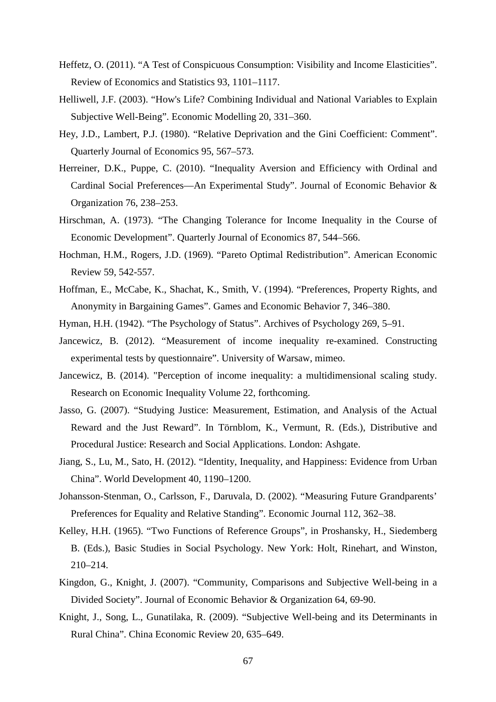- Heffetz, O. (2011). "A Test of Conspicuous Consumption: Visibility and Income Elasticities". Review of Economics and Statistics 93, 1101–1117.
- Helliwell, J.F. (2003). "How's Life? Combining Individual and National Variables to Explain Subjective Well-Being". Economic Modelling 20, 331–360.
- Hey, J.D., Lambert, P.J. (1980). "Relative Deprivation and the Gini Coefficient: Comment". Quarterly Journal of Economics 95, 567–573.
- Herreiner, D.K., Puppe, C. (2010). "Inequality Aversion and Efficiency with Ordinal and Cardinal Social Preferences—An Experimental Study". Journal of Economic Behavior & Organization 76, 238–253.
- Hirschman, A. (1973). "The Changing Tolerance for Income Inequality in the Course of Economic Development". Quarterly Journal of Economics 87, 544–566.
- Hochman, H.M., Rogers, J.D. (1969). "Pareto Optimal Redistribution". American Economic Review 59, 542-557.
- Hoffman, E., McCabe, K., Shachat, K., Smith, V. (1994). "Preferences, Property Rights, and Anonymity in Bargaining Games". Games and Economic Behavior 7, 346–380.
- Hyman, H.H. (1942). "The Psychology of Status". Archives of Psychology 269, 5–91.
- Jancewicz, B. (2012). "Measurement of income inequality re-examined. Constructing experimental tests by questionnaire". University of Warsaw, mimeo.
- Jancewicz, B. (2014). "Perception of income inequality: a multidimensional scaling study. Research on Economic Inequality Volume 22, forthcoming.
- Jasso, G. (2007). "Studying Justice: Measurement, Estimation, and Analysis of the Actual Reward and the Just Reward". In Törnblom, K., Vermunt, R. (Eds.), Distributive and Procedural Justice: Research and Social Applications. London: Ashgate.
- Jiang, S., Lu, M., Sato, H. (2012). "Identity, Inequality, and Happiness: Evidence from Urban China". World Development 40, 1190–1200.
- Johansson-Stenman, O., Carlsson, F., Daruvala, D. (2002). "Measuring Future Grandparents' Preferences for Equality and Relative Standing". Economic Journal 112, 362–38.
- Kelley, H.H. (1965). "Two Functions of Reference Groups", in Proshansky, H., Siedemberg B. (Eds.), Basic Studies in Social Psychology. New York: Holt, Rinehart, and Winston, 210–214.
- Kingdon, G., Knight, J. (2007). "Community, Comparisons and Subjective Well-being in a Divided Society". Journal of Economic Behavior & Organization 64, 69-90.
- Knight, J., Song, L., Gunatilaka, R. (2009). "Subjective Well-being and its Determinants in Rural China". China Economic Review 20, 635–649.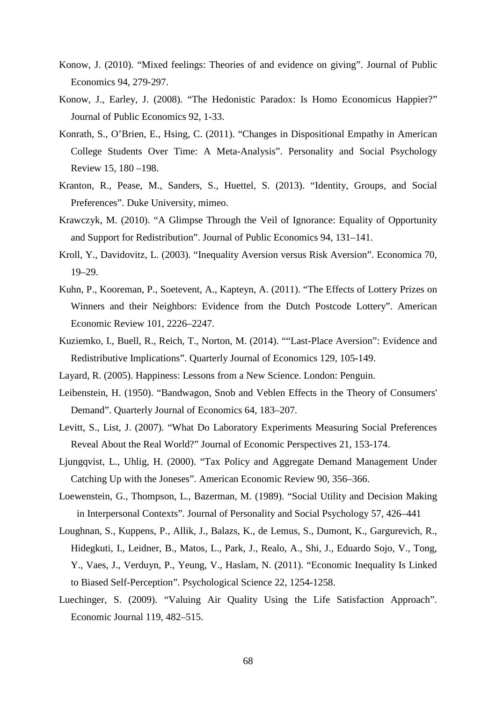- Konow, J. (2010). "Mixed feelings: Theories of and evidence on giving". Journal of Public Economics 94, 279-297.
- Konow, J., Earley, J. (2008). "The Hedonistic Paradox: Is Homo Economicus Happier?" Journal of Public Economics 92, 1-33.
- Konrath, S., O'Brien, E., Hsing, C. (2011). "Changes in Dispositional Empathy in American College Students Over Time: A Meta-Analysis". Personality and Social Psychology Review 15, 180 –198.
- Kranton, R., Pease, M., Sanders, S., Huettel, S. (2013). "Identity, Groups, and Social Preferences". Duke University, mimeo.
- Krawczyk, M. (2010). "A Glimpse Through the Veil of Ignorance: Equality of Opportunity and Support for Redistribution". Journal of Public Economics 94, 131–141.
- Kroll, Y., Davidovitz, L. (2003). "Inequality Aversion versus Risk Aversion". Economica 70, 19–29.
- Kuhn, P., Kooreman, P., Soetevent, A., Kapteyn, A. (2011). "The Effects of Lottery Prizes on Winners and their Neighbors: Evidence from the Dutch Postcode Lottery". American Economic Review 101, 2226–2247.
- Kuziemko, I., Buell, R., Reich, T., Norton, M. (2014). ""Last-Place Aversion": Evidence and Redistributive Implications". Quarterly Journal of Economics 129, 105-149.
- Layard, R. (2005). Happiness: Lessons from a New Science. London: Penguin.
- Leibenstein, H. (1950). "Bandwagon, Snob and Veblen Effects in the Theory of Consumers' Demand". Quarterly Journal of Economics 64, 183–207.
- Levitt, S., List, J. (2007). "What Do Laboratory Experiments Measuring Social Preferences Reveal About the Real World?" Journal of Economic Perspectives 21, 153-174.
- Ljungqvist, L., Uhlig, H. (2000). "Tax Policy and Aggregate Demand Management Under Catching Up with the Joneses". American Economic Review 90, 356–366.
- Loewenstein, G., Thompson, L., Bazerman, M. (1989). "Social Utility and Decision Making in Interpersonal Contexts". Journal of Personality and Social Psychology 57, 426–441
- Loughnan, S., Kuppens, P., Allik, J., Balazs, K., de Lemus, S., Dumont, K., Gargurevich, R., Hidegkuti, I., Leidner, B., Matos, L., Park, J., Realo, A., Shi, J., Eduardo Sojo, V., Tong, Y., Vaes, J., Verduyn, P., Yeung, V., Haslam, N. (2011). "Economic Inequality Is Linked to Biased Self-Perception". Psychological Science 22, 1254-1258.
- Luechinger, S. (2009). "Valuing Air Quality Using the Life Satisfaction Approach". Economic Journal 119, 482–515.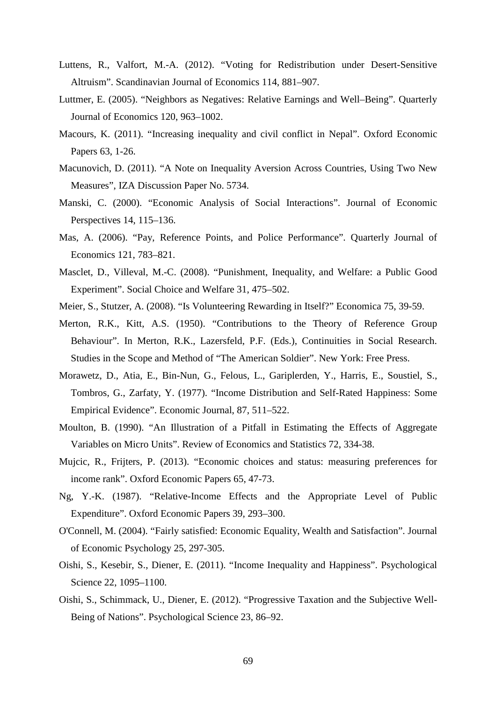- Luttens, R., Valfort, M.-A. (2012). "Voting for Redistribution under Desert-Sensitive Altruism". Scandinavian Journal of Economics 114, 881–907.
- Luttmer, E. (2005). "Neighbors as Negatives: Relative Earnings and Well–Being". Quarterly Journal of Economics 120, 963–1002.
- Macours, K. (2011). "Increasing inequality and civil conflict in Nepal". Oxford Economic Papers 63, 1-26.
- Macunovich, D. (2011). "A Note on Inequality Aversion Across Countries, Using Two New Measures", IZA Discussion Paper No. 5734.
- Manski, C. (2000). "Economic Analysis of Social Interactions". Journal of Economic Perspectives 14, 115–136.
- Mas, A. (2006). "Pay, Reference Points, and Police Performance". Quarterly Journal of Economics 121, 783–821.
- Masclet, D., Villeval, M.-C. (2008). "Punishment, Inequality, and Welfare: a Public Good Experiment". Social Choice and Welfare 31, 475–502.
- Meier, S., Stutzer, A. (2008). "Is Volunteering Rewarding in Itself?" Economica 75, 39-59.
- Merton, R.K., Kitt, A.S. (1950). "Contributions to the Theory of Reference Group Behaviour". In Merton, R.K., Lazersfeld, P.F. (Eds.), Continuities in Social Research. Studies in the Scope and Method of "The American Soldier". New York: Free Press.
- Morawetz, D., Atia, E., Bin-Nun, G., Felous, L., Gariplerden, Y., Harris, E., Soustiel, S., Tombros, G., Zarfaty, Y. (1977). "Income Distribution and Self-Rated Happiness: Some Empirical Evidence". Economic Journal, 87, 511–522.
- Moulton, B. (1990). "An Illustration of a Pitfall in Estimating the Effects of Aggregate Variables on Micro Units". Review of Economics and Statistics 72, 334-38.
- Mujcic, R., Frijters, P. (2013). "Economic choices and status: measuring preferences for income rank". Oxford Economic Papers 65, 47-73.
- Ng, Y.-K. (1987). "Relative-Income Effects and the Appropriate Level of Public Expenditure". Oxford Economic Papers 39, 293–300.
- O'Connell, M. (2004). "Fairly satisfied: Economic Equality, Wealth and Satisfaction". Journal of Economic Psychology 25, 297-305.
- Oishi, S., Kesebir, S., Diener, E. (2011). "Income Inequality and Happiness". Psychological Science 22, 1095–1100.
- Oishi, S., Schimmack, U., Diener, E. (2012). "Progressive Taxation and the Subjective Well-Being of Nations". Psychological Science 23, 86–92.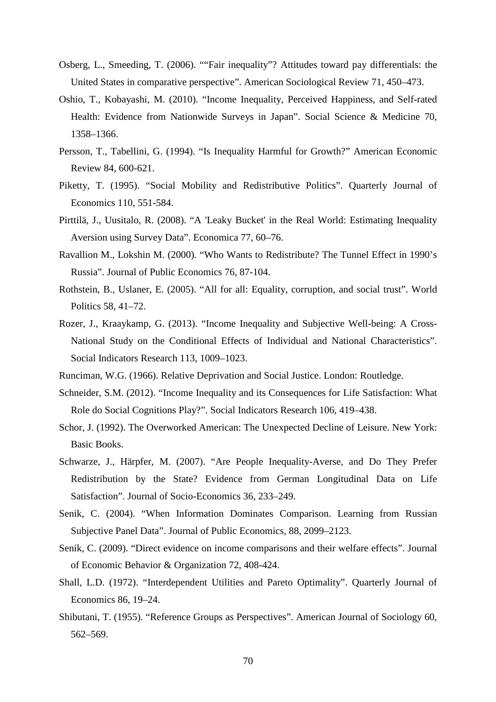- Osberg, L., Smeeding, T. (2006). ""Fair inequality"? Attitudes toward pay differentials: the United States in comparative perspective". American Sociological Review 71, 450–473.
- Oshio, T., Kobayashi, M. (2010). "Income Inequality, Perceived Happiness, and Self-rated Health: Evidence from Nationwide Surveys in Japan". Social Science & Medicine 70, 1358–1366.
- Persson, T., Tabellini, G. (1994). "Is Inequality Harmful for Growth?" American Economic Review 84, 600-621.
- Piketty, T. (1995). "Social Mobility and Redistributive Politics". Quarterly Journal of Economics 110, 551-584.
- Pirttilä, J., Uusitalo, R. (2008). "A 'Leaky Bucket' in the Real World: Estimating Inequality Aversion using Survey Data". Economica 77, 60–76.
- Ravallion M., Lokshin M. (2000). "Who Wants to Redistribute? The Tunnel Effect in 1990's Russia". Journal of Public Economics 76, 87-104.
- Rothstein, B., Uslaner, E. (2005). "All for all: Equality, corruption, and social trust". World Politics 58, 41–72.
- Rozer, J., Kraaykamp, G. (2013). "Income Inequality and Subjective Well-being: A Cross-National Study on the Conditional Effects of Individual and National Characteristics". Social Indicators Research 113, 1009–1023.
- Runciman, W.G. (1966). Relative Deprivation and Social Justice. London: Routledge.
- Schneider, S.M. (2012). "Income Inequality and its Consequences for Life Satisfaction: What Role do Social Cognitions Play?". Social Indicators Research 106, 419–438.
- Schor, J. (1992). The Overworked American: The Unexpected Decline of Leisure. New York: Basic Books.
- Schwarze, J., Härpfer, M. (2007). "Are People Inequality-Averse, and Do They Prefer Redistribution by the State? Evidence from German Longitudinal Data on Life Satisfaction". Journal of Socio-Economics 36, 233–249.
- Senik, C. (2004). "When Information Dominates Comparison. Learning from Russian Subjective Panel Data". Journal of Public Economics, 88, 2099–2123.
- Senik, C. (2009). "Direct evidence on income comparisons and their welfare effects". Journal of Economic Behavior & Organization 72, 408-424.
- Shall, L.D. (1972). "Interdependent Utilities and Pareto Optimality". Quarterly Journal of Economics 86, 19–24.
- Shibutani, T. (1955). "Reference Groups as Perspectives". American Journal of Sociology 60, 562–569.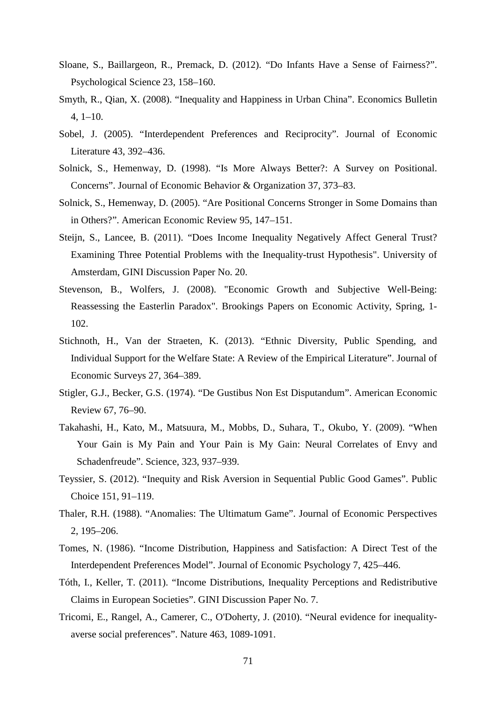- Sloane, S., Baillargeon, R., Premack, D. (2012). "Do Infants Have a Sense of Fairness?". Psychological Science 23, 158–160.
- Smyth, R., Qian, X. (2008). "Inequality and Happiness in Urban China". Economics Bulletin  $4, 1-10.$
- Sobel, J. (2005). "Interdependent Preferences and Reciprocity". Journal of Economic Literature 43, 392–436.
- Solnick, S., Hemenway, D. (1998). "Is More Always Better?: A Survey on Positional. Concerns". Journal of Economic Behavior & Organization 37, 373–83.
- Solnick, S., Hemenway, D. (2005). "Are Positional Concerns Stronger in Some Domains than in Others?". American Economic Review 95, 147–151.
- Steijn, S., Lancee, B. (2011). "Does Income Inequality Negatively Affect General Trust? Examining Three Potential Problems with the Inequality-trust Hypothesis". University of Amsterdam, GINI Discussion Paper No. 20.
- Stevenson, B., Wolfers, J. (2008). "Economic Growth and Subjective Well-Being: Reassessing the Easterlin Paradox". Brookings Papers on Economic Activity, Spring, 1- 102.
- Stichnoth, H., Van der Straeten, K. (2013). "Ethnic Diversity, Public Spending, and Individual Support for the Welfare State: A Review of the Empirical Literature". Journal of Economic Surveys 27, 364–389.
- Stigler, G.J., Becker, G.S. (1974). "De Gustibus Non Est Disputandum". American Economic Review 67, 76–90.
- Takahashi, H., Kato, M., Matsuura, M., Mobbs, D., Suhara, T., Okubo, Y. (2009). "When Your Gain is My Pain and Your Pain is My Gain: Neural Correlates of Envy and Schadenfreude". Science, 323, 937–939.
- Teyssier, S. (2012). "Inequity and Risk Aversion in Sequential Public Good Games". Public Choice 151, 91–119.
- Thaler, R.H. (1988). "Anomalies: The Ultimatum Game". Journal of Economic Perspectives 2, 195–206.
- Tomes, N. (1986). "Income Distribution, Happiness and Satisfaction: A Direct Test of the Interdependent Preferences Model". Journal of Economic Psychology 7, 425–446.
- Tóth, I., Keller, T. (2011). "Income Distributions, Inequality Perceptions and Redistributive Claims in European Societies". GINI Discussion Paper No. 7.
- Tricomi, E., Rangel, A., Camerer, C., O'Doherty, J. (2010). "Neural evidence for inequalityaverse social preferences". Nature 463, 1089-1091.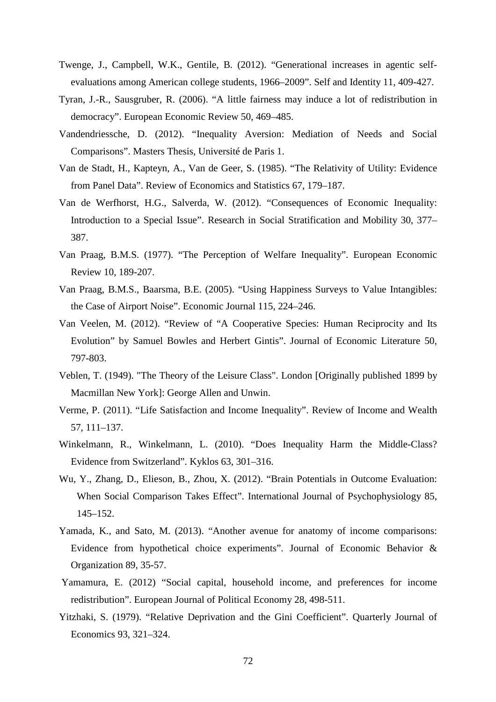- Twenge, J., Campbell, W.K., Gentile, B. (2012). "Generational increases in agentic selfevaluations among American college students, 1966–2009". Self and Identity 11, 409-427.
- Tyran, J.-R., Sausgruber, R. (2006). "A little fairness may induce a lot of redistribution in democracy". European Economic Review 50, 469–485.
- Vandendriessche, D. (2012). "Inequality Aversion: Mediation of Needs and Social Comparisons". Masters Thesis, Université de Paris 1.
- Van de Stadt, H., Kapteyn, A., Van de Geer, S. (1985). "The Relativity of Utility: Evidence from Panel Data". Review of Economics and Statistics 67, 179–187.
- Van de Werfhorst, H.G., Salverda, W. (2012). "Consequences of Economic Inequality: Introduction to a Special Issue". Research in Social Stratification and Mobility 30, 377– 387.
- Van Praag, B.M.S. (1977). "The Perception of Welfare Inequality". European Economic Review 10, 189-207.
- Van Praag, B.M.S., Baarsma, B.E. (2005). "Using Happiness Surveys to Value Intangibles: the Case of Airport Noise". Economic Journal 115, 224–246.
- Van Veelen, M. (2012). "Review of "A Cooperative Species: Human Reciprocity and Its Evolution" by Samuel Bowles and Herbert Gintis". Journal of Economic Literature 50, 797-803.
- Veblen, T. (1949). "The Theory of the Leisure Class". London [Originally published 1899 by Macmillan New York]: George Allen and Unwin.
- Verme, P. (2011). "Life Satisfaction and Income Inequality". Review of Income and Wealth 57, 111–137.
- Winkelmann, R., Winkelmann, L. (2010). "Does Inequality Harm the Middle-Class? Evidence from Switzerland". Kyklos 63, 301–316.
- Wu, Y., Zhang, D., Elieson, B., Zhou, X. (2012). "Brain Potentials in Outcome Evaluation: When Social Comparison Takes Effect". International Journal of Psychophysiology 85, 145–152.
- Yamada, K., and Sato, M. (2013). "Another avenue for anatomy of income comparisons: Evidence from hypothetical choice experiments". Journal of Economic Behavior & Organization 89, 35-57.
- Yamamura, E. (2012) "Social capital, household income, and preferences for income redistribution". European Journal of Political Economy 28, 498-511.
- Yitzhaki, S. (1979). "Relative Deprivation and the Gini Coefficient". Quarterly Journal of Economics 93, 321–324.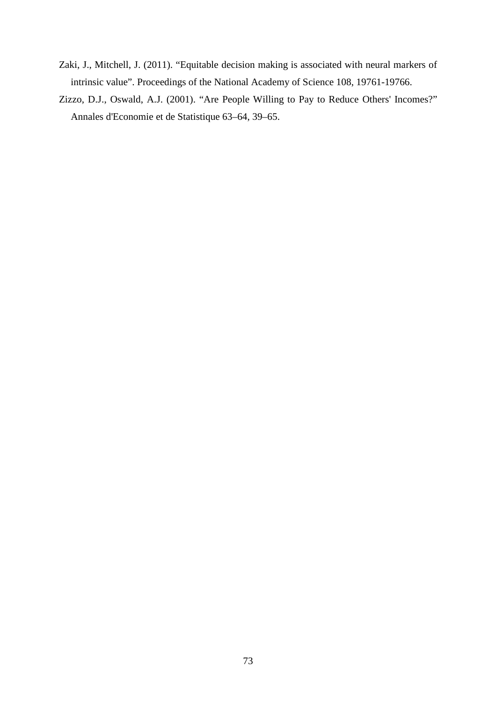- Zaki, J., Mitchell, J. (2011). "Equitable decision making is associated with neural markers of intrinsic value". Proceedings of the National Academy of Science 108, 19761-19766.
- Zizzo, D.J., Oswald, A.J. (2001). "Are People Willing to Pay to Reduce Others' Incomes?" Annales d'Economie et de Statistique 63–64, 39–65.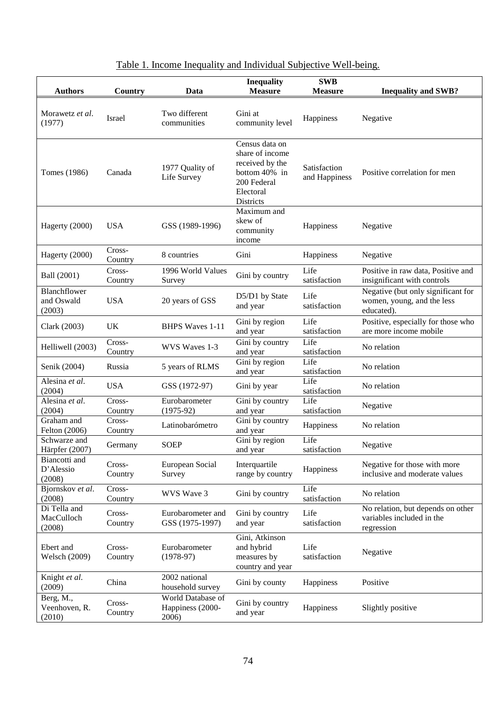| <b>Authors</b>                       | Country           | Data                                           | <b>Inequality</b><br><b>Measure</b>                                                                            | <b>SWB</b><br><b>Measure</b>  | <b>Inequality and SWB?</b>                                                     |
|--------------------------------------|-------------------|------------------------------------------------|----------------------------------------------------------------------------------------------------------------|-------------------------------|--------------------------------------------------------------------------------|
| Morawetz et al.<br>(1977)            | Israel            | Two different<br>communities                   | Gini at<br>community level                                                                                     | Happiness                     | Negative                                                                       |
| Tomes (1986)                         | Canada            | 1977 Quality of<br>Life Survey                 | Census data on<br>share of income<br>received by the<br>bottom 40% in<br>200 Federal<br>Electoral<br>Districts | Satisfaction<br>and Happiness | Positive correlation for men                                                   |
| Hagerty (2000)                       | <b>USA</b>        | GSS (1989-1996)                                | Maximum and<br>skew of<br>community<br>income                                                                  | Happiness                     | Negative                                                                       |
| Hagerty (2000)                       | Cross-<br>Country | 8 countries                                    | Gini                                                                                                           | Happiness                     | Negative                                                                       |
| Ball (2001)                          | Cross-<br>Country | 1996 World Values<br>Survey                    | Gini by country                                                                                                | Life<br>satisfaction          | Positive in raw data, Positive and<br>insignificant with controls              |
| Blanchflower<br>and Oswald<br>(2003) | <b>USA</b>        | 20 years of GSS                                | D5/D1 by State<br>and year                                                                                     | Life<br>satisfaction          | Negative (but only significant for<br>women, young, and the less<br>educated). |
| Clark (2003)                         | <b>UK</b>         | <b>BHPS Waves 1-11</b>                         | Gini by region<br>and year                                                                                     | Life<br>satisfaction          | Positive, especially for those who<br>are more income mobile                   |
| Helliwell (2003)                     | Cross-<br>Country | WVS Waves 1-3                                  | Gini by country<br>and year                                                                                    | Life<br>satisfaction          | No relation                                                                    |
| Senik (2004)                         | Russia            | 5 years of RLMS                                | Gini by region<br>and year                                                                                     | Life<br>satisfaction          | No relation                                                                    |
| Alesina et al.<br>(2004)             | <b>USA</b>        | GSS (1972-97)                                  | Gini by year                                                                                                   | Life<br>satisfaction          | No relation                                                                    |
| Alesina et al.<br>(2004)             | Cross-<br>Country | Eurobarometer<br>$(1975-92)$                   | Gini by country<br>and year                                                                                    | Life<br>satisfaction          | Negative                                                                       |
| Graham and<br>Felton (2006)          | Cross-<br>Country | Latinobarómetro                                | Gini by country<br>and year                                                                                    | Happiness                     | No relation                                                                    |
| Schwarze and<br>Härpfer (2007)       | Germany           | <b>SOEP</b>                                    | Gini by region<br>and year                                                                                     | Life<br>satisfaction          | Negative                                                                       |
| Biancotti and<br>D'Alessio<br>(2008) | Cross-<br>Country | European Social<br>Survey                      | Interquartile<br>range by country                                                                              | Happiness                     | Negative for those with more<br>inclusive and moderate values                  |
| Bjornskov et al.<br>(2008)           | Cross-<br>Country | WVS Wave 3                                     | Gini by country                                                                                                | Life<br>satisfaction          | No relation                                                                    |
| Di Tella and<br>MacCulloch<br>(2008) | Cross-<br>Country | Eurobarometer and<br>GSS (1975-1997)           | Gini by country<br>and year                                                                                    | Life<br>satisfaction          | No relation, but depends on other<br>variables included in the<br>regression   |
| Ebert and<br>Welsch (2009)           | Cross-<br>Country | Eurobarometer<br>$(1978-97)$                   | Gini, Atkinson<br>and hybrid<br>measures by<br>country and year                                                | Life<br>satisfaction          | Negative                                                                       |
| Knight et al.<br>(2009)              | China             | 2002 national<br>household survey              | Gini by county                                                                                                 | Happiness                     | Positive                                                                       |
| Berg, M.,<br>Veenhoven, R.<br>(2010) | Cross-<br>Country | World Database of<br>Happiness (2000-<br>2006) | Gini by country<br>and year                                                                                    | Happiness                     | Slightly positive                                                              |

|--|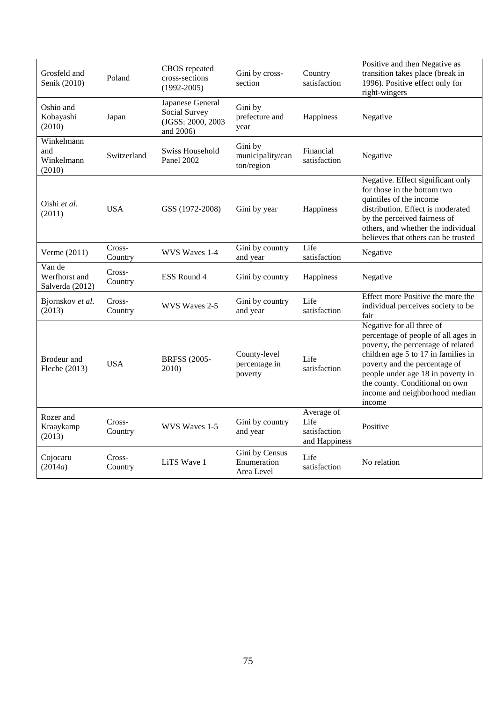| Grosfeld and<br>Senik (2010)               | Poland            | CBOS repeated<br>cross-sections<br>$(1992 - 2005)$                   | Gini by cross-<br>section                   | Country<br>satisfaction                             | Positive and then Negative as<br>transition takes place (break in<br>1996). Positive effect only for<br>right-wingers                                                                                                                                                                             |
|--------------------------------------------|-------------------|----------------------------------------------------------------------|---------------------------------------------|-----------------------------------------------------|---------------------------------------------------------------------------------------------------------------------------------------------------------------------------------------------------------------------------------------------------------------------------------------------------|
| Oshio and<br>Kobayashi<br>(2010)           | Japan             | Japanese General<br>Social Survey<br>(JGSS: 2000, 2003)<br>and 2006) | Gini by<br>prefecture and<br>year           | Happiness                                           | Negative                                                                                                                                                                                                                                                                                          |
| Winkelmann<br>and<br>Winkelmann<br>(2010)  | Switzerland       | Swiss Household<br>Panel 2002                                        | Gini by<br>municipality/can<br>ton/region   | Financial<br>satisfaction                           | Negative                                                                                                                                                                                                                                                                                          |
| Oishi et al.<br>(2011)                     | <b>USA</b>        | GSS (1972-2008)                                                      | Gini by year                                | Happiness                                           | Negative. Effect significant only<br>for those in the bottom two<br>quintiles of the income<br>distribution. Effect is moderated<br>by the perceived fairness of<br>others, and whether the individual<br>believes that others can be trusted                                                     |
| Verme (2011)                               | Cross-<br>Country | WVS Waves 1-4                                                        | Gini by country<br>and year                 | Life<br>satisfaction                                | Negative                                                                                                                                                                                                                                                                                          |
| Van de<br>Werfhorst and<br>Salverda (2012) | Cross-<br>Country | ESS Round 4                                                          | Gini by country                             | Happiness                                           | Negative                                                                                                                                                                                                                                                                                          |
| Bjornskov et al.<br>(2013)                 | Cross-<br>Country | WVS Waves 2-5                                                        | Gini by country<br>and year                 | Life<br>satisfaction                                | Effect more Positive the more the<br>individual perceives society to be<br>fair                                                                                                                                                                                                                   |
| Brodeur and<br>Fleche (2013)               | <b>USA</b>        | <b>BRFSS (2005-</b><br>2010)                                         | County-level<br>percentage in<br>poverty    | Life<br>satisfaction                                | Negative for all three of<br>percentage of people of all ages in<br>poverty, the percentage of related<br>children age 5 to 17 in families in<br>poverty and the percentage of<br>people under age 18 in poverty in<br>the county. Conditional on own<br>income and neighborhood median<br>income |
| Rozer and<br>Kraaykamp<br>(2013)           | Cross-<br>Country | WVS Waves 1-5                                                        | Gini by country<br>and year                 | Average of<br>Life<br>satisfaction<br>and Happiness | Positive                                                                                                                                                                                                                                                                                          |
| Cojocaru<br>(2014a)                        | Cross-<br>Country | LiTS Wave 1                                                          | Gini by Census<br>Enumeration<br>Area Level | Life<br>satisfaction                                | No relation                                                                                                                                                                                                                                                                                       |